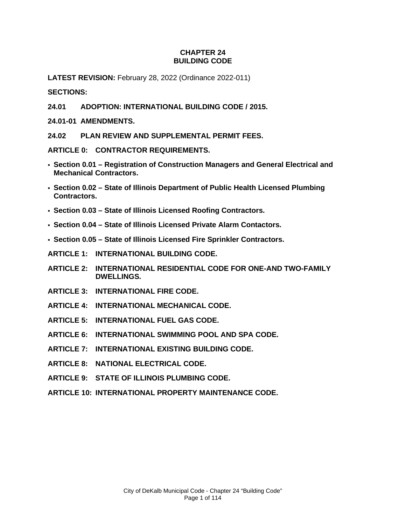### **CHAPTER 24 BUILDING CODE**

**LATEST REVISION:** February 28, 2022 (Ordinance 2022-011)

**SECTIONS:**

**24.01 ADOPTION: INTERNATIONAL BUILDING CODE / 2015.** 

**24.01-01 AMENDMENTS.** 

**24.02 PLAN REVIEW AND SUPPLEMENTAL PERMIT FEES.** 

**ARTICLE 0: CONTRACTOR REQUIREMENTS.** 

- **Section 0.01 Registration of Construction Managers and General Electrical and Mechanical Contractors.**
- **Section 0.02 State of Illinois Department of Public Health Licensed Plumbing Contractors.**
- **Section 0.03 State of Illinois Licensed Roofing Contractors.**
- **Section 0.04 State of Illinois Licensed Private Alarm Contactors.**
- **Section 0.05 State of Illinois Licensed Fire Sprinkler Contractors.**
- **ARTICLE 1: INTERNATIONAL BUILDING CODE.**
- **ARTICLE 2: INTERNATIONAL RESIDENTIAL CODE FOR ONE-AND TWO-FAMILY DWELLINGS.**
- **ARTICLE 3: INTERNATIONAL FIRE CODE.**
- **ARTICLE 4: INTERNATIONAL MECHANICAL CODE.**
- **ARTICLE 5: INTERNATIONAL FUEL GAS CODE.**
- **ARTICLE 6: INTERNATIONAL SWIMMING POOL AND SPA CODE.**
- **ARTICLE 7: INTERNATIONAL EXISTING BUILDING CODE.**
- **ARTICLE 8: NATIONAL ELECTRICAL CODE.**
- **ARTICLE 9: STATE OF ILLINOIS PLUMBING CODE.**
- **ARTICLE 10: INTERNATIONAL PROPERTY MAINTENANCE CODE.**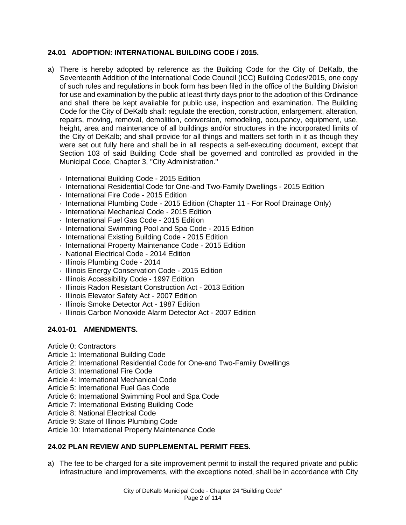# **24.01 ADOPTION: INTERNATIONAL BUILDING CODE / 2015.**

- a) There is hereby adopted by reference as the Building Code for the City of DeKalb, the Seventeenth Addition of the International Code Council (ICC) Building Codes/2015, one copy of such rules and regulations in book form has been filed in the office of the Building Division for use and examination by the public at least thirty days prior to the adoption of this Ordinance and shall there be kept available for public use, inspection and examination. The Building Code for the City of DeKalb shall: regulate the erection, construction, enlargement, alteration, repairs, moving, removal, demolition, conversion, remodeling, occupancy, equipment, use, height, area and maintenance of all buildings and/or structures in the incorporated limits of the City of DeKalb; and shall provide for all things and matters set forth in it as though they were set out fully here and shall be in all respects a self-executing document, except that Section 103 of said Building Code shall be governed and controlled as provided in the Municipal Code, Chapter 3, "City Administration."
	- **International Building Code 2015 Edition**
	- International Residential Code for One-and Two-Family Dwellings 2015 Edition
	- **International Fire Code 2015 Edition**
	- International Plumbing Code 2015 Edition (Chapter 11 For Roof Drainage Only)
	- **International Mechanical Code 2015 Edition**
	- **International Fuel Gas Code 2015 Edition**
	- International Swimming Pool and Spa Code 2015 Edition
	- International Existing Building Code 2015 Edition
	- International Property Maintenance Code 2015 Edition
	- National Electrical Code 2014 Edition
	- · Illinois Plumbing Code 2014
	- **Illinois Energy Conservation Code 2015 Edition**
	- $\cdot$  Illinois Accessibility Code 1997 Edition
	- Illinois Radon Resistant Construction Act 2013 Edition
	- Illinois Elevator Safety Act 2007 Edition
	- Illinois Smoke Detector Act 1987 Edition
	- Illinois Carbon Monoxide Alarm Detector Act 2007 Edition

# **24.01-01 AMENDMENTS.**

- Article 0: Contractors
- Article 1: International Building Code
- Article 2: International Residential Code for One-and Two-Family Dwellings
- Article 3: International Fire Code
- Article 4: International Mechanical Code
- Article 5: International Fuel Gas Code
- Article 6: International Swimming Pool and Spa Code
- Article 7: International Existing Building Code
- Article 8: National Electrical Code
- Article 9: State of Illinois Plumbing Code
- Article 10: International Property Maintenance Code

# **24.02 PLAN REVIEW AND SUPPLEMENTAL PERMIT FEES.**

a) The fee to be charged for a site improvement permit to install the required private and public infrastructure land improvements, with the exceptions noted, shall be in accordance with City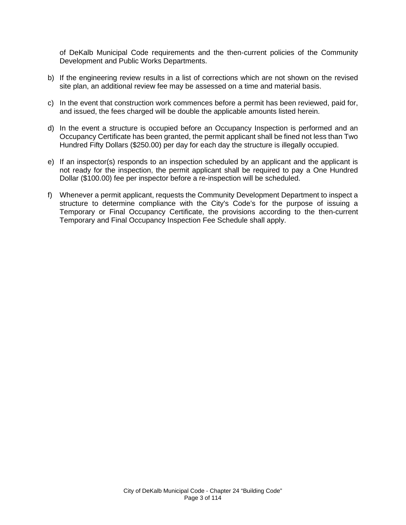of DeKalb Municipal Code requirements and the then-current policies of the Community Development and Public Works Departments.

- b) If the engineering review results in a list of corrections which are not shown on the revised site plan, an additional review fee may be assessed on a time and material basis.
- c) In the event that construction work commences before a permit has been reviewed, paid for, and issued, the fees charged will be double the applicable amounts listed herein.
- d) In the event a structure is occupied before an Occupancy Inspection is performed and an Occupancy Certificate has been granted, the permit applicant shall be fined not less than Two Hundred Fifty Dollars (\$250.00) per day for each day the structure is illegally occupied.
- e) If an inspector(s) responds to an inspection scheduled by an applicant and the applicant is not ready for the inspection, the permit applicant shall be required to pay a One Hundred Dollar (\$100.00) fee per inspector before a re-inspection will be scheduled.
- f) Whenever a permit applicant, requests the Community Development Department to inspect a structure to determine compliance with the City's Code's for the purpose of issuing a Temporary or Final Occupancy Certificate, the provisions according to the then-current Temporary and Final Occupancy Inspection Fee Schedule shall apply.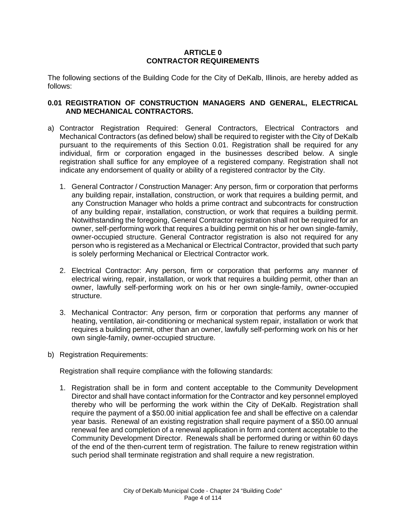### **ARTICLE 0 CONTRACTOR REQUIREMENTS**

The following sections of the Building Code for the City of DeKalb, Illinois, are hereby added as follows:

### **0.01 REGISTRATION OF CONSTRUCTION MANAGERS AND GENERAL, ELECTRICAL AND MECHANICAL CONTRACTORS.**

- a) Contractor Registration Required: General Contractors, Electrical Contractors and Mechanical Contractors (as defined below) shall be required to register with the City of DeKalb pursuant to the requirements of this Section 0.01. Registration shall be required for any individual, firm or corporation engaged in the businesses described below. A single registration shall suffice for any employee of a registered company. Registration shall not indicate any endorsement of quality or ability of a registered contractor by the City.
	- 1. General Contractor / Construction Manager: Any person, firm or corporation that performs any building repair, installation, construction, or work that requires a building permit, and any Construction Manager who holds a prime contract and subcontracts for construction of any building repair, installation, construction, or work that requires a building permit. Notwithstanding the foregoing, General Contractor registration shall not be required for an owner, self-performing work that requires a building permit on his or her own single-family, owner-occupied structure. General Contractor registration is also not required for any person who is registered as a Mechanical or Electrical Contractor, provided that such party is solely performing Mechanical or Electrical Contractor work.
	- 2. Electrical Contractor: Any person, firm or corporation that performs any manner of electrical wiring, repair, installation, or work that requires a building permit, other than an owner, lawfully self-performing work on his or her own single-family, owner-occupied structure.
	- 3. Mechanical Contractor: Any person, firm or corporation that performs any manner of heating, ventilation, air-conditioning or mechanical system repair, installation or work that requires a building permit, other than an owner, lawfully self-performing work on his or her own single-family, owner-occupied structure.
- b) Registration Requirements:

Registration shall require compliance with the following standards:

1. Registration shall be in form and content acceptable to the Community Development Director and shall have contact information for the Contractor and key personnel employed thereby who will be performing the work within the City of DeKalb. Registration shall require the payment of a \$50.00 initial application fee and shall be effective on a calendar year basis. Renewal of an existing registration shall require payment of a \$50.00 annual renewal fee and completion of a renewal application in form and content acceptable to the Community Development Director. Renewals shall be performed during or within 60 days of the end of the then-current term of registration. The failure to renew registration within such period shall terminate registration and shall require a new registration.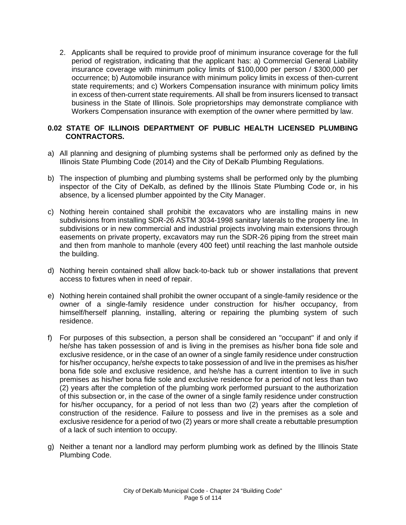2. Applicants shall be required to provide proof of minimum insurance coverage for the full period of registration, indicating that the applicant has: a) Commercial General Liability insurance coverage with minimum policy limits of \$100,000 per person / \$300,000 per occurrence; b) Automobile insurance with minimum policy limits in excess of then-current state requirements; and c) Workers Compensation insurance with minimum policy limits in excess of then-current state requirements. All shall be from insurers licensed to transact business in the State of Illinois. Sole proprietorships may demonstrate compliance with Workers Compensation insurance with exemption of the owner where permitted by law.

### **0.02 STATE OF ILLINOIS DEPARTMENT OF PUBLIC HEALTH LICENSED PLUMBING CONTRACTORS.**

- a) All planning and designing of plumbing systems shall be performed only as defined by the Illinois State Plumbing Code (2014) and the City of DeKalb Plumbing Regulations.
- b) The inspection of plumbing and plumbing systems shall be performed only by the plumbing inspector of the City of DeKalb, as defined by the Illinois State Plumbing Code or, in his absence, by a licensed plumber appointed by the City Manager.
- c) Nothing herein contained shall prohibit the excavators who are installing mains in new subdivisions from installing SDR-26 ASTM 3034-1998 sanitary laterals to the property line. In subdivisions or in new commercial and industrial projects involving main extensions through easements on private property, excavators may run the SDR-26 piping from the street main and then from manhole to manhole (every 400 feet) until reaching the last manhole outside the building.
- d) Nothing herein contained shall allow back-to-back tub or shower installations that prevent access to fixtures when in need of repair.
- e) Nothing herein contained shall prohibit the owner occupant of a single-family residence or the owner of a single-family residence under construction for his/her occupancy, from himself/herself planning, installing, altering or repairing the plumbing system of such residence.
- f) For purposes of this subsection, a person shall be considered an "occupant" if and only if he/she has taken possession of and is living in the premises as his/her bona fide sole and exclusive residence, or in the case of an owner of a single family residence under construction for his/her occupancy, he/she expects to take possession of and live in the premises as his/her bona fide sole and exclusive residence, and he/she has a current intention to live in such premises as his/her bona fide sole and exclusive residence for a period of not less than two (2) years after the completion of the plumbing work performed pursuant to the authorization of this subsection or, in the case of the owner of a single family residence under construction for his/her occupancy, for a period of not less than two (2) years after the completion of construction of the residence. Failure to possess and live in the premises as a sole and exclusive residence for a period of two (2) years or more shall create a rebuttable presumption of a lack of such intention to occupy.
- g) Neither a tenant nor a landlord may perform plumbing work as defined by the Illinois State Plumbing Code.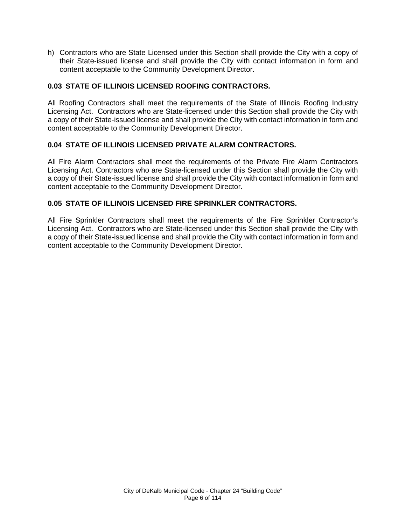h) Contractors who are State Licensed under this Section shall provide the City with a copy of their State-issued license and shall provide the City with contact information in form and content acceptable to the Community Development Director.

# **0.03 STATE OF ILLINOIS LICENSED ROOFING CONTRACTORS.**

All Roofing Contractors shall meet the requirements of the State of Illinois Roofing Industry Licensing Act. Contractors who are State-licensed under this Section shall provide the City with a copy of their State-issued license and shall provide the City with contact information in form and content acceptable to the Community Development Director.

# **0.04 STATE OF ILLINOIS LICENSED PRIVATE ALARM CONTRACTORS.**

All Fire Alarm Contractors shall meet the requirements of the Private Fire Alarm Contractors Licensing Act. Contractors who are State-licensed under this Section shall provide the City with a copy of their State-issued license and shall provide the City with contact information in form and content acceptable to the Community Development Director.

# **0.05 STATE OF ILLINOIS LICENSED FIRE SPRINKLER CONTRACTORS.**

All Fire Sprinkler Contractors shall meet the requirements of the Fire Sprinkler Contractor's Licensing Act. Contractors who are State-licensed under this Section shall provide the City with a copy of their State-issued license and shall provide the City with contact information in form and content acceptable to the Community Development Director.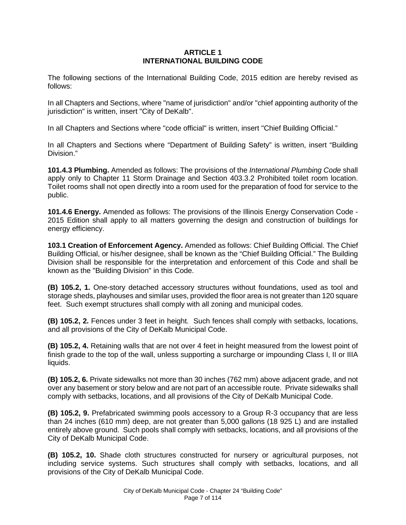### **ARTICLE 1 INTERNATIONAL BUILDING CODE**

The following sections of the International Building Code, 2015 edition are hereby revised as follows:

In all Chapters and Sections, where "name of jurisdiction" and/or "chief appointing authority of the jurisdiction" is written, insert "City of DeKalb".

In all Chapters and Sections where "code official" is written, insert "Chief Building Official."

In all Chapters and Sections where "Department of Building Safety" is written, insert "Building Division."

**101.4.3 Plumbing.** Amended as follows: The provisions of the *International Plumbing Code* shall apply only to Chapter 11 Storm Drainage and Section 403.3.2 Prohibited toilet room location. Toilet rooms shall not open directly into a room used for the preparation of food for service to the public.

**101.4.6 Energy.** Amended as follows: The provisions of the Illinois Energy Conservation Code - 2015 Edition shall apply to all matters governing the design and construction of buildings for energy efficiency.

**103.1 Creation of Enforcement Agency.** Amended as follows: Chief Building Official. The Chief Building Official, or his/her designee, shall be known as the "Chief Building Official." The Building Division shall be responsible for the interpretation and enforcement of this Code and shall be known as the "Building Division" in this Code.

**(B) 105.2, 1.** One-story detached accessory structures without foundations, used as tool and storage sheds, playhouses and similar uses, provided the floor area is not greater than 120 square feet. Such exempt structures shall comply with all zoning and municipal codes.

**(B) 105.2, 2.** Fences under 3 feet in height. Such fences shall comply with setbacks, locations, and all provisions of the City of DeKalb Municipal Code.

**(B) 105.2, 4.** Retaining walls that are not over 4 feet in height measured from the lowest point of finish grade to the top of the wall, unless supporting a surcharge or impounding Class I, II or IIIA liquids.

**(B) 105.2, 6.** Private sidewalks not more than 30 inches (762 mm) above adjacent grade, and not over any basement or story below and are not part of an accessible route. Private sidewalks shall comply with setbacks, locations, and all provisions of the City of DeKalb Municipal Code.

**(B) 105.2, 9.** Prefabricated swimming pools accessory to a Group R-3 occupancy that are less than 24 inches (610 mm) deep, are not greater than 5,000 gallons (18 925 L) and are installed entirely above ground. Such pools shall comply with setbacks, locations, and all provisions of the City of DeKalb Municipal Code.

**(B) 105.2, 10.** Shade cloth structures constructed for nursery or agricultural purposes, not including service systems. Such structures shall comply with setbacks, locations, and all provisions of the City of DeKalb Municipal Code.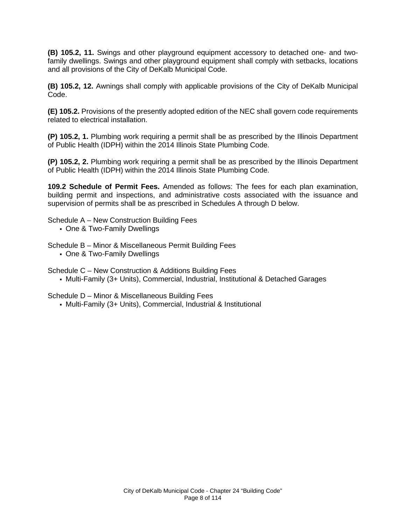**(B) 105.2, 11.** Swings and other playground equipment accessory to detached one- and twofamily dwellings. Swings and other playground equipment shall comply with setbacks, locations and all provisions of the City of DeKalb Municipal Code.

**(B) 105.2, 12.** Awnings shall comply with applicable provisions of the City of DeKalb Municipal Code.

**(E) 105.2.** Provisions of the presently adopted edition of the NEC shall govern code requirements related to electrical installation.

**(P) 105.2, 1.** Plumbing work requiring a permit shall be as prescribed by the Illinois Department of Public Health (IDPH) within the 2014 Illinois State Plumbing Code.

**(P) 105.2, 2.** Plumbing work requiring a permit shall be as prescribed by the Illinois Department of Public Health (IDPH) within the 2014 Illinois State Plumbing Code.

**109.2 Schedule of Permit Fees.** Amended as follows: The fees for each plan examination, building permit and inspections, and administrative costs associated with the issuance and supervision of permits shall be as prescribed in Schedules A through D below.

Schedule A – New Construction Building Fees

One & Two-Family Dwellings

Schedule B – Minor & Miscellaneous Permit Building Fees

One & Two-Family Dwellings

Schedule C – New Construction & Additions Building Fees

Multi-Family (3+ Units), Commercial, Industrial, Institutional & Detached Garages

Schedule D – Minor & Miscellaneous Building Fees

Multi-Family (3+ Units), Commercial, Industrial & Institutional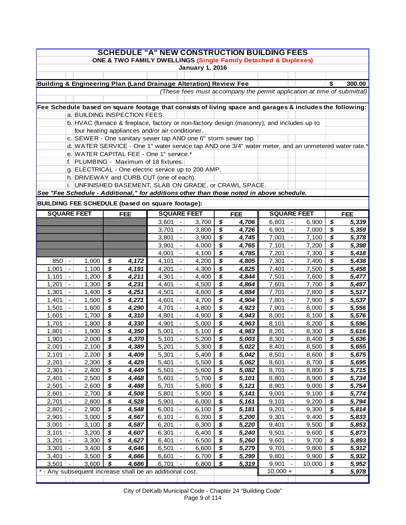| <b>SCHEDULE "A" NEW CONSTRUCTION BUILDING FEES</b><br>ONE & TWO FAMILY DWELLINGS (Single Family Detached & Duplexes) |                                                                                                   |                |          |                                                                                                          |                |                                                      |                        |           |                |                                                                         |                                                      |                |          |                |
|----------------------------------------------------------------------------------------------------------------------|---------------------------------------------------------------------------------------------------|----------------|----------|----------------------------------------------------------------------------------------------------------|----------------|------------------------------------------------------|------------------------|-----------|----------------|-------------------------------------------------------------------------|------------------------------------------------------|----------------|----------|----------------|
|                                                                                                                      |                                                                                                   |                |          |                                                                                                          |                |                                                      |                        |           |                |                                                                         |                                                      |                |          |                |
|                                                                                                                      |                                                                                                   |                |          |                                                                                                          |                |                                                      | <b>January 1, 2016</b> |           |                |                                                                         |                                                      |                |          |                |
|                                                                                                                      |                                                                                                   |                |          |                                                                                                          |                |                                                      |                        |           |                |                                                                         |                                                      |                |          |                |
|                                                                                                                      |                                                                                                   |                |          | Building & Engineering Plan (Land Drainage Alteration) Review Fee                                        |                |                                                      |                        |           |                |                                                                         |                                                      |                | \$       | 300.00         |
|                                                                                                                      |                                                                                                   |                |          |                                                                                                          |                |                                                      |                        |           |                | (These fees must accompany the permit application at time of submittal) |                                                      |                |          |                |
|                                                                                                                      |                                                                                                   |                |          | Fee Schedule based on square footage that consists of living space and garages & includes the following: |                |                                                      |                        |           |                |                                                                         |                                                      |                |          |                |
|                                                                                                                      |                                                                                                   |                |          | a. BUILDING INSPECTION FEES.                                                                             |                |                                                      |                        |           |                |                                                                         |                                                      |                |          |                |
|                                                                                                                      |                                                                                                   |                |          | b. HVAC (furnace & fireplace, factory or non-factory design (masonry), and includes up to                |                |                                                      |                        |           |                |                                                                         |                                                      |                |          |                |
|                                                                                                                      |                                                                                                   |                |          | four heating appliances and/or air conditioner.                                                          |                |                                                      |                        |           |                |                                                                         |                                                      |                |          |                |
|                                                                                                                      |                                                                                                   |                |          | c. SEWER - One sanitary sewer tap AND one 6" storm sewer tap.                                            |                |                                                      |                        |           |                |                                                                         |                                                      |                |          |                |
|                                                                                                                      |                                                                                                   |                |          | d. WATER SERVICE - One 1" water service tap AND one 3/4" water meter, and an unmetered water rate.*      |                |                                                      |                        |           |                |                                                                         |                                                      |                |          |                |
|                                                                                                                      |                                                                                                   |                |          | e. WATER CAPITAL FEE - One 1" service.*                                                                  |                |                                                      |                        |           |                |                                                                         |                                                      |                |          |                |
|                                                                                                                      |                                                                                                   |                |          | f. PLUMBING - Maximum of 18 fixtures.                                                                    |                |                                                      |                        |           |                |                                                                         |                                                      |                |          |                |
|                                                                                                                      |                                                                                                   |                |          | g. ELECTRICAL - One electric service up to 200 AMP.                                                      |                |                                                      |                        |           |                |                                                                         |                                                      |                |          |                |
|                                                                                                                      |                                                                                                   |                |          |                                                                                                          |                |                                                      |                        |           |                |                                                                         |                                                      |                |          |                |
|                                                                                                                      | h. DRIVEWAY and CURB CUT (one of each).<br>i. UNFINISHED BASEMENT, SLAB ON GRADE, or CRAWL SPACE. |                |          |                                                                                                          |                |                                                      |                        |           |                |                                                                         |                                                      |                |          |                |
|                                                                                                                      | See "Fee Schedule - Additional," for additions other than those noted in above schedule.          |                |          |                                                                                                          |                |                                                      |                        |           |                |                                                                         |                                                      |                |          |                |
| <b>BUILDING FEE SCHEDULE (based on square footage):</b>                                                              |                                                                                                   |                |          |                                                                                                          |                |                                                      |                        |           |                |                                                                         |                                                      |                |          |                |
| <b>SQUARE FEET</b><br><b>SQUARE FEET</b><br><b>SQUARE FEET</b>                                                       |                                                                                                   |                |          |                                                                                                          |                |                                                      |                        |           |                |                                                                         |                                                      |                |          |                |
|                                                                                                                      |                                                                                                   |                |          | <b>FEE</b>                                                                                               |                |                                                      |                        |           | <b>FEE</b>     |                                                                         |                                                      |                |          | <b>FEE</b>     |
|                                                                                                                      |                                                                                                   |                |          |                                                                                                          | 3,601          | $\overline{\phantom{a}}$                             | 3,700                  | \$        | 4,706          | 6,801                                                                   | $\overline{\phantom{a}}$                             | 6,900          | \$       | 5,339          |
|                                                                                                                      |                                                                                                   |                |          |                                                                                                          | 3,701          | $\overline{\phantom{a}}$                             | 3,800                  | \$        | 4,726          | 6,901                                                                   | $\overline{\phantom{a}}$                             | 7,000          | \$       | 5,359          |
|                                                                                                                      |                                                                                                   |                |          |                                                                                                          | 3,801          | $\blacksquare$                                       | 3,900<br>4,000         | \$<br>\$  | 4,745          | 7,001<br>7,101                                                          | $\overline{\phantom{a}}$<br>$\overline{\phantom{a}}$ | 7,100          | \$<br>\$ | 5,378          |
|                                                                                                                      |                                                                                                   |                |          |                                                                                                          | 3,901<br>4,001 | $\blacksquare$                                       | 4,100                  | \$        | 4,765<br>4,785 | 7,201                                                                   | $\blacksquare$                                       | 7,200<br>7,300 | \$       | 5,398<br>5,418 |
| 850                                                                                                                  | ۱.                                                                                                | 1,000          | \$       | 4,172                                                                                                    | 4,101          | $\blacksquare$                                       | 4,200                  | \$        | 4,805          | 7,301                                                                   | $\overline{\phantom{a}}$                             | 7,400          | \$       | 5,438          |
| 1,001                                                                                                                | $\overline{\phantom{a}}$                                                                          | 1,100          | \$       | 4,191                                                                                                    | 4,201          | $\blacksquare$                                       | 4,300                  | \$        | 4,825          | 7,401                                                                   | $\blacksquare$                                       | 7,500          | \$       | 5,458          |
| 1,101                                                                                                                | $\blacksquare$                                                                                    | 1,200          | \$       | 4,211                                                                                                    | 4,301          | $\blacksquare$                                       | 4,400                  | \$        | 4,844          | 7,501                                                                   | $\overline{\phantom{a}}$                             | 7,600          | \$       | 5,477          |
| 1,201                                                                                                                | $\blacksquare$                                                                                    | 1,300          | \$       | 4,231                                                                                                    | 4,401          | $\blacksquare$                                       | 4,500                  | \$        | 4,864          | 7,601                                                                   | $\overline{\phantom{a}}$                             | 7,700          | \$       | 5,497          |
| 1,301                                                                                                                | $\blacksquare$                                                                                    | 1,400          | \$       | 4,251                                                                                                    | 4,501          | $\blacksquare$                                       | 4,600                  | \$        | 4,884          | 7,701                                                                   | $\blacksquare$                                       | 7,800          | \$       | 5,517          |
| 1,401                                                                                                                | $\overline{\phantom{a}}$                                                                          | 1,500          | \$       | 4,271                                                                                                    | 4,601          | $\blacksquare$                                       | 4,700                  | \$        | 4,904          | 7,801                                                                   | $\blacksquare$                                       | 7,900          | \$       | 5,537          |
| 1,501                                                                                                                | $\overline{\phantom{a}}$                                                                          | 1,600          | \$       | 4,290                                                                                                    | 4,701          | $\blacksquare$                                       | 4,800                  | \$        | 4,923          | 7,901                                                                   | $\overline{\phantom{a}}$                             | 8,000          | \$       | 5,556          |
| 1,601                                                                                                                | $\overline{\phantom{a}}$                                                                          | 1,700          | \$       | 4,310                                                                                                    | 4,801          | $\overline{\phantom{a}}$                             | 4,900                  | \$        | 4,943          | 8,001                                                                   | $\overline{\phantom{a}}$                             | 8,100          | \$       | 5,576          |
| 1,701                                                                                                                | $\overline{\phantom{a}}$                                                                          | 1,800          | \$       | 4,330                                                                                                    | 4,901          | $\blacksquare$                                       | 5,000                  | \$        | 4,963          | 8,101                                                                   | $\overline{\phantom{a}}$                             | 8,200          | \$       | 5,596          |
| 1,801                                                                                                                | $\blacksquare$                                                                                    | 1,900          | \$       | 4,350                                                                                                    | 5,001          | $\blacksquare$                                       | 5,100                  | \$        | 4,983          | 8,201                                                                   | $\blacksquare$                                       | 8,300          | \$       | 5,616          |
| 1,901                                                                                                                | $\overline{\phantom{a}}$                                                                          | 2,000          | \$       | 4,370                                                                                                    | 5,101          |                                                      | 5,200                  | \$        | 5,003          | 8,301                                                                   | $\overline{\phantom{a}}$                             | 8,400          | \$       | 5,636          |
| 2,001                                                                                                                | ٠                                                                                                 | 2,100          | \$       | 4,389                                                                                                    | 5,201          | $\overline{\phantom{a}}$                             | 5,300                  | <u>\$</u> | 5,022          | 8,401                                                                   | $\overline{\phantom{a}}$                             | 8,500          | \$       | 5,655          |
| 2,101                                                                                                                | $\qquad \qquad \blacksquare$                                                                      | 2,200          | \$       | 4,409                                                                                                    | 5,301          | $\overline{\phantom{a}}$                             | 5,400                  | \$        | 5,042          | 8,501                                                                   | $\qquad \qquad \blacksquare$                         | 8,600          | \$       | 5,675          |
| 2,201                                                                                                                | $\blacksquare$                                                                                    | 2,300          | \$       | 4,429                                                                                                    | 5,401          | $\overline{\phantom{a}}$                             | 5,500                  | \$        | 5,062          | 8,601                                                                   | $\blacksquare$                                       | 8,700          | \$       | 5,695          |
| 2,301                                                                                                                | $\overline{a}$                                                                                    | 2,400          | \$       | 4,449                                                                                                    | 5,501          | $\overline{\phantom{a}}$                             | 5,600                  | \$        | 5,082          | 8,701                                                                   | $\blacksquare$                                       | 8,800          | \$       | 5,715          |
| 2,401                                                                                                                | $\overline{\phantom{a}}$                                                                          | 2,500          | \$       | 4,468                                                                                                    | 5,601          | $\overline{\phantom{a}}$                             | 5,700                  | \$        | 5,101          | 8,801                                                                   | $\blacksquare$                                       | 8,900          | \$       | 5,734          |
| 2,501                                                                                                                | $\blacksquare$                                                                                    | 2,600          | \$       | 4,488                                                                                                    | 5,701          |                                                      | 5,800                  | \$        | 5,121          | 8,901                                                                   | $\blacksquare$                                       | 9,000          | \$       | 5,754          |
| 2,601                                                                                                                | $\blacksquare$                                                                                    | 2,700          | \$       | 4,508                                                                                                    | 5,801          | $\overline{\phantom{a}}$                             | 5,900                  | \$        | 5,141          | 9,001                                                                   | $\overline{\phantom{a}}$                             | 9,100          | \$       | 5,774          |
| 2,701                                                                                                                | $\blacksquare$                                                                                    | 2,800          | \$       | 4,528                                                                                                    | 5,901          |                                                      | 6,000                  | \$        | 5,161          | 9,101                                                                   | $\overline{\phantom{a}}$                             | 9,200          | \$       | 5,794          |
| 2,801                                                                                                                | $\overline{\phantom{a}}$                                                                          | 2,900          | \$       | 4,548                                                                                                    | 6,001          | $\overline{\phantom{a}}$                             | 6,100                  | \$        | 5,181          | 9,201                                                                   | $\overline{\phantom{a}}$                             | 9,300          | \$       | 5,814          |
| 2,901                                                                                                                | $\overline{\phantom{a}}$                                                                          | 3,000          | \$<br>\$ | 4,567                                                                                                    | 6,101          | $\overline{\phantom{a}}$                             | 6,200                  | \$<br>\$  | 5,200          | 9,301                                                                   | $\blacksquare$                                       | 9,400          | \$<br>\$ | 5,833          |
| 3,001                                                                                                                | $\blacksquare$                                                                                    | 3,100          | \$       | 4,587<br>4,607                                                                                           | 6,201          | $\overline{\phantom{a}}$                             | 6,300                  | \$        | 5,220          | 9,401                                                                   | $\overline{\phantom{a}}$                             | 9,500          | \$       | 5,853          |
| 3,101<br>3,201                                                                                                       | $\blacksquare$<br>$\overline{\phantom{a}}$                                                        | 3,200<br>3,300 | \$       | 4,627                                                                                                    | 6,301<br>6,401 | $\overline{\phantom{a}}$<br>$\overline{\phantom{a}}$ | 6,400<br>6,500         | \$        | 5,240<br>5,260 | 9,501<br>9,601                                                          | $\overline{\phantom{a}}$<br>$\overline{\phantom{a}}$ | 9,600<br>9,700 | \$       | 5,873<br>5,893 |
| 3,301                                                                                                                | $\overline{\phantom{a}}$                                                                          | 3,400          | \$       | 4,646                                                                                                    | 6,501          | $\overline{\phantom{a}}$                             | 6,600                  | \$        | 5,279          | 9,701                                                                   | $\overline{\phantom{a}}$                             | 9,800          | \$       | 5,912          |
| 3,401                                                                                                                | $\overline{\phantom{a}}$                                                                          | 3,500          | \$       | 4,666                                                                                                    | 6,601          | $\overline{\phantom{a}}$                             | 6,700                  | \$        | 5,299          | 9,801                                                                   | $\blacksquare$                                       | 9,900          | \$       | 5,932          |
| 3,501                                                                                                                | l –                                                                                               | 3,600          | \$       | 4,686                                                                                                    | 6,701          | $\blacksquare$                                       | 6,800                  | \$        | 5,319          | 9,901                                                                   | $\overline{\phantom{a}}$                             | 10,000         | \$       | 5,952          |
|                                                                                                                      |                                                                                                   |                |          | * - Any subsequent increase shall be an additional cost.                                                 |                |                                                      |                        |           |                | $10,000 +$                                                              |                                                      |                | \$       | 5,978          |
|                                                                                                                      |                                                                                                   |                |          |                                                                                                          |                |                                                      |                        |           |                |                                                                         |                                                      |                |          |                |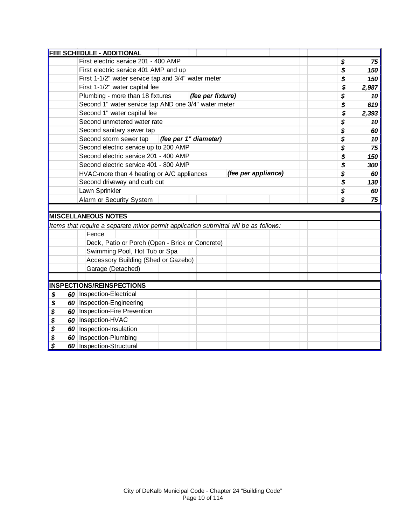|    | <b>FEE SCHEDULE - ADDITIONAL</b>                                                     |             |
|----|--------------------------------------------------------------------------------------|-------------|
|    | First electric service 201 - 400 AMP                                                 | \$<br>75    |
|    | First electric service 401 AMP and up                                                | \$<br>150   |
|    | First 1-1/2" water service tap and 3/4" water meter                                  | \$<br>150   |
|    | First 1-1/2" water capital fee                                                       | \$<br>2,987 |
|    | Plumbing - more than 18 fixtures<br>(fee per fixture)                                | \$<br>10    |
|    | Second 1" water service tap AND one 3/4" water meter                                 | \$<br>619   |
|    | Second 1" water capital fee                                                          | \$<br>2,393 |
|    | Second unmetered water rate                                                          | \$<br>10    |
|    | Second sanitary sewer tap                                                            | \$<br>60    |
|    | Second storm sewer tap<br>(fee per 1" diameter)                                      | \$<br>10    |
|    | Second electric service up to 200 AMP                                                | \$<br>75    |
|    | Second electric service 201 - 400 AMP                                                | \$<br>150   |
|    | Second electric service 401 - 800 AMP                                                | \$<br>300   |
|    | (fee per appliance)<br>HVAC-more than 4 heating or A/C appliances                    | \$<br>60    |
|    | Second driveway and curb cut                                                         | \$<br>130   |
|    | Lawn Sprinkler                                                                       | \$<br>60    |
|    | Alarm or Security System                                                             | \$<br>75    |
|    |                                                                                      |             |
|    | <b>MISCELLANEOUS NOTES</b>                                                           |             |
|    | Items that require a separate minor permit application submittal will be as follows: |             |
|    | Fence                                                                                |             |
|    | Deck, Patio or Porch (Open - Brick or Concrete)                                      |             |
|    | Swimming Pool, Hot Tub or Spa                                                        |             |
|    | Accessory Building (Shed or Gazebo)                                                  |             |
|    | Garage (Detached)                                                                    |             |
|    |                                                                                      |             |
|    | <b>INSPECTIONS/REINSPECTIONS</b>                                                     |             |
| \$ | 60   Inspection-Electrical                                                           |             |
| \$ | 60 Inspection-Engineering                                                            |             |
| \$ | 60 Inspection-Fire Prevention                                                        |             |
| \$ | 60   Insepction-HVAC                                                                 |             |
| \$ | 60   Inspection-Insulation                                                           |             |
| \$ | 60 Inspection-Plumbing                                                               |             |
| \$ | 60 Inspection-Structural                                                             |             |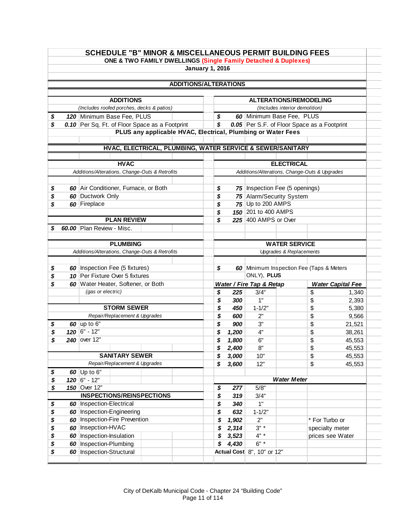|          |                                                | <b>SCHEDULE "B" MINOR &amp; MISCELLANEOUS PERMIT BUILDING FEES</b>           |  | ONE & TWO FAMILY DWELLINGS (Single Family Detached & Duplexes) |          |       |                                               |                                                                 |                 |                          |
|----------|------------------------------------------------|------------------------------------------------------------------------------|--|----------------------------------------------------------------|----------|-------|-----------------------------------------------|-----------------------------------------------------------------|-----------------|--------------------------|
|          |                                                |                                                                              |  | <b>January 1, 2016</b>                                         |          |       |                                               |                                                                 |                 |                          |
|          |                                                |                                                                              |  |                                                                |          |       |                                               |                                                                 |                 |                          |
|          |                                                |                                                                              |  | <b>ADDITIONS/ALTERATIONS</b>                                   |          |       |                                               |                                                                 |                 |                          |
|          |                                                |                                                                              |  |                                                                |          |       |                                               |                                                                 |                 |                          |
|          |                                                | <b>ADDITIONS</b><br>(Includes roofed porches, decks & patios)                |  |                                                                |          |       |                                               | <b>ALTERATIONS/REMODELING</b><br>(Includes interior demolition) |                 |                          |
|          |                                                |                                                                              |  |                                                                |          |       | 60 Minimum Base Fee, PLUS                     |                                                                 |                 |                          |
| \$<br>\$ |                                                | 120 Minimum Base Fee, PLUS<br>0.10 Per Sq. Ft. of Floor Space as a Footprint |  |                                                                | \$<br>\$ |       | 0.05 Per S.F. of Floor Space as a Footprint   |                                                                 |                 |                          |
|          |                                                |                                                                              |  | PLUS any applicable HVAC, Electrical, Plumbing or Water Fees   |          |       |                                               |                                                                 |                 |                          |
|          |                                                |                                                                              |  |                                                                |          |       |                                               |                                                                 |                 |                          |
|          |                                                |                                                                              |  | HVAC, ELECTRICAL, PLUMBING, WATER SERVICE & SEWER/SANITARY     |          |       |                                               |                                                                 |                 |                          |
|          |                                                |                                                                              |  |                                                                |          |       |                                               |                                                                 |                 |                          |
|          |                                                | <b>HVAC</b>                                                                  |  |                                                                |          |       |                                               | <b>ELECTRICAL</b>                                               |                 |                          |
|          |                                                | Additions/Alterations, Change-Outs & Retrofits                               |  |                                                                |          |       | Additions/Alterations, Change-Outs & Upgrades |                                                                 |                 |                          |
|          |                                                |                                                                              |  |                                                                |          |       |                                               |                                                                 |                 |                          |
| \$       |                                                | 60 Air Conditioner, Furnace, or Both                                         |  |                                                                | \$       |       | 75   Inspection Fee (5 openings)              |                                                                 |                 |                          |
| \$       |                                                | 60 Ductwork Only                                                             |  |                                                                | \$       |       | 75 Alarm/Security System                      |                                                                 |                 |                          |
| \$       |                                                | 60 Fireplace                                                                 |  |                                                                | \$       |       | 75 Up to 200 AMPS                             |                                                                 |                 |                          |
|          |                                                |                                                                              |  |                                                                | \$       |       | 150 201 to 400 AMPS                           |                                                                 |                 |                          |
|          |                                                | <b>PLAN REVIEW</b>                                                           |  |                                                                | \$       |       | 225 400 AMPS or Over                          |                                                                 |                 |                          |
| S        |                                                | 60.00 Plan Review - Misc.                                                    |  |                                                                |          |       |                                               |                                                                 |                 |                          |
|          |                                                | <b>PLUMBING</b>                                                              |  |                                                                |          |       |                                               | <b>WATER SERVICE</b>                                            |                 |                          |
|          | Additions/Alterations, Change-Outs & Retrofits |                                                                              |  |                                                                |          |       |                                               | <b>Upgrades &amp; Replacements</b>                              |                 |                          |
|          |                                                |                                                                              |  |                                                                |          |       |                                               |                                                                 |                 |                          |
| \$       |                                                | 60   Inspection Fee (5 fixtures)                                             |  |                                                                | \$       |       | 60 Minimum Inspection Fee (Taps & Meters      |                                                                 |                 |                          |
| \$       |                                                | 10 Per Fixture Over 5 fixtures                                               |  |                                                                |          |       | ONLY), PLUS                                   |                                                                 |                 |                          |
| \$       |                                                | 60 Water Heater, Softener, or Both                                           |  |                                                                |          |       | Water / Fire Tap & Retap                      |                                                                 |                 | <b>Water Capital Fee</b> |
|          |                                                | (gas or electric)                                                            |  |                                                                | \$       | 225   | 3/4"                                          |                                                                 | \$              | 1,340                    |
|          |                                                |                                                                              |  |                                                                | \$       | 300   | 1"                                            |                                                                 | \$              | 2,393                    |
|          |                                                | <b>STORM SEWER</b>                                                           |  |                                                                | \$       | 450   | $1 - 1/2"$                                    |                                                                 | \$              | 5,380                    |
|          |                                                | Repair/Replacement & Upgrades                                                |  |                                                                | \$       | 600   | 2"                                            |                                                                 | \$              | 9,566                    |
| \$       |                                                | 60 up to $6"$                                                                |  |                                                                | \$       | 900   | 3"                                            |                                                                 | \$              | 21,521                   |
| \$       |                                                | $120$ 6" - 12"                                                               |  |                                                                | \$       | 1,200 | 4"                                            |                                                                 | \$              | 38,261                   |
| \$       |                                                | 240 over 12"                                                                 |  |                                                                | \$       | 1,800 | 6"                                            |                                                                 | \$              | 45,553                   |
|          |                                                |                                                                              |  |                                                                | Ÿ        | 2,400 | 8"                                            |                                                                 | \$              | 45,553                   |
|          |                                                | <b>SANITARY SEWER</b>                                                        |  |                                                                | \$       | 3,000 | 10"                                           |                                                                 | \$              | 45,553                   |
|          |                                                | Repair/Replacement & Upgrades                                                |  |                                                                | \$       | 3,600 | 12"                                           |                                                                 | \$              | 45,553                   |
| \$       |                                                | 60 $Up$ to 6"                                                                |  |                                                                |          |       |                                               |                                                                 |                 |                          |
| \$       |                                                | $120$ 6" - 12"                                                               |  |                                                                |          |       |                                               | <b>Water Meter</b>                                              |                 |                          |
| \$       |                                                | 150 Over 12"                                                                 |  |                                                                | \$       | 277   | 5/8"                                          |                                                                 |                 |                          |
|          |                                                | <b>INSPECTIONS/REINSPECTIONS</b>                                             |  |                                                                | \$       | 319   | 3/4"                                          |                                                                 |                 |                          |
| \$       |                                                | 60   Inspection-Electrical                                                   |  |                                                                | \$       | 340   | 1"                                            |                                                                 |                 |                          |
| \$       |                                                | 60 Inspection-Engineering                                                    |  |                                                                | \$       | 632   | $1 - 1/2"$                                    |                                                                 |                 |                          |
| \$       |                                                | 60   Inspection-Fire Prevention                                              |  |                                                                | \$       | 1,902 | 2"                                            |                                                                 | * For Turbo or  |                          |
| \$       |                                                | 60 Insepction-HVAC                                                           |  |                                                                | \$       | 2,314 | $3" *$                                        |                                                                 | specialty meter |                          |
| \$       |                                                | 60   Inspection-Insulation                                                   |  |                                                                | \$       | 3,523 | $4" *$                                        |                                                                 |                 | prices see Water         |
|          |                                                |                                                                              |  |                                                                |          |       |                                               |                                                                 |                 |                          |
| \$<br>\$ |                                                | 60   Inspection-Plumbing<br>60   Inspection-Structural                       |  |                                                                | \$       | 4,430 | $6" *$<br>Actual Cost 8", 10" or 12"          |                                                                 |                 |                          |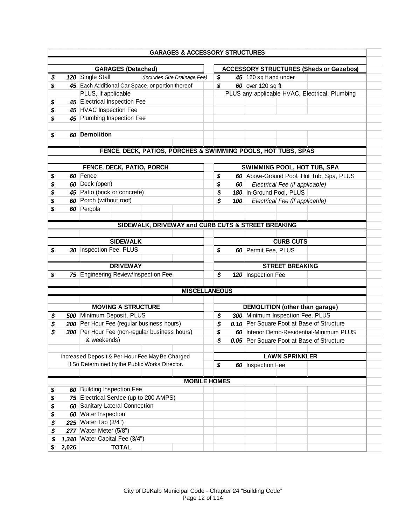|    | <b>GARAGES &amp; ACCESSORY STRUCTURES</b>                     |    |     |                                  |                                |                                                |
|----|---------------------------------------------------------------|----|-----|----------------------------------|--------------------------------|------------------------------------------------|
|    | <b>GARAGES</b> (Detached)                                     |    |     |                                  |                                | <b>ACCESSORY STRUCTURES (Sheds or Gazebos)</b> |
| \$ | 120 Single Stall<br>(includes Site Drainage Fee)              | \$ |     | 45 120 sq ft and under           |                                |                                                |
| \$ | 45 Each Additional Car Space, or portion thereof              | \$ |     | 60 over 120 sq ft                |                                |                                                |
|    | PLUS, if applicable                                           |    |     |                                  |                                | PLUS any applicable HVAC, Electrical, Plumbing |
|    | 45 Electrical Inspection Fee                                  |    |     |                                  |                                |                                                |
| \$ | 45 HVAC Inspection Fee                                        |    |     |                                  |                                |                                                |
| \$ |                                                               |    |     |                                  |                                |                                                |
| \$ | 45 Plumbing Inspection Fee                                    |    |     |                                  |                                |                                                |
| \$ | 60 Demolition                                                 |    |     |                                  |                                |                                                |
|    | FENCE, DECK, PATIOS, PORCHES & SWIMMING POOLS, HOT TUBS, SPAS |    |     |                                  |                                |                                                |
|    |                                                               |    |     |                                  |                                |                                                |
|    | FENCE, DECK, PATIO, PORCH                                     |    |     |                                  |                                | <b>SWIMMING POOL, HOT TUB, SPA</b>             |
| \$ | 60 Fence                                                      | \$ |     |                                  |                                | 60 Above-Ground Pool, Hot Tub, Spa, PLUS       |
| \$ | 60 Deck (open)                                                | \$ | 60  |                                  | Electrical Fee (if applicable) |                                                |
| \$ | 45 Patio (brick or concrete)                                  | \$ |     | 180 In-Ground Pool, PLUS         |                                |                                                |
| \$ | 60 Porch (without roof)                                       | \$ | 100 |                                  | Electrical Fee (if applicable) |                                                |
| \$ | 60 Pergola                                                    |    |     |                                  |                                |                                                |
|    | SIDEWALK, DRIVEWAY and CURB CUTS & STREET BREAKING            |    |     |                                  |                                |                                                |
|    |                                                               |    |     |                                  |                                |                                                |
|    | <b>SIDEWALK</b>                                               |    |     |                                  | <b>CURB CUTS</b>               |                                                |
| \$ | 30 Inspection Fee, PLUS                                       | \$ |     | 60 Permit Fee, PLUS              |                                |                                                |
|    |                                                               |    |     |                                  |                                |                                                |
|    | <b>DRIVEWAY</b>                                               |    |     |                                  | <b>STREET BREAKING</b>         |                                                |
| \$ | 75 Engineering Review/Inspection Fee                          | \$ |     | 120 Inspection Fee               |                                |                                                |
|    |                                                               |    |     |                                  |                                |                                                |
|    | <b>MISCELLANEOUS</b>                                          |    |     |                                  |                                |                                                |
|    | <b>MOVING A STRUCTURE</b>                                     |    |     |                                  |                                | <b>DEMOLITION</b> (other than garage)          |
| \$ | 500 Minimum Deposit, PLUS                                     | \$ |     | 300 Minimum Inspection Fee, PLUS |                                |                                                |
| \$ | 200 Per Hour Fee (regular business hours)                     | S  |     |                                  |                                | 0.10 Per Square Foot at Base of Structure      |
| \$ | 300 Per Hour Fee (non-regular business hours)                 | \$ |     |                                  |                                | 60 Interior Demo-Residential-Minimum PLUS      |
|    |                                                               |    |     |                                  |                                |                                                |
|    | & weekends)                                                   | \$ |     |                                  |                                | 0.05 Per Square Foot at Base of Structure      |
|    |                                                               |    |     |                                  |                                |                                                |
|    | Increased Deposit & Per-Hour Fee May Be Charged               |    |     |                                  | <b>LAWN SPRINKLER</b>          |                                                |
|    | If So Determined by the Public Works Director.                | \$ |     | 60 Inspection Fee                |                                |                                                |
|    | <b>MOBILE HOMES</b>                                           |    |     |                                  |                                |                                                |
| \$ | 60 Building Inspection Fee                                    |    |     |                                  |                                |                                                |
|    | 75 Electrical Service (up to 200 AMPS)                        |    |     |                                  |                                |                                                |
| \$ |                                                               |    |     |                                  |                                |                                                |
| \$ | 60 Sanitary Lateral Connection                                |    |     |                                  |                                |                                                |
| \$ | 60 Water Inspection                                           |    |     |                                  |                                |                                                |
| \$ | 225 Water Tap (3/4")                                          |    |     |                                  |                                |                                                |
| \$ | 277 Water Meter (5/8")                                        |    |     |                                  |                                |                                                |
|    | 1,340 Water Capital Fee (3/4")                                |    |     |                                  |                                |                                                |
| \$ |                                                               |    |     |                                  |                                |                                                |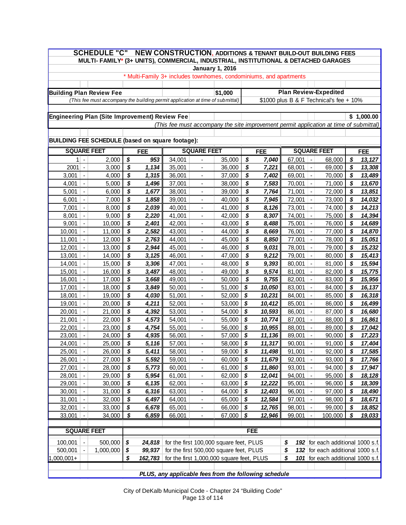| <b>SCHEDULE "C"</b><br><b>NEW CONSTRUCTION, ADDITIONS &amp; TENANT BUILD-OUT BUILDING FEES</b><br>MULTI- FAMILY* (3+ UNITS), COMMERCIAL, INDUSTRIAL, INSTITUTIONAL & DETACHED GARAGES                                                                                    |                                                  |  |  |  |  |  |  |  |  |  |
|--------------------------------------------------------------------------------------------------------------------------------------------------------------------------------------------------------------------------------------------------------------------------|--------------------------------------------------|--|--|--|--|--|--|--|--|--|
| <b>January 1, 2016</b>                                                                                                                                                                                                                                                   |                                                  |  |  |  |  |  |  |  |  |  |
| * Multi-Family 3+ includes townhomes, condominiums, and apartments                                                                                                                                                                                                       |                                                  |  |  |  |  |  |  |  |  |  |
|                                                                                                                                                                                                                                                                          |                                                  |  |  |  |  |  |  |  |  |  |
| <b>Plan Review-Expedited</b><br><b>Building Plan Review Fee</b><br>\$1,000                                                                                                                                                                                               |                                                  |  |  |  |  |  |  |  |  |  |
| (This fee must accompany the building permit application at time of submittal)<br>\$1000 plus B & F Technical's fee + 10%                                                                                                                                                |                                                  |  |  |  |  |  |  |  |  |  |
|                                                                                                                                                                                                                                                                          |                                                  |  |  |  |  |  |  |  |  |  |
| <b>Engineering Plan (Site Improvement) Review Fee</b>                                                                                                                                                                                                                    | \$1,000.00                                       |  |  |  |  |  |  |  |  |  |
| (This fee must accompany the site improvement permit application at time of submittal)                                                                                                                                                                                   |                                                  |  |  |  |  |  |  |  |  |  |
|                                                                                                                                                                                                                                                                          |                                                  |  |  |  |  |  |  |  |  |  |
| <b>BUILDING FEE SCHEDULE (based on square footage):</b>                                                                                                                                                                                                                  |                                                  |  |  |  |  |  |  |  |  |  |
| <b>SQUARE FEET</b><br><b>SQUARE FEET</b><br><b>SQUARE FEET</b><br><b>FEE</b><br><b>FEE</b>                                                                                                                                                                               | <b>FEE</b>                                       |  |  |  |  |  |  |  |  |  |
| \$<br>\$<br>2,000<br>953<br>34,001<br>35,000<br>7,040<br>67,001<br>1 <sup>1</sup><br>$\blacksquare$<br>$\overline{\phantom{0}}$                                                                                                                                          | 68,000<br>\$<br>13, 127                          |  |  |  |  |  |  |  |  |  |
| \$<br>1,134<br>\$<br>2001<br>3,000<br>35,001<br>36,000<br>7,221<br>68,001<br>$\blacksquare$<br>$\qquad \qquad \blacksquare$<br>$\overline{\phantom{a}}$                                                                                                                  | \$<br>69,000<br>13,308                           |  |  |  |  |  |  |  |  |  |
| \$<br>\$<br>3,001<br>4,000<br>1,315<br>36,001<br>37,000<br>69,001<br>7,402<br>$\blacksquare$<br>$\frac{1}{2}$<br>$\overline{\phantom{a}}$                                                                                                                                | \$<br>70,000<br>13,489                           |  |  |  |  |  |  |  |  |  |
| \$<br>\$<br>70,001<br>4,001<br>5,000<br>1,496<br>37,001<br>38,000<br>7,583<br>$\blacksquare$<br>$\blacksquare$<br>$\qquad \qquad \blacksquare$                                                                                                                           | \$<br>71,000<br>13,670                           |  |  |  |  |  |  |  |  |  |
| \$<br>\$<br>71,001<br>5,001<br>6,000<br>1,677<br>38,001<br>39,000<br>7,764<br>$\blacksquare$<br>$\blacksquare$<br>$\qquad \qquad \blacksquare$                                                                                                                           | \$<br>72,000<br>13,851                           |  |  |  |  |  |  |  |  |  |
| \$<br>\$<br>72,001<br>6,001<br>7,000<br>1,858<br>39,001<br>40,000<br>7,945<br>$\blacksquare$<br>$\blacksquare$<br>$\overline{\phantom{a}}$                                                                                                                               | \$<br>14,032<br>73,000                           |  |  |  |  |  |  |  |  |  |
| \$<br>\$<br>73,001<br>7,001<br>2,039<br>40,001<br>41,000<br>8,126<br>8,000<br>$\blacksquare$<br>$\blacksquare$<br>$\qquad \qquad \blacksquare$                                                                                                                           | \$<br>14,213<br>74,000                           |  |  |  |  |  |  |  |  |  |
| \$<br>2,220<br>\$<br>8,307<br>74,001<br>8,001<br>9,000<br>41,001<br>42,000<br>$\blacksquare$<br>$\blacksquare$<br>$\qquad \qquad \blacksquare$                                                                                                                           | \$<br>14,394<br>75,000                           |  |  |  |  |  |  |  |  |  |
| \$<br>\$<br>75,001<br>9,001<br>2,401<br>42,001<br>43,000<br>8,488<br>10,000<br>$\frac{1}{2}$<br>$\blacksquare$<br>$\blacksquare$                                                                                                                                         | \$<br>14,689<br>76,000                           |  |  |  |  |  |  |  |  |  |
| \$<br>2,582<br>\$<br>76,001<br>10,001<br>11,000<br>43,001<br>44,000<br>8,669<br>$\blacksquare$<br>$\frac{1}{2}$<br>$\blacksquare$                                                                                                                                        | \$<br>14,870<br>77,000                           |  |  |  |  |  |  |  |  |  |
| \$<br>\$<br>2,763<br>77,001<br>11,001<br>12,000<br>44,001<br>45,000<br>8,850<br>$\blacksquare$<br>$\blacksquare$<br>$\blacksquare$                                                                                                                                       | \$<br>15,051<br>78,000                           |  |  |  |  |  |  |  |  |  |
| \$<br>\$<br>78,001<br>12,001<br>13,000<br>2,944<br>45,001<br>46,000<br>9,031<br>$\blacksquare$<br>$\blacksquare$<br>$\blacksquare$                                                                                                                                       | \$<br>15,232<br>79,000                           |  |  |  |  |  |  |  |  |  |
| \$<br>\$<br>79,001<br>13,001<br>14,000<br>3,125<br>46,001<br>47,000<br>9,212<br>$\blacksquare$<br>$\blacksquare$<br>$\blacksquare$<br>\$<br>3,306<br>\$<br>80,001<br>14,001<br>15,000<br>47,001<br>48,000<br>9,393<br>$\blacksquare$<br>$\blacksquare$<br>$\blacksquare$ | \$<br>80,000<br>15,413<br>\$<br>15,594<br>81,000 |  |  |  |  |  |  |  |  |  |
| \$<br>\$<br>15,001<br>16,000<br>3,487<br>48,001<br>49,000<br>9,574<br>81,001<br>$\blacksquare$<br>$\blacksquare$<br>$\blacksquare$                                                                                                                                       | \$<br>82,000<br>15,775                           |  |  |  |  |  |  |  |  |  |
| \$<br>\$<br>82,001<br>16,001<br>$\blacksquare$<br>17,000<br>3,668<br>49,001<br>50,000<br>9,755<br>$\blacksquare$<br>$\blacksquare$                                                                                                                                       | \$<br>83,000<br>15,956                           |  |  |  |  |  |  |  |  |  |
| \$<br>\$<br>17,001<br>18,000<br>3,849<br>50,001<br>51,000<br>10,050<br>83,001<br>$\blacksquare$<br>$\blacksquare$<br>$\qquad \qquad \blacksquare$                                                                                                                        | \$<br>84,000<br>16,137                           |  |  |  |  |  |  |  |  |  |
| \$<br>\$<br>52,000<br>84,001<br>18,001<br>$\omega$<br>19,000<br>4,030<br>51,001<br>10,231<br>$\blacksquare$<br>$\blacksquare$                                                                                                                                            | \$<br>16,318<br>85,000                           |  |  |  |  |  |  |  |  |  |
| \$<br>\$<br>4,211<br>19,001<br>20,000<br>52,001<br>53,000<br>10,412<br>85,001<br>$\blacksquare$<br>$\frac{1}{2}$<br>$\blacksquare$                                                                                                                                       | \$<br>86,000<br>16,499                           |  |  |  |  |  |  |  |  |  |
| \$<br>$\boldsymbol{s}$<br>4,392<br>10,593<br>86,001<br>20,001<br>21,000<br>53,001<br>54,000<br>$\blacksquare$<br>$\blacksquare$<br>$\blacksquare$                                                                                                                        | \$<br>87,000<br>16,680                           |  |  |  |  |  |  |  |  |  |
| \$<br>4,573<br>\$<br>21,001<br>22,000<br>54,001<br>55,000<br>10,774<br>87,001<br>$\blacksquare$<br>$\frac{1}{2}$<br>$\blacksquare$                                                                                                                                       | \$<br>88,000<br>16,861                           |  |  |  |  |  |  |  |  |  |
| \$<br>\$<br>4,754<br>88,001<br>22,001<br>$\Box$<br>23,000<br>55,001<br>56,000<br>10,955<br>$\frac{1}{2}$<br>$\frac{1}{2}$                                                                                                                                                | \$<br>17,042<br>89,000                           |  |  |  |  |  |  |  |  |  |
| \$<br>\$<br>23,001<br>24,000<br>4,935<br>56,001<br>57,000<br>11,136<br>89,001<br>$\blacksquare$<br>$\blacksquare$                                                                                                                                                        | \$<br>90,000<br>17,223                           |  |  |  |  |  |  |  |  |  |
| $\pmb{\mathcal{S}}$<br>$58,000$ \$<br>25,000<br>5,116<br>57,001<br>11,317<br>90,001<br>24,001                                                                                                                                                                            | $\boldsymbol{\mathsf{s}}$<br>17,404<br>91,000    |  |  |  |  |  |  |  |  |  |
| \$<br>25,001<br>26,000<br>5,411<br>58,001<br>59,000<br>- \$<br>11,498<br>91,001<br>$\blacksquare$<br>$\blacksquare$                                                                                                                                                      | \$<br>92,000<br>17,585                           |  |  |  |  |  |  |  |  |  |
| 26,001<br>27,000<br>\$<br>5,592<br>59,001<br>60,000<br>-\$<br>92,001<br>11,679<br>$\blacksquare$<br>$\blacksquare$                                                                                                                                                       | \$<br>93,000<br>17,766                           |  |  |  |  |  |  |  |  |  |
| \$<br>27,001<br>28,000<br>5,773<br>61,000<br>-\$<br>93,001<br>60,001<br>11,860<br>$\blacksquare$                                                                                                                                                                         | \$<br>94,000<br>17,947                           |  |  |  |  |  |  |  |  |  |
| \$<br>29,000<br>5,954<br>62,000<br>\$<br>12,041<br>94,001<br>28,001<br>$\blacksquare$<br>61,001<br>$\blacksquare$<br>$\qquad \qquad \blacksquare$                                                                                                                        | \$<br>95,000<br>18,128                           |  |  |  |  |  |  |  |  |  |
| \$<br>29,001<br>6,135<br>63,000<br>\$<br>12,222<br>95,001<br>30,000<br>62,001<br>$\blacksquare$<br>$\overline{\phantom{a}}$                                                                                                                                              | \$<br>96,000<br>18,309                           |  |  |  |  |  |  |  |  |  |
| \$<br>31,000<br>6,316<br>64,000<br>\$<br>12,403<br>96,001<br>30,001<br>$\blacksquare$<br>63,001<br>$\blacksquare$                                                                                                                                                        | \$<br>97,000<br>18,490                           |  |  |  |  |  |  |  |  |  |
| \$<br>31,001<br>32,000<br>6,497<br>65,000<br>\$<br>12,584<br>97,001<br>64,001<br>$\blacksquare$                                                                                                                                                                          | \$<br>18,671<br>98,000                           |  |  |  |  |  |  |  |  |  |
| \$<br>32,001<br>33,000<br>6,678<br>66,000<br>\$<br>98,001<br>$\blacksquare$<br>65,001<br>12,765<br>$\blacksquare$                                                                                                                                                        | \$<br>99,000<br>18,852                           |  |  |  |  |  |  |  |  |  |
| \$<br>6,859<br>\$<br>\$<br>33,001<br>34,000<br>66,001<br>67,000<br>12,946<br>99,001<br>100,000<br>19,033<br>$\blacksquare$                                                                                                                                               |                                                  |  |  |  |  |  |  |  |  |  |
| FEE<br><b>SQUARE FEET</b>                                                                                                                                                                                                                                                |                                                  |  |  |  |  |  |  |  |  |  |
|                                                                                                                                                                                                                                                                          |                                                  |  |  |  |  |  |  |  |  |  |
| for the first 100,000 square feet, PLUS<br>500,000<br>\$<br>100,001<br>24,818<br>$\blacksquare$<br>\$                                                                                                                                                                    | 192 for each additional 1000 s.f.                |  |  |  |  |  |  |  |  |  |
| for the first 500,000 square feet, PLUS<br>500,001<br>1,000,000<br>\$<br>99,937<br>\$<br>$\blacksquare$                                                                                                                                                                  | 132 for each additional 1000 s.f.                |  |  |  |  |  |  |  |  |  |
| $1,000,001+$<br>for the first 1,000,000 square feet, PLUS<br>\$<br>\$<br>162,783                                                                                                                                                                                         |                                                  |  |  |  |  |  |  |  |  |  |
|                                                                                                                                                                                                                                                                          | 101 for each additional 1000 s.f.                |  |  |  |  |  |  |  |  |  |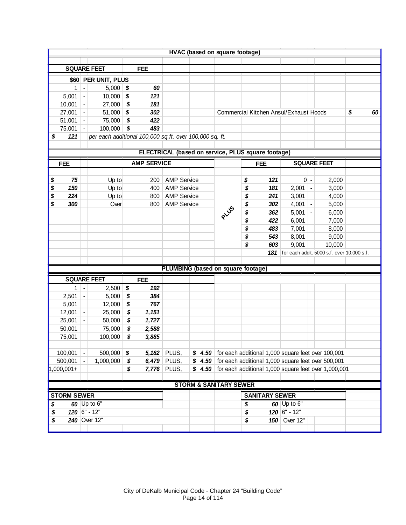|                    |                |                     |                                                         |                                                    | HVAC (based on square footage)     |      |          |                       |                                                              |       |                                                      |          |
|--------------------|----------------|---------------------|---------------------------------------------------------|----------------------------------------------------|------------------------------------|------|----------|-----------------------|--------------------------------------------------------------|-------|------------------------------------------------------|----------|
|                    |                |                     |                                                         |                                                    |                                    |      |          |                       |                                                              |       |                                                      |          |
|                    |                | <b>SQUARE FEET</b>  | <b>FEE</b>                                              |                                                    |                                    |      |          |                       |                                                              |       |                                                      |          |
|                    |                | \$60 PER UNIT, PLUS |                                                         |                                                    |                                    |      |          |                       |                                                              |       |                                                      |          |
| 1                  | $\blacksquare$ | $5,000$ \$          | 60                                                      |                                                    |                                    |      |          |                       |                                                              |       |                                                      |          |
| 5,001              | $\blacksquare$ | $10,000$ \$         | 121                                                     |                                                    |                                    |      |          |                       |                                                              |       |                                                      |          |
| 10,001             | $\blacksquare$ | 27,000              | \$<br>181                                               |                                                    |                                    |      |          |                       |                                                              |       |                                                      |          |
| 27,001             | $\blacksquare$ | 51,000 \$           | 302                                                     |                                                    |                                    |      |          |                       | <b>Commercial Kitchen Ansul/Exhaust Hoods</b>                |       |                                                      | \$<br>60 |
| 51,001             | $\blacksquare$ | 75,000              | $\overline{\mathbf{S}}$<br>422                          |                                                    |                                    |      |          |                       |                                                              |       |                                                      |          |
| 75,001             | $\blacksquare$ | 100,000             | \$<br>483                                               |                                                    |                                    |      |          |                       |                                                              |       |                                                      |          |
| 121<br>\$          |                |                     | per each additional 100,000 sq.ft. over 100,000 sq. ft. |                                                    |                                    |      |          |                       |                                                              |       |                                                      |          |
|                    |                |                     |                                                         |                                                    |                                    |      |          |                       |                                                              |       |                                                      |          |
|                    |                |                     |                                                         | ELECTRICAL (based on service, PLUS square footage) |                                    |      |          |                       |                                                              |       |                                                      |          |
| <b>FEE</b>         |                |                     | <b>AMP SERVICE</b>                                      |                                                    |                                    |      |          | <b>FEE</b>            |                                                              |       | <b>SQUARE FEET</b>                                   |          |
| 75                 |                |                     | 200                                                     | <b>AMP Service</b>                                 |                                    |      |          | 121                   |                                                              | $0$ - | 2,000                                                |          |
| \$<br>\$<br>150    |                | Up to<br>Up to      | 400                                                     | <b>AMP Service</b>                                 |                                    |      | \$<br>\$ | 181                   | $2,001$ -                                                    |       | 3,000                                                |          |
| \$<br>224          |                | Up to               | 800                                                     | <b>AMP Service</b>                                 |                                    |      | \$       | 241                   | 3,001                                                        |       | 4,000                                                |          |
| \$<br>300          |                | Over                | 800                                                     | <b>AMP Service</b>                                 |                                    |      | \$       | 302                   | $4,001$ -                                                    |       | 5,000                                                |          |
|                    |                |                     |                                                         |                                                    |                                    | PLUS | \$       | 362                   | $5,001$ -                                                    |       | 6,000                                                |          |
|                    |                |                     |                                                         |                                                    |                                    |      | \$       | 422                   | 6,001                                                        |       | 7,000                                                |          |
|                    |                |                     |                                                         |                                                    |                                    |      | \$       | 483                   | 7,001                                                        |       | 8,000                                                |          |
|                    |                |                     |                                                         |                                                    |                                    |      | \$       | 543                   | 8,001                                                        |       | 9,000                                                |          |
|                    |                |                     |                                                         |                                                    |                                    |      | \$       | 603                   | 9,001                                                        |       | 10,000                                               |          |
|                    |                |                     |                                                         |                                                    |                                    |      |          | 181                   |                                                              |       | for each addit. 5000 s.f. over 10,000 s.f.           |          |
|                    |                |                     |                                                         |                                                    |                                    |      |          |                       |                                                              |       |                                                      |          |
|                    |                |                     |                                                         |                                                    | PLUMBING (based on square footage) |      |          |                       |                                                              |       |                                                      |          |
|                    |                | <b>SQUARE FEET</b>  | <b>FEE</b>                                              |                                                    |                                    |      |          |                       |                                                              |       |                                                      |          |
| 1                  | $\blacksquare$ | 2,500               | \$<br>192                                               |                                                    |                                    |      |          |                       |                                                              |       |                                                      |          |
| 2,501              | $\blacksquare$ | 5,000               | \$<br>384                                               |                                                    |                                    |      |          |                       |                                                              |       |                                                      |          |
| 5,001              |                | 12,000              | \$<br>767                                               |                                                    |                                    |      |          |                       |                                                              |       |                                                      |          |
| 12,001             | $\blacksquare$ | 25,000              | $\boldsymbol{\mathsf{s}}$<br>1,151                      |                                                    |                                    |      |          |                       |                                                              |       |                                                      |          |
| 25,001             | $\blacksquare$ | 50,000              | \$<br>1,727                                             |                                                    |                                    |      |          |                       |                                                              |       |                                                      |          |
| 50,001             |                | 75,000              | \$<br>2,588                                             |                                                    |                                    |      |          |                       |                                                              |       |                                                      |          |
| 75,001             |                | 100,000             | \$<br>3,885                                             |                                                    |                                    |      |          |                       |                                                              |       |                                                      |          |
|                    |                |                     |                                                         |                                                    |                                    |      |          |                       |                                                              |       |                                                      |          |
| 100,001            | $\blacksquare$ | 500,000             | \$                                                      | $5,182$ PLUS,                                      |                                    |      |          |                       | \$ $4.50$ for each additional 1,000 square feet over 100,001 |       |                                                      |          |
| 500,001            |                | 1,000,000           | \$                                                      | $6,479$ PLUS,                                      | \$4.50                             |      |          |                       | for each additional 1,000 square feet over 500,001           |       |                                                      |          |
| $1,000,001+$       |                |                     | \$                                                      | $7,776$ PLUS,                                      | \$4.50                             |      |          |                       |                                                              |       | for each additional 1,000 square feet over 1,000,001 |          |
|                    |                |                     |                                                         |                                                    |                                    |      |          |                       |                                                              |       |                                                      |          |
|                    |                |                     |                                                         |                                                    | <b>STORM &amp; SANITARY SEWER</b>  |      |          |                       |                                                              |       |                                                      |          |
| <b>STORM SEWER</b> |                |                     |                                                         |                                                    |                                    |      |          | <b>SANITARY SEWER</b> |                                                              |       |                                                      |          |
| \$                 |                | 60 $Up$ to 6"       |                                                         |                                                    |                                    |      | \$       |                       | 60 $Up$ to 6"                                                |       |                                                      |          |
| \$                 |                | $120$ 6" - 12"      |                                                         |                                                    |                                    |      | \$       |                       | $120$ 6" - 12"                                               |       |                                                      |          |
| \$                 |                | 240 Over 12"        |                                                         |                                                    |                                    |      | \$       |                       | 150 Over 12"                                                 |       |                                                      |          |
|                    |                |                     |                                                         |                                                    |                                    |      |          |                       |                                                              |       |                                                      |          |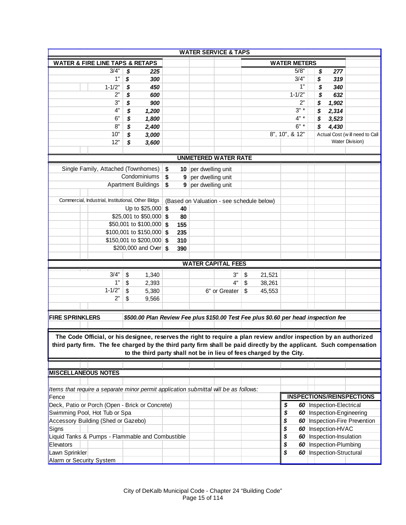|                                                                                                                      |                                  |     | <b>WATER SERVICE &amp; TAPS</b>                                                     |              |                     |                                                   |
|----------------------------------------------------------------------------------------------------------------------|----------------------------------|-----|-------------------------------------------------------------------------------------|--------------|---------------------|---------------------------------------------------|
| <b>WATER &amp; FIRE LINE TAPS &amp; RETAPS</b>                                                                       |                                  |     |                                                                                     |              | <b>WATER METERS</b> |                                                   |
| 3/4"                                                                                                                 | \$<br>225                        |     |                                                                                     |              | 5/8"                | \$<br>277                                         |
| 1"                                                                                                                   | \$<br>300                        |     |                                                                                     |              | 3/4"                | \$<br>319                                         |
| $1 - 1/2"$                                                                                                           | \$<br>450                        |     |                                                                                     |              | 1"                  | \$<br>340                                         |
| 2"                                                                                                                   | \$<br>600                        |     |                                                                                     |              | $1 - 1/2"$          | \$<br>632                                         |
| 3"                                                                                                                   | \$<br>900                        |     |                                                                                     |              | 2"                  | \$<br>1,902                                       |
| 4"                                                                                                                   | 1,200                            |     |                                                                                     |              | $3" *$              | 2,314<br>\$                                       |
| 6"                                                                                                                   | \$                               |     |                                                                                     |              | $4" *$              |                                                   |
| 8"                                                                                                                   | \$<br>1,800                      |     |                                                                                     |              | $6" *$              | 3,523<br>\$                                       |
| 10"                                                                                                                  | \$<br>2,400                      |     |                                                                                     |              |                     | 4,430<br>\$                                       |
| 12"                                                                                                                  | \$<br>3,000                      |     |                                                                                     |              | 8", 10", & 12"      | Actual Cost (will need to Call<br>Water Division) |
|                                                                                                                      | \$<br>3,600                      |     |                                                                                     |              |                     |                                                   |
|                                                                                                                      |                                  |     | <b>UNMETERED WATER RATE</b>                                                         |              |                     |                                                   |
|                                                                                                                      |                                  |     |                                                                                     |              |                     |                                                   |
| Single Family, Attached (Townhomes)                                                                                  | Condominiums                     | \$  | 10 per dwelling unit                                                                |              |                     |                                                   |
|                                                                                                                      |                                  | \$  | 9 per dwelling unit                                                                 |              |                     |                                                   |
|                                                                                                                      | <b>Apartment Buildings</b>       | \$  | 9 per dwelling unit                                                                 |              |                     |                                                   |
| Commercial, Industrial, Institutional, Other Bldgs                                                                   |                                  |     |                                                                                     |              |                     |                                                   |
|                                                                                                                      |                                  |     | (Based on Valuation - see schedule below)                                           |              |                     |                                                   |
|                                                                                                                      | Up to $$25,000$ \$               | 40  |                                                                                     |              |                     |                                                   |
|                                                                                                                      | \$25,001 to \$50,000 \$          | 80  |                                                                                     |              |                     |                                                   |
|                                                                                                                      | \$50,001 to \$100,000 \$         | 155 |                                                                                     |              |                     |                                                   |
|                                                                                                                      | $$100,001$ to $$150,000$ \$      | 235 |                                                                                     |              |                     |                                                   |
|                                                                                                                      | \$150,001 to \$200,000 \$        | 310 |                                                                                     |              |                     |                                                   |
|                                                                                                                      | \$200,000 and Over $\frac{1}{9}$ | 390 |                                                                                     |              |                     |                                                   |
|                                                                                                                      |                                  |     |                                                                                     |              |                     |                                                   |
|                                                                                                                      |                                  |     | <b>WATER CAPITAL FEES</b>                                                           |              |                     |                                                   |
| 3/4"                                                                                                                 | 1,340<br>\$                      |     | 3"                                                                                  | 21,521<br>\$ |                     |                                                   |
| 1"                                                                                                                   | 2,393<br>\$                      |     | 4"                                                                                  | 38,261<br>\$ |                     |                                                   |
| $1 - 1/2"$                                                                                                           | \$<br>5,380                      |     | 6" or Greater                                                                       | 45,553<br>S. |                     |                                                   |
| 2"                                                                                                                   | \$<br>9,566                      |     |                                                                                     |              |                     |                                                   |
|                                                                                                                      |                                  |     |                                                                                     |              |                     |                                                   |
| <b>FIRE SPRINKLERS</b>                                                                                               |                                  |     | \$500.00 Plan Review Fee plus \$150.00 Test Fee plus \$0.60 per head inspection fee |              |                     |                                                   |
|                                                                                                                      |                                  |     |                                                                                     |              |                     |                                                   |
|                                                                                                                      |                                  |     |                                                                                     |              |                     |                                                   |
| The Code Official, or his designee, reserves the right to require a plan review and/or inspection by an authorized   |                                  |     |                                                                                     |              |                     |                                                   |
| third party firm. The fee charged by the third party firm shall be paid directly by the applicant. Such compensation |                                  |     |                                                                                     |              |                     |                                                   |
|                                                                                                                      |                                  |     | to the third party shall not be in lieu of fees charged by the City.                |              |                     |                                                   |
|                                                                                                                      |                                  |     |                                                                                     |              |                     |                                                   |
| <b>MISCELLANEOUS NOTES</b>                                                                                           |                                  |     |                                                                                     |              |                     |                                                   |
|                                                                                                                      |                                  |     |                                                                                     |              |                     |                                                   |
| Items that require a separate minor permit application submittal will be as follows:                                 |                                  |     |                                                                                     |              |                     |                                                   |
| Fence                                                                                                                |                                  |     |                                                                                     |              |                     | <b>INSPECTIONS/REINSPECTIONS</b>                  |
| Deck, Patio or Porch (Open - Brick or Concrete)                                                                      |                                  |     |                                                                                     |              | \$                  | 60 Inspection-Electrical                          |
| Swimming Pool, Hot Tub or Spa                                                                                        |                                  |     |                                                                                     |              | \$                  | 60   Inspection-Engineering                       |
| Accessory Building (Shed or Gazebo)                                                                                  |                                  |     |                                                                                     |              | \$                  | 60 Inspection-Fire Prevention                     |
| Signs                                                                                                                |                                  |     |                                                                                     |              | \$                  | 60 Insepction-HVAC                                |
| Liquid Tanks & Pumps - Flammable and Combustible                                                                     |                                  |     |                                                                                     |              | \$                  | 60 Inspection-Insulation                          |
| Elevators                                                                                                            |                                  |     |                                                                                     |              | \$                  | 60   Inspection-Plumbing                          |
|                                                                                                                      |                                  |     |                                                                                     |              |                     |                                                   |
| Lawn Sprinkler                                                                                                       |                                  |     |                                                                                     |              | \$                  | 60   Inspection-Structural                        |
| Alarm or Security System                                                                                             |                                  |     |                                                                                     |              |                     |                                                   |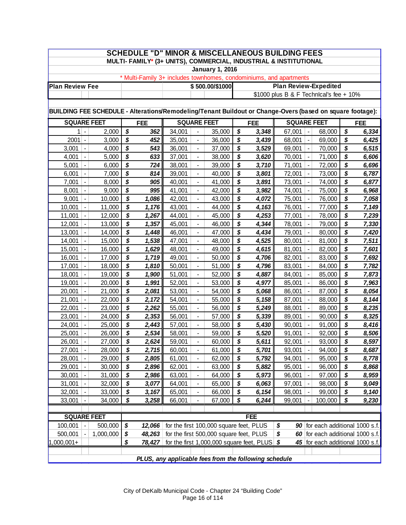|                                                                                                           | <b>SCHEDULE "D" MINOR &amp; MISCELLANEOUS BUILDING FEES</b><br>MULTI- FAMILY* (3+ UNITS), COMMERCIAL, INDUSTRIAL & INSTITUTIONAL |                  |                                       |                |                  |                                  |                                         |          |                                           |                                                                    |                                            |                                  |                                       |                |
|-----------------------------------------------------------------------------------------------------------|----------------------------------------------------------------------------------------------------------------------------------|------------------|---------------------------------------|----------------|------------------|----------------------------------|-----------------------------------------|----------|-------------------------------------------|--------------------------------------------------------------------|--------------------------------------------|----------------------------------|---------------------------------------|----------------|
|                                                                                                           |                                                                                                                                  |                  |                                       |                |                  |                                  | <b>January 1, 2016</b>                  |          |                                           |                                                                    |                                            |                                  |                                       |                |
|                                                                                                           |                                                                                                                                  |                  |                                       |                |                  |                                  |                                         |          |                                           | * Multi-Family 3+ includes townhomes, condominiums, and apartments |                                            |                                  |                                       |                |
| <b>Plan Review Fee</b>                                                                                    |                                                                                                                                  |                  |                                       |                |                  |                                  | \$500.00/\$1000                         |          |                                           | <b>Plan Review-Expedited</b>                                       |                                            |                                  |                                       |                |
|                                                                                                           |                                                                                                                                  |                  |                                       |                |                  |                                  |                                         |          |                                           | \$1000 plus B & F Technical's fee + 10%                            |                                            |                                  |                                       |                |
|                                                                                                           |                                                                                                                                  |                  |                                       |                |                  |                                  |                                         |          |                                           |                                                                    |                                            |                                  |                                       |                |
| BUILDING FEE SCHEDULE - Alterations/Remodeling/Tenant Buildout or Change-Overs (based on square footage): |                                                                                                                                  |                  |                                       |                |                  |                                  |                                         |          |                                           |                                                                    |                                            |                                  |                                       |                |
| <b>SQUARE FEET</b>                                                                                        |                                                                                                                                  |                  |                                       | <b>FEE</b>     |                  |                                  | <b>SQUARE FEET</b>                      |          | <b>FEE</b>                                | <b>SQUARE FEET</b>                                                 |                                            |                                  |                                       | <b>FEE</b>     |
|                                                                                                           | $1$ -                                                                                                                            | 2,000            | \$                                    | 362            | 34,001           |                                  | 35,000                                  | \$       | 3,348                                     | 67,001                                                             | $\overline{\phantom{a}}$                   | 68,000                           | \$                                    | 6,334          |
| 2001                                                                                                      | $\overline{\phantom{a}}$                                                                                                         | 3,000            | \$                                    | 452            | 35,001           |                                  | 36,000                                  | \$       | 3,439                                     | 68,001                                                             |                                            | 69,000                           | \$                                    | 6,425          |
| 3,001                                                                                                     | $\blacksquare$                                                                                                                   | 4,000            | \$                                    | 543            | 36,001           | $\blacksquare$                   | 37,000                                  | \$       | 3,529                                     | 69,001                                                             | $\blacksquare$                             | 70,000                           | \$                                    | 6,515          |
| 4,001                                                                                                     | $\blacksquare$                                                                                                                   | 5,000            | \$                                    | 633            | 37,001           | $\overline{\phantom{a}}$         | 38,000                                  | \$       | 3,620                                     | 70,001                                                             | $\blacksquare$                             | 71,000                           | \$                                    | 6,606          |
| 5,001                                                                                                     | $\blacksquare$                                                                                                                   | 6,000            | $\overline{\boldsymbol{\mathsf{s}}}$  | 724            | 38,001           | $\blacksquare$                   | 39,000                                  | \$       | 3,710                                     | 71,001                                                             | $\blacksquare$                             | 72,000                           | $\overline{\boldsymbol{s}}$           | 6,696          |
| 6,001                                                                                                     | ÷,                                                                                                                               | 7,000            | \$                                    | 814            | 39,001           | $\overline{\phantom{a}}$         | 40,000                                  | \$       | 3,801                                     | 72,001                                                             | $\blacksquare$                             | 73,000                           | \$                                    | 6,787          |
| 7,001                                                                                                     | $\overline{\phantom{a}}$                                                                                                         | 8,000            | \$                                    | 905            | 40,001           | $\overline{\phantom{a}}$         | 41,000                                  | \$       | 3,891                                     | 73,001                                                             | $\qquad \qquad \blacksquare$               | 74,000                           | \$                                    | 6,877          |
| 8,001                                                                                                     | $\overline{\phantom{a}}$                                                                                                         | 9,000            | \$                                    | 995            | 41,001           | $\blacksquare$                   | 42,000                                  | \$       | 3,982                                     | 74,001                                                             | $\overline{\phantom{a}}$                   | 75,000                           | \$                                    | 6,968          |
| 9,001                                                                                                     | $\blacksquare$                                                                                                                   | 10,000           | $\overline{\boldsymbol{\mathcal{S}}}$ | 1,086          | 42,001           | $\overline{\phantom{a}}$         | 43,000                                  | \$       | 4,072                                     | 75,001                                                             | $\blacksquare$                             | 76,000                           | \$                                    | 7,058          |
| 10,001                                                                                                    | $\blacksquare$                                                                                                                   | 11,000           | \$                                    | 1,176          | 43,001           |                                  | 44,000                                  | \$       | 4,163                                     | 76,001                                                             |                                            | 77,000                           | \$                                    | 7,149          |
| 11,001                                                                                                    |                                                                                                                                  | 12,000           | \$                                    | 1,267          | 44,001           |                                  | 45,000                                  | \$       | 4,253                                     | 77,001                                                             |                                            | 78,000                           | \$                                    | 7,239          |
| 12,001                                                                                                    | $\blacksquare$                                                                                                                   | 13,000           | \$                                    | 1,357          | 45,001           | $\blacksquare$                   | 46,000                                  | \$       | 4,344                                     | 78,001                                                             |                                            | 79,000                           | \$                                    | 7,330          |
| 13,001                                                                                                    | $\blacksquare$                                                                                                                   | 14,000           | \$                                    | 1,448          | 46,001           | $\blacksquare$                   | 47,000                                  | \$       | 4,434                                     | 79,001                                                             | $\blacksquare$                             | 80,000                           | \$                                    | 7,420          |
| 14,001                                                                                                    | $\blacksquare$                                                                                                                   | 15,000           | $\overline{\boldsymbol{\mathcal{S}}}$ | 1,538          | 47,001           | $\blacksquare$                   | 48,000                                  | \$       | 4,525                                     | 80,001                                                             | $\blacksquare$                             | 81,000                           | \$                                    | 7,511          |
| 15,001                                                                                                    | $\overline{\phantom{a}}$                                                                                                         | 16,000           | \$                                    | 1,629          | 48,001           | $\blacksquare$                   | 49,000                                  | \$       | 4,615                                     | 81,001                                                             | $\blacksquare$                             | 82,000                           | \$                                    | 7,601          |
| 16,001                                                                                                    | $\blacksquare$                                                                                                                   | 17,000           | $\overline{\boldsymbol{s}}$           | 1,719          | 49,001           | $\overline{\phantom{a}}$         | 50,000                                  | \$       | 4,706                                     | 82,001                                                             | $\blacksquare$                             | 83,000                           | \$                                    | 7,692          |
| 17,001                                                                                                    | $\overline{\phantom{a}}$                                                                                                         | 18,000           | $\overline{\mathbf{S}}$               | 1,810          | 50,001           | $\overline{\phantom{a}}$         | 51,000                                  | \$       | 4,796                                     | 83,001                                                             | $\blacksquare$                             | 84,000                           | \$                                    | 7,782          |
| 18,001                                                                                                    | $\blacksquare$                                                                                                                   | 19,000           | $\overline{\boldsymbol{\mathcal{S}}}$ | 1,900          | 51,001           | $\blacksquare$                   | 52,000                                  | \$       | 4,887                                     | 84,001                                                             | $\blacksquare$                             | 85,000                           | $\overline{\boldsymbol{\mathcal{S}}}$ | 7,873          |
| 19,001                                                                                                    | $\blacksquare$                                                                                                                   | 20,000           | $\overline{\boldsymbol{\mathcal{S}}}$ | 1,991          | 52,001           |                                  | 53,000                                  | \$       | 4,977                                     | 85,001                                                             |                                            | 86,000                           | \$                                    | 7,963          |
| 20,001                                                                                                    |                                                                                                                                  | 21,000           | \$                                    | 2,081          | 53,001           | $\blacksquare$                   | 54,000                                  | \$       | 5,068                                     | 86,001                                                             |                                            | 87,000                           | \$                                    | 8,054          |
| 21,001                                                                                                    | $\blacksquare$                                                                                                                   | 22,000           | \$                                    | 2,172          | 54,001           | $\overline{\phantom{a}}$         | 55,000                                  | \$       | 5,158                                     | 87,001                                                             | $\overline{\phantom{a}}$                   | 88,000                           | \$                                    | 8,144          |
| 22,001                                                                                                    | $\blacksquare$                                                                                                                   | 23,000           | \$                                    | 2,262          | 55,001           | $\overline{\phantom{a}}$         | 56,000                                  | \$       | 5,249                                     | 88,001                                                             | $\blacksquare$                             | 89,000                           | \$                                    | 8,235          |
| 23,001                                                                                                    | $\overline{\phantom{a}}$                                                                                                         | 24,000           | $\overline{\boldsymbol{\mathcal{S}}}$ | 2,353          | 56,001           | $\blacksquare$                   | 57,000                                  | \$       | 5,339                                     | 89,001                                                             | $\blacksquare$                             | 90,000                           | \$                                    | 8,325          |
| 24,001                                                                                                    | $\overline{\phantom{a}}$                                                                                                         | 25,000           | \$                                    | 2,443          | 57,001           | $\blacksquare$                   | 58,000                                  | \$       | 5,430                                     | 90,001                                                             | $\blacksquare$                             | 91,000                           | \$                                    | 8,416          |
| 25,001                                                                                                    |                                                                                                                                  | 26,000           | \$<br>\$                              | 2,534          | 58,001           | $\blacksquare$                   | 59,000                                  | \$<br>\$ | 5,520                                     | 91,001                                                             |                                            | 92,000                           | \$<br>\$                              | 8,506          |
| 26,001                                                                                                    | $\blacksquare$                                                                                                                   | 27,000           |                                       | 2,624          | 59,001           |                                  | 60,000                                  |          | 5,611                                     | 92,001                                                             | $\blacksquare$                             | 93,000                           |                                       | 8,597          |
| 27,001                                                                                                    | $\blacksquare$                                                                                                                   | 28,000           | \$<br>\$                              | 2,715          | 60,001           | $\blacksquare$                   | 61,000                                  | \$<br>\$ | 5,701                                     | 93,001                                                             | $\overline{\phantom{a}}$                   | 94,000                           | \$<br>\$                              | 8,687          |
| 28,001<br>29,001                                                                                          | $\qquad \qquad \blacksquare$<br>$\overline{\phantom{a}}$                                                                         | 29,000           | \$                                    | 2,805<br>2,896 | 61,001<br>62,001 |                                  | 62,000<br>63,000                        | \$       | 5,792                                     | 94,001<br>95,001                                                   | $\blacksquare$<br>$\overline{\phantom{a}}$ | 95,000<br>96,000                 | \$                                    | 8,778          |
| 30,001                                                                                                    | $\blacksquare$                                                                                                                   | 30,000<br>31,000 | \$                                    | 2,986          | 63,001           | $\blacksquare$<br>$\blacksquare$ | 64,000                                  | \$       | 5,882<br>5,973                            | 96,001                                                             | $\overline{\phantom{a}}$                   | 97,000                           | \$                                    | 8,868<br>8,959 |
| 31,001                                                                                                    | $\overline{\phantom{a}}$                                                                                                         | 32,000           | \$                                    | 3,077          | 64,001           | $\blacksquare$                   | 65,000                                  | \$       | 6,063                                     | 97,001                                                             | $\overline{\phantom{a}}$                   | 98,000                           | \$                                    | 9,049          |
| 32,001                                                                                                    | $\overline{\phantom{a}}$                                                                                                         | 33,000           | \$                                    | 3,167          | 65,001           | $\blacksquare$                   | 66,000                                  | \$       | 6,154                                     | 98,001                                                             |                                            | 99,000                           | \$                                    | 9,140          |
| 33,001                                                                                                    | $\qquad \qquad \blacksquare$                                                                                                     | 34,000           | \$                                    | 3,258          | 66,001           | $\overline{\phantom{a}}$         | 67,000                                  | \$       | 6,244                                     | 99,001                                                             |                                            | 100,000                          | \$                                    | 9,230          |
|                                                                                                           |                                                                                                                                  |                  |                                       |                |                  |                                  |                                         |          |                                           |                                                                    |                                            |                                  |                                       |                |
| <b>SQUARE FEET</b>                                                                                        |                                                                                                                                  |                  |                                       |                |                  |                                  |                                         |          | FEE                                       |                                                                    |                                            |                                  |                                       |                |
| 100,001                                                                                                   | $\blacksquare$                                                                                                                   | 500,000          | \$                                    | 12,066         |                  |                                  | for the first 100,000 square feet, PLUS |          |                                           | \$<br>90                                                           |                                            | for each additional 1000 s.f.    |                                       |                |
| 500,001                                                                                                   |                                                                                                                                  | 1,000,000        | \$                                    | 48,263         |                  |                                  | for the first 500,000 square feet, PLUS |          |                                           | \$<br>60                                                           |                                            | for each additional 1000 s.f.    |                                       |                |
| $,000,001+$                                                                                               |                                                                                                                                  |                  | \$                                    | 78,427         |                  |                                  |                                         |          | for the first 1,000,000 square feet, PLUS | \$                                                                 |                                            | 45 for each additional 1000 s.f. |                                       |                |
|                                                                                                           |                                                                                                                                  |                  |                                       |                |                  |                                  |                                         |          |                                           |                                                                    |                                            |                                  |                                       |                |
|                                                                                                           | PLUS, any applicable fees from the following schedule                                                                            |                  |                                       |                |                  |                                  |                                         |          |                                           |                                                                    |                                            |                                  |                                       |                |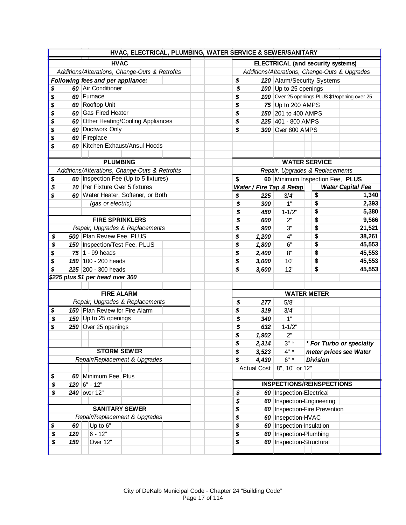|           |                                   | HVAC, ELECTRICAL, PLUMBING, WATER SERVICE & SEWER/SANITARY |       |                                  |       |                                 |                                               |                          |  |
|-----------|-----------------------------------|------------------------------------------------------------|-------|----------------------------------|-------|---------------------------------|-----------------------------------------------|--------------------------|--|
|           |                                   | <b>HVAC</b>                                                |       |                                  |       |                                 | <b>ELECTRICAL (and security systems)</b>      |                          |  |
|           |                                   | Additions/Alterations, Change-Outs & Retrofits             |       |                                  |       |                                 | Additions/Alterations, Change-Outs & Upgrades |                          |  |
|           | Following fees and per appliance: |                                                            |       | \$<br>120 Alarm/Security Systems |       |                                 |                                               |                          |  |
| \$        | 60 Air Conditioner                |                                                            |       | \$                               |       | 100 Up to 25 openings           |                                               |                          |  |
| \$        | 60 Furnace                        |                                                            |       | \$                               |       |                                 | 100 Over 25 openings PLUS \$1/opening over 25 |                          |  |
| \$        | 60 Rooftop Unit                   |                                                            |       | \$                               |       | 75 Up to 200 AMPS               |                                               |                          |  |
| \$        | 60 Gas Fired Heater               |                                                            |       | \$                               |       | 150 201 to 400 AMPS             |                                               |                          |  |
| \$        |                                   | 60 Other Heating/Cooling Appliances                        |       | \$                               |       | 225 401 - 800 AMPS              |                                               |                          |  |
| \$        | 60 Ductwork Only                  |                                                            |       | \$                               |       | 300 Over 800 AMPS               |                                               |                          |  |
| \$        | 60 Fireplace                      |                                                            |       |                                  |       |                                 |                                               |                          |  |
| \$        |                                   | 60 Kitchen Exhaust/Ansul Hoods                             |       |                                  |       |                                 |                                               |                          |  |
|           |                                   |                                                            |       |                                  |       |                                 |                                               |                          |  |
|           | <b>PLUMBING</b>                   |                                                            |       |                                  |       |                                 | <b>WATER SERVICE</b>                          |                          |  |
|           |                                   | Additions/Alterations, Change-Outs & Retrofits             |       |                                  |       | Repair, Upgrades & Replacements |                                               |                          |  |
| \$        |                                   | 60   Inspection Fee (Up to 5 fixtures)                     |       | \$                               |       |                                 | 60 Minimum Inspection Fee, PLUS               |                          |  |
| \$        | 10 Per Fixture Over 5 fixtures    |                                                            |       |                                  |       | Water / Fire Tap & Retap        |                                               | <b>Water Capital Fee</b> |  |
| \$        |                                   | 60 Water Heater, Softener, or Both                         |       | \$                               | 225   | 3/4"                            | \$                                            | 1,340                    |  |
|           | (gas or electric)                 |                                                            |       | \$                               | 300   | 1"                              | \$                                            | 2,393                    |  |
|           |                                   |                                                            |       | \$                               | 450   | $1 - 1/2"$                      | \$                                            | 5,380                    |  |
|           | <b>FIRE SPRINKLERS</b>            |                                                            |       | \$                               | 600   | 2"                              | \$                                            | 9,566                    |  |
|           |                                   | Repair, Upgrades & Replacements                            |       | \$                               | 900   | 3"                              | \$                                            | 21,521                   |  |
| \$        | 500 Plan Review Fee, PLUS         | \$                                                         | 1,200 | 4"                               | \$    | 38,261                          |                                               |                          |  |
| \$        | 150   Inspection/Test Fee, PLUS   | \$                                                         | 1,800 | 6"                               | \$    | 45,553                          |                                               |                          |  |
| \$        | $75$   1 - 99 heads               |                                                            |       | \$                               | 2,400 | 8"                              | \$                                            | 45,553                   |  |
| \$        | 150 100 - 200 heads               |                                                            |       | \$                               | 3,000 | 10"                             | \$                                            | 45,553                   |  |
| \$        | 225 200 - 300 heads               |                                                            |       | \$                               | 3,600 | 12"                             | \$                                            | 45,553                   |  |
|           | \$225 plus \$1 per head over 300  |                                                            |       |                                  |       |                                 |                                               |                          |  |
|           |                                   |                                                            |       |                                  |       |                                 |                                               |                          |  |
|           | <b>FIRE ALARM</b>                 |                                                            |       |                                  |       |                                 | <b>WATER METER</b>                            |                          |  |
|           |                                   | Repair, Upgrades & Replacements                            |       | \$                               | 277   | 5/8"                            |                                               |                          |  |
| \$        | 150 Plan Review for Fire Alarm    |                                                            |       | \$                               | 319   | 3/4"                            |                                               |                          |  |
| \$        | 150 Up to 25 openings             |                                                            |       | \$                               | 340   | 1"                              |                                               |                          |  |
| \$        | 250 Over 25 openings              |                                                            |       | \$                               | 632   | $1 - 1/2"$                      |                                               |                          |  |
|           |                                   |                                                            |       | \$                               | 1,902 | 2"                              |                                               |                          |  |
|           |                                   |                                                            |       | \$                               | 2,314 | $3" *$                          |                                               | * For Turbo or specialty |  |
|           |                                   | <b>STORM SEWER</b>                                         |       | \$                               | 3,523 | $4" *$                          | meter prices see Water                        |                          |  |
|           |                                   | Repair/Replacement & Upgrades                              |       | \$                               | 4,430 | $6" *$                          | <b>Division</b>                               |                          |  |
|           |                                   |                                                            |       |                                  |       | Actual Cost   8", 10" or 12"    |                                               |                          |  |
| \$        | 60 Minimum Fee, Plus              |                                                            |       |                                  |       |                                 |                                               |                          |  |
| \$        | $120$ 6" - 12"                    |                                                            |       |                                  |       |                                 | <b>INSPECTIONS/REINSPECTIONS</b>              |                          |  |
| \$        | 240 over 12"                      |                                                            |       | \$                               |       | 60 Inspection-Electrical        |                                               |                          |  |
|           |                                   |                                                            |       | \$                               |       |                                 | 60   Inspection-Engineering                   |                          |  |
|           |                                   | <b>SANITARY SEWER</b>                                      |       | \$                               |       |                                 | 60   Inspection-Fire Prevention               |                          |  |
|           |                                   | Repair/Replacement & Upgrades                              |       | \$                               |       | 60   Insepction-HVAC            |                                               |                          |  |
| \$<br>60  | Up to 6"                          |                                                            |       | \$                               |       | 60   Inspection-Insulation      |                                               |                          |  |
| \$<br>120 | $6 - 12"$                         |                                                            |       | \$                               |       | 60   Inspection-Plumbing        |                                               |                          |  |
| \$<br>150 | Over 12"                          |                                                            |       | \$                               |       | 60   Inspection-Structural      |                                               |                          |  |
|           |                                   |                                                            |       |                                  |       |                                 |                                               |                          |  |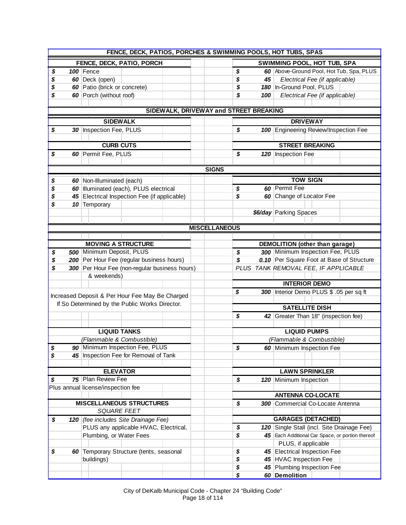| FENCE, DECK, PATIOS, PORCHES & SWIMMING POOLS, HOT TUBS, SPAS |                                                 |  |                                        |    |     |                                                        |  |  |  |  |  |
|---------------------------------------------------------------|-------------------------------------------------|--|----------------------------------------|----|-----|--------------------------------------------------------|--|--|--|--|--|
|                                                               | FENCE, DECK, PATIO, PORCH                       |  |                                        |    |     | <b>SWIMMING POOL, HOT TUB, SPA</b>                     |  |  |  |  |  |
| \$                                                            | 100 Fence                                       |  |                                        | \$ |     | 60 Above-Ground Pool, Hot Tub, Spa, PLUS               |  |  |  |  |  |
| \$                                                            | 60 Deck (open)                                  |  |                                        | \$ | 45  | Electrical Fee (if applicable)                         |  |  |  |  |  |
| \$                                                            | 60 Patio (brick or concrete)                    |  |                                        | \$ |     | 180 In-Ground Pool, PLUS                               |  |  |  |  |  |
| \$                                                            | 60 Porch (without roof)                         |  |                                        | \$ | 100 | Electrical Fee (if applicable)                         |  |  |  |  |  |
|                                                               |                                                 |  |                                        |    |     |                                                        |  |  |  |  |  |
|                                                               |                                                 |  | SIDEWALK, DRIVEWAY and STREET BREAKING |    |     |                                                        |  |  |  |  |  |
|                                                               | <b>SIDEWALK</b>                                 |  |                                        |    |     | <b>DRIVEWAY</b>                                        |  |  |  |  |  |
| \$                                                            | 30 Inspection Fee, PLUS                         |  |                                        | \$ |     | 100 Engineering Review/Inspection Fee                  |  |  |  |  |  |
|                                                               |                                                 |  |                                        |    |     |                                                        |  |  |  |  |  |
|                                                               | <b>CURB CUTS</b>                                |  |                                        |    |     | <b>STREET BREAKING</b>                                 |  |  |  |  |  |
| \$                                                            | 60 Permit Fee, PLUS                             |  |                                        | \$ |     | 120 Inspection Fee                                     |  |  |  |  |  |
|                                                               |                                                 |  |                                        |    |     |                                                        |  |  |  |  |  |
|                                                               |                                                 |  | <b>SIGNS</b>                           |    |     |                                                        |  |  |  |  |  |
| \$                                                            | 60 Non-Illuminated (each)                       |  |                                        |    |     | <b>TOW SIGN</b>                                        |  |  |  |  |  |
| \$                                                            | 60 Illuminated (each), PLUS electrical          |  |                                        | \$ |     | 60 Permit Fee                                          |  |  |  |  |  |
| \$                                                            | 45 Electrical Inspection Fee (if applicable)    |  |                                        | \$ |     | 60 Change of Locator Fee                               |  |  |  |  |  |
| \$                                                            | 10 Temporary                                    |  |                                        |    |     |                                                        |  |  |  |  |  |
|                                                               |                                                 |  |                                        |    |     | \$6/day Parking Spaces                                 |  |  |  |  |  |
|                                                               |                                                 |  |                                        |    |     |                                                        |  |  |  |  |  |
|                                                               |                                                 |  | <b>MISCELLANEOUS</b>                   |    |     |                                                        |  |  |  |  |  |
|                                                               |                                                 |  |                                        |    |     |                                                        |  |  |  |  |  |
|                                                               | <b>MOVING A STRUCTURE</b>                       |  |                                        |    |     | DEMOLITION (other than garage)                         |  |  |  |  |  |
| \$                                                            | 500 Minimum Deposit, PLUS                       |  |                                        | \$ |     | 300 Minimum Inspection Fee, PLUS                       |  |  |  |  |  |
| \$                                                            | 200 Per Hour Fee (regular business hours)       |  |                                        | \$ |     | 0.10 Per Square Foot at Base of Structure              |  |  |  |  |  |
| \$                                                            | 300 Per Hour Fee (non-regular business hours)   |  |                                        |    |     | PLUS TANK REMOVAL FEE, IF APPLICABLE                   |  |  |  |  |  |
|                                                               | & weekends)                                     |  |                                        |    |     |                                                        |  |  |  |  |  |
|                                                               |                                                 |  |                                        |    |     | <b>INTERIOR DEMO</b>                                   |  |  |  |  |  |
|                                                               | Increased Deposit & Per Hour Fee May Be Charged |  |                                        | \$ |     | 300 Interior Demo PLUS \$ .05 per sq ft                |  |  |  |  |  |
|                                                               | If So Determined by the Public Works Director.  |  |                                        |    |     | <b>SATELLITE DISH</b>                                  |  |  |  |  |  |
|                                                               |                                                 |  |                                        | \$ |     | 42 Greater Than 18" (inspection fee)                   |  |  |  |  |  |
|                                                               |                                                 |  |                                        |    |     |                                                        |  |  |  |  |  |
|                                                               | <b>LIQUID TANKS</b>                             |  |                                        |    |     | <b>LIQUID PUMPS</b>                                    |  |  |  |  |  |
|                                                               | (Flammable & Combustible)                       |  |                                        |    |     | (Flammable & Combustible)                              |  |  |  |  |  |
| \$                                                            | 90 Minimum Inspection Fee, PLUS                 |  |                                        | \$ |     | 60 Minimum Inspection Fee                              |  |  |  |  |  |
| \$                                                            | 45 Inspection Fee for Removal of Tank           |  |                                        |    |     |                                                        |  |  |  |  |  |
|                                                               |                                                 |  |                                        |    |     |                                                        |  |  |  |  |  |
|                                                               | <b>ELEVATOR</b>                                 |  |                                        |    |     | <b>LAWN SPRINKLER</b>                                  |  |  |  |  |  |
| \$                                                            | 75 Plan Review Fee                              |  |                                        | \$ |     | 120 Minimum Inspection                                 |  |  |  |  |  |
|                                                               | Plus annual license/inspection fee              |  |                                        |    |     |                                                        |  |  |  |  |  |
|                                                               |                                                 |  |                                        |    |     | <b>ANTENNA CO-LOCATE</b>                               |  |  |  |  |  |
|                                                               | <b>MISCELLANEOUS STRUCTURES</b>                 |  |                                        | \$ |     | <b>300</b> Commercial Co-Locate Antenna                |  |  |  |  |  |
|                                                               | <b>SQUARE FEET</b>                              |  |                                        |    |     |                                                        |  |  |  |  |  |
| \$                                                            | 120 (fee includes Site Drainage Fee)            |  |                                        |    |     | <b>GARAGES (DETACHED)</b>                              |  |  |  |  |  |
|                                                               | PLUS any applicable HVAC, Electrical,           |  |                                        | \$ |     | 120 Single Stall (incl. Site Drainage Fee)             |  |  |  |  |  |
|                                                               | Plumbing, or Water Fees                         |  |                                        | \$ |     | 45 Each Additional Car Space, or portion thereof       |  |  |  |  |  |
| \$                                                            | 60 Temporary Structure (tents, seasonal         |  |                                        | \$ |     | PLUS, if applicable                                    |  |  |  |  |  |
|                                                               | buildings)                                      |  |                                        | \$ |     | 45 Electrical Inspection Fee<br>45 HVAC Inspection Fee |  |  |  |  |  |
|                                                               |                                                 |  |                                        | \$ |     | 45 Plumbing Inspection Fee                             |  |  |  |  |  |
|                                                               |                                                 |  |                                        | \$ |     | 60 Demolition                                          |  |  |  |  |  |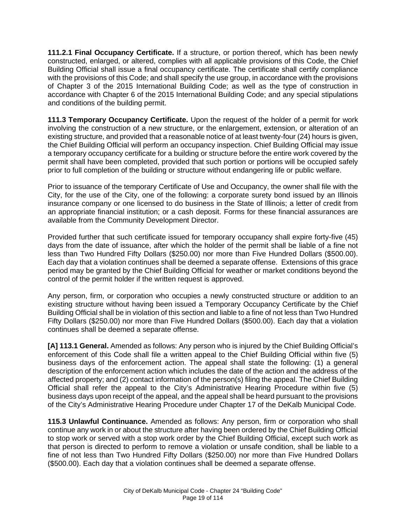**111.2.1 Final Occupancy Certificate.** If a structure, or portion thereof, which has been newly constructed, enlarged, or altered, complies with all applicable provisions of this Code, the Chief Building Official shall issue a final occupancy certificate. The certificate shall certify compliance with the provisions of this Code; and shall specify the use group, in accordance with the provisions of Chapter 3 of the 2015 International Building Code; as well as the type of construction in accordance with Chapter 6 of the 2015 International Building Code; and any special stipulations and conditions of the building permit.

**111.3 Temporary Occupancy Certificate.** Upon the request of the holder of a permit for work involving the construction of a new structure, or the enlargement, extension, or alteration of an existing structure, and provided that a reasonable notice of at least twenty-four (24) hours is given, the Chief Building Official will perform an occupancy inspection. Chief Building Official may issue a temporary occupancy certificate for a building or structure before the entire work covered by the permit shall have been completed, provided that such portion or portions will be occupied safely prior to full completion of the building or structure without endangering life or public welfare.

Prior to issuance of the temporary Certificate of Use and Occupancy, the owner shall file with the City, for the use of the City, one of the following: a corporate surety bond issued by an Illinois insurance company or one licensed to do business in the State of Illinois; a letter of credit from an appropriate financial institution; or a cash deposit. Forms for these financial assurances are available from the Community Development Director.

Provided further that such certificate issued for temporary occupancy shall expire forty-five (45) days from the date of issuance, after which the holder of the permit shall be liable of a fine not less than Two Hundred Fifty Dollars (\$250.00) nor more than Five Hundred Dollars (\$500.00). Each day that a violation continues shall be deemed a separate offense. Extensions of this grace period may be granted by the Chief Building Official for weather or market conditions beyond the control of the permit holder if the written request is approved.

Any person, firm, or corporation who occupies a newly constructed structure or addition to an existing structure without having been issued a Temporary Occupancy Certificate by the Chief Building Official shall be in violation of this section and liable to a fine of not less than Two Hundred Fifty Dollars (\$250.00) nor more than Five Hundred Dollars (\$500.00). Each day that a violation continues shall be deemed a separate offense.

**[A] 113.1 General.** Amended as follows: Any person who is injured by the Chief Building Official's enforcement of this Code shall file a written appeal to the Chief Building Official within five (5) business days of the enforcement action. The appeal shall state the following: (1) a general description of the enforcement action which includes the date of the action and the address of the affected property; and (2) contact information of the person(s) filing the appeal. The Chief Building Official shall refer the appeal to the City's Administrative Hearing Procedure within five (5) business days upon receipt of the appeal, and the appeal shall be heard pursuant to the provisions of the City's Administrative Hearing Procedure under Chapter 17 of the DeKalb Municipal Code.

**115.3 Unlawful Continuance.** Amended as follows: Any person, firm or corporation who shall continue any work in or about the structure after having been ordered by the Chief Building Official to stop work or served with a stop work order by the Chief Building Official, except such work as that person is directed to perform to remove a violation or unsafe condition, shall be liable to a fine of not less than Two Hundred Fifty Dollars (\$250.00) nor more than Five Hundred Dollars (\$500.00). Each day that a violation continues shall be deemed a separate offense.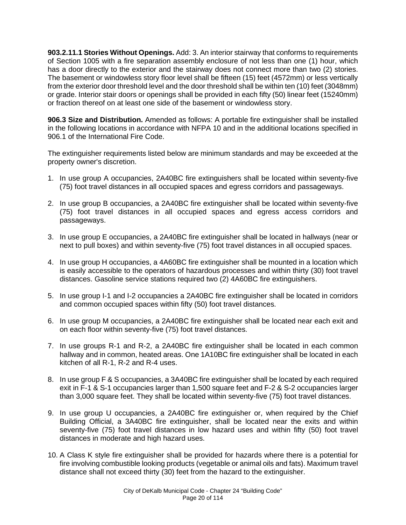**903.2.11.1 Stories Without Openings.** Add: 3. An interior stairway that conforms to requirements of Section 1005 with a fire separation assembly enclosure of not less than one (1) hour, which has a door directly to the exterior and the stairway does not connect more than two (2) stories. The basement or windowless story floor level shall be fifteen (15) feet (4572mm) or less vertically from the exterior door threshold level and the door threshold shall be within ten (10) feet (3048mm) or grade. Interior stair doors or openings shall be provided in each fifty (50) linear feet (15240mm) or fraction thereof on at least one side of the basement or windowless story.

**906.3 Size and Distribution.** Amended as follows: A portable fire extinguisher shall be installed in the following locations in accordance with NFPA 10 and in the additional locations specified in 906.1 of the International Fire Code.

The extinguisher requirements listed below are minimum standards and may be exceeded at the property owner's discretion.

- 1. In use group A occupancies, 2A40BC fire extinguishers shall be located within seventy-five (75) foot travel distances in all occupied spaces and egress corridors and passageways.
- 2. In use group B occupancies, a 2A40BC fire extinguisher shall be located within seventy-five (75) foot travel distances in all occupied spaces and egress access corridors and passageways.
- 3. In use group E occupancies, a 2A40BC fire extinguisher shall be located in hallways (near or next to pull boxes) and within seventy-five (75) foot travel distances in all occupied spaces.
- 4. In use group H occupancies, a 4A60BC fire extinguisher shall be mounted in a location which is easily accessible to the operators of hazardous processes and within thirty (30) foot travel distances. Gasoline service stations required two (2) 4A60BC fire extinguishers.
- 5. In use group I-1 and I-2 occupancies a 2A40BC fire extinguisher shall be located in corridors and common occupied spaces within fifty (50) foot travel distances.
- 6. In use group M occupancies, a 2A40BC fire extinguisher shall be located near each exit and on each floor within seventy-five (75) foot travel distances.
- 7. In use groups R-1 and R-2, a 2A40BC fire extinguisher shall be located in each common hallway and in common, heated areas. One 1A10BC fire extinguisher shall be located in each kitchen of all R-1, R-2 and R-4 uses.
- 8. In use group F & S occupancies, a 3A40BC fire extinguisher shall be located by each required exit in F-1 & S-1 occupancies larger than 1,500 square feet and F-2 & S-2 occupancies larger than 3,000 square feet. They shall be located within seventy-five (75) foot travel distances.
- 9. In use group U occupancies, a 2A40BC fire extinguisher or, when required by the Chief Building Official, a 3A40BC fire extinguisher, shall be located near the exits and within seventy-five (75) foot travel distances in low hazard uses and within fifty (50) foot travel distances in moderate and high hazard uses.
- 10. A Class K style fire extinguisher shall be provided for hazards where there is a potential for fire involving combustible looking products (vegetable or animal oils and fats). Maximum travel distance shall not exceed thirty (30) feet from the hazard to the extinguisher.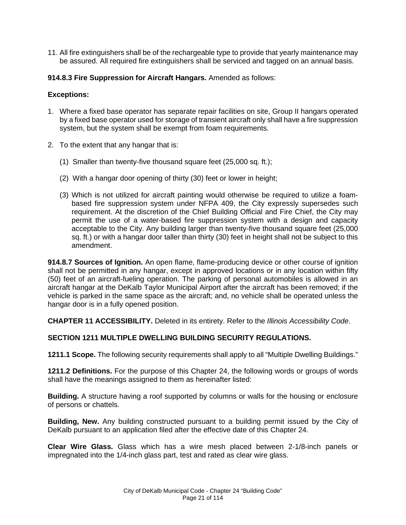11. All fire extinguishers shall be of the rechargeable type to provide that yearly maintenance may be assured. All required fire extinguishers shall be serviced and tagged on an annual basis.

#### **914.8.3 Fire Suppression for Aircraft Hangars.** Amended as follows:

#### **Exceptions:**

- 1. Where a fixed base operator has separate repair facilities on site, Group II hangars operated by a fixed base operator used for storage of transient aircraft only shall have a fire suppression system, but the system shall be exempt from foam requirements.
- 2. To the extent that any hangar that is:
	- (1) Smaller than twenty-five thousand square feet (25,000 sq. ft.);
	- (2) With a hangar door opening of thirty (30) feet or lower in height;
	- (3) Which is not utilized for aircraft painting would otherwise be required to utilize a foambased fire suppression system under NFPA 409, the City expressly supersedes such requirement. At the discretion of the Chief Building Official and Fire Chief, the City may permit the use of a water-based fire suppression system with a design and capacity acceptable to the City. Any building larger than twenty-five thousand square feet (25,000 sq. ft.) or with a hangar door taller than thirty (30) feet in height shall not be subject to this amendment.

**914.8.7 Sources of Ignition.** An open flame, flame-producing device or other course of ignition shall not be permitted in any hangar, except in approved locations or in any location within fifty (50) feet of an aircraft-fueling operation. The parking of personal automobiles is allowed in an aircraft hangar at the DeKalb Taylor Municipal Airport after the aircraft has been removed; if the vehicle is parked in the same space as the aircraft; and, no vehicle shall be operated unless the hangar door is in a fully opened position.

**CHAPTER 11 ACCESSIBILITY.** Deleted in its entirety. Refer to the *Illinois Accessibility Code*.

# **SECTION 1211 MULTIPLE DWELLING BUILDING SECURITY REGULATIONS.**

**1211.1 Scope.** The following security requirements shall apply to all "Multiple Dwelling Buildings."

**1211.2 Definitions.** For the purpose of this Chapter 24, the following words or groups of words shall have the meanings assigned to them as hereinafter listed:

**Building.** A structure having a roof supported by columns or walls for the housing or enclosure of persons or chattels.

**Building, New.** Any building constructed pursuant to a building permit issued by the City of DeKalb pursuant to an application filed after the effective date of this Chapter 24.

**Clear Wire Glass.** Glass which has a wire mesh placed between 2-1/8-inch panels or impregnated into the 1/4-inch glass part, test and rated as clear wire glass.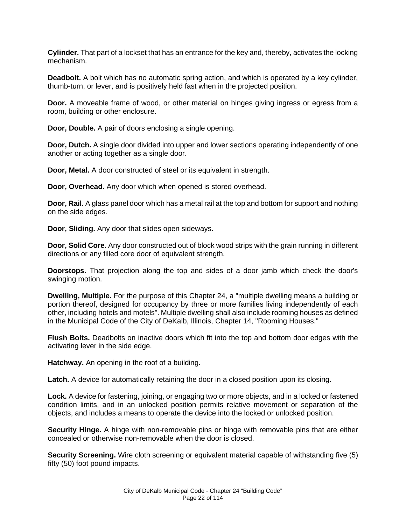**Cylinder.** That part of a lockset that has an entrance for the key and, thereby, activates the locking mechanism.

**Deadbolt.** A bolt which has no automatic spring action, and which is operated by a key cylinder, thumb-turn, or lever, and is positively held fast when in the projected position.

**Door.** A moveable frame of wood, or other material on hinges giving ingress or egress from a room, building or other enclosure.

**Door, Double.** A pair of doors enclosing a single opening.

**Door, Dutch.** A single door divided into upper and lower sections operating independently of one another or acting together as a single door.

**Door, Metal.** A door constructed of steel or its equivalent in strength.

**Door, Overhead.** Any door which when opened is stored overhead.

**Door, Rail.** A glass panel door which has a metal rail at the top and bottom for support and nothing on the side edges.

**Door, Sliding.** Any door that slides open sideways.

**Door, Solid Core.** Any door constructed out of block wood strips with the grain running in different directions or any filled core door of equivalent strength.

**Doorstops.** That projection along the top and sides of a door jamb which check the door's swinging motion.

**Dwelling, Multiple.** For the purpose of this Chapter 24, a "multiple dwelling means a building or portion thereof, designed for occupancy by three or more families living independently of each other, including hotels and motels". Multiple dwelling shall also include rooming houses as defined in the Municipal Code of the City of DeKalb, Illinois, Chapter 14, "Rooming Houses."

**Flush Bolts.** Deadbolts on inactive doors which fit into the top and bottom door edges with the activating lever in the side edge.

**Hatchway.** An opening in the roof of a building.

**Latch.** A device for automatically retaining the door in a closed position upon its closing.

**Lock.** A device for fastening, joining, or engaging two or more objects, and in a locked or fastened condition limits, and in an unlocked position permits relative movement or separation of the objects, and includes a means to operate the device into the locked or unlocked position.

**Security Hinge.** A hinge with non-removable pins or hinge with removable pins that are either concealed or otherwise non-removable when the door is closed.

**Security Screening.** Wire cloth screening or equivalent material capable of withstanding five (5) fifty (50) foot pound impacts.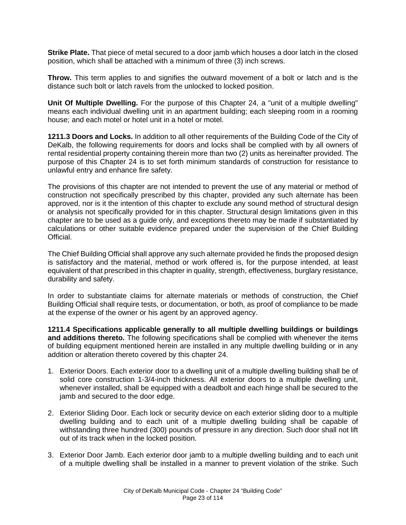**Strike Plate.** That piece of metal secured to a door jamb which houses a door latch in the closed position, which shall be attached with a minimum of three (3) inch screws.

**Throw.** This term applies to and signifies the outward movement of a bolt or latch and is the distance such bolt or latch ravels from the unlocked to locked position.

**Unit Of Multiple Dwelling.** For the purpose of this Chapter 24, a "unit of a multiple dwelling" means each individual dwelling unit in an apartment building; each sleeping room in a rooming house; and each motel or hotel unit in a hotel or motel.

**1211.3 Doors and Locks.** In addition to all other requirements of the Building Code of the City of DeKalb, the following requirements for doors and locks shall be complied with by all owners of rental residential property containing therein more than two (2) units as hereinafter provided. The purpose of this Chapter 24 is to set forth minimum standards of construction for resistance to unlawful entry and enhance fire safety.

The provisions of this chapter are not intended to prevent the use of any material or method of construction not specifically prescribed by this chapter, provided any such alternate has been approved, nor is it the intention of this chapter to exclude any sound method of structural design or analysis not specifically provided for in this chapter. Structural design limitations given in this chapter are to be used as a guide only, and exceptions thereto may be made if substantiated by calculations or other suitable evidence prepared under the supervision of the Chief Building Official.

The Chief Building Official shall approve any such alternate provided he finds the proposed design is satisfactory and the material, method or work offered is, for the purpose intended, at least equivalent of that prescribed in this chapter in quality, strength, effectiveness, burglary resistance, durability and safety.

In order to substantiate claims for alternate materials or methods of construction, the Chief Building Official shall require tests, or documentation, or both, as proof of compliance to be made at the expense of the owner or his agent by an approved agency.

**1211.4 Specifications applicable generally to all multiple dwelling buildings or buildings and additions thereto.** The following specifications shall be complied with whenever the items of building equipment mentioned herein are installed in any multiple dwelling building or in any addition or alteration thereto covered by this chapter 24.

- 1. Exterior Doors. Each exterior door to a dwelling unit of a multiple dwelling building shall be of solid core construction 1-3/4-inch thickness. All exterior doors to a multiple dwelling unit, whenever installed, shall be equipped with a deadbolt and each hinge shall be secured to the jamb and secured to the door edge.
- 2. Exterior Sliding Door. Each lock or security device on each exterior sliding door to a multiple dwelling building and to each unit of a multiple dwelling building shall be capable of withstanding three hundred (300) pounds of pressure in any direction. Such door shall not lift out of its track when in the locked position.
- 3. Exterior Door Jamb. Each exterior door jamb to a multiple dwelling building and to each unit of a multiple dwelling shall be installed in a manner to prevent violation of the strike. Such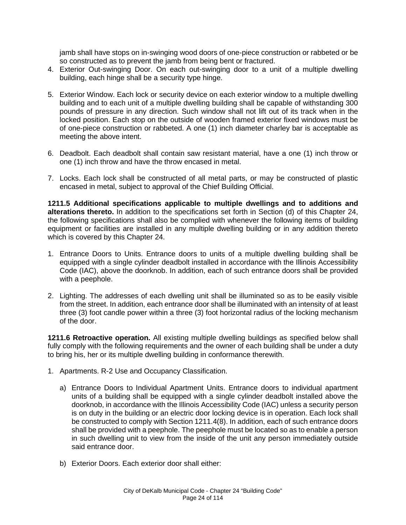jamb shall have stops on in-swinging wood doors of one-piece construction or rabbeted or be so constructed as to prevent the jamb from being bent or fractured.

- 4. Exterior Out-swinging Door. On each out-swinging door to a unit of a multiple dwelling building, each hinge shall be a security type hinge.
- 5. Exterior Window. Each lock or security device on each exterior window to a multiple dwelling building and to each unit of a multiple dwelling building shall be capable of withstanding 300 pounds of pressure in any direction. Such window shall not lift out of its track when in the locked position. Each stop on the outside of wooden framed exterior fixed windows must be of one-piece construction or rabbeted. A one (1) inch diameter charley bar is acceptable as meeting the above intent.
- 6. Deadbolt. Each deadbolt shall contain saw resistant material, have a one (1) inch throw or one (1) inch throw and have the throw encased in metal.
- 7. Locks. Each lock shall be constructed of all metal parts, or may be constructed of plastic encased in metal, subject to approval of the Chief Building Official.

**1211.5 Additional specifications applicable to multiple dwellings and to additions and alterations thereto.** In addition to the specifications set forth in Section (d) of this Chapter 24, the following specifications shall also be complied with whenever the following items of building equipment or facilities are installed in any multiple dwelling building or in any addition thereto which is covered by this Chapter 24.

- 1. Entrance Doors to Units. Entrance doors to units of a multiple dwelling building shall be equipped with a single cylinder deadbolt installed in accordance with the Illinois Accessibility Code (IAC), above the doorknob. In addition, each of such entrance doors shall be provided with a peephole.
- 2. Lighting. The addresses of each dwelling unit shall be illuminated so as to be easily visible from the street. In addition, each entrance door shall be illuminated with an intensity of at least three (3) foot candle power within a three (3) foot horizontal radius of the locking mechanism of the door.

**1211.6 Retroactive operation.** All existing multiple dwelling buildings as specified below shall fully comply with the following requirements and the owner of each building shall be under a duty to bring his, her or its multiple dwelling building in conformance therewith.

- 1. Apartments. R-2 Use and Occupancy Classification.
	- a) Entrance Doors to Individual Apartment Units. Entrance doors to individual apartment units of a building shall be equipped with a single cylinder deadbolt installed above the doorknob, in accordance with the Illinois Accessibility Code (IAC) unless a security person is on duty in the building or an electric door locking device is in operation. Each lock shall be constructed to comply with Section 1211.4(8). In addition, each of such entrance doors shall be provided with a peephole. The peephole must be located so as to enable a person in such dwelling unit to view from the inside of the unit any person immediately outside said entrance door.
	- b) Exterior Doors. Each exterior door shall either: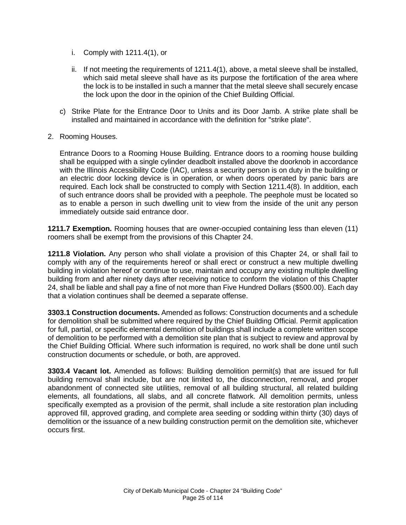- i. Comply with 1211.4(1), or
- ii. If not meeting the requirements of 1211.4(1), above, a metal sleeve shall be installed, which said metal sleeve shall have as its purpose the fortification of the area where the lock is to be installed in such a manner that the metal sleeve shall securely encase the lock upon the door in the opinion of the Chief Building Official.
- c) Strike Plate for the Entrance Door to Units and its Door Jamb. A strike plate shall be installed and maintained in accordance with the definition for "strike plate".
- 2. Rooming Houses.

Entrance Doors to a Rooming House Building. Entrance doors to a rooming house building shall be equipped with a single cylinder deadbolt installed above the doorknob in accordance with the Illinois Accessibility Code (IAC), unless a security person is on duty in the building or an electric door locking device is in operation, or when doors operated by panic bars are required. Each lock shall be constructed to comply with Section 1211.4(8). In addition, each of such entrance doors shall be provided with a peephole. The peephole must be located so as to enable a person in such dwelling unit to view from the inside of the unit any person immediately outside said entrance door.

**1211.7 Exemption.** Rooming houses that are owner-occupied containing less than eleven (11) roomers shall be exempt from the provisions of this Chapter 24.

**1211.8 Violation.** Any person who shall violate a provision of this Chapter 24, or shall fail to comply with any of the requirements hereof or shall erect or construct a new multiple dwelling building in violation hereof or continue to use, maintain and occupy any existing multiple dwelling building from and after ninety days after receiving notice to conform the violation of this Chapter 24, shall be liable and shall pay a fine of not more than Five Hundred Dollars (\$500.00). Each day that a violation continues shall be deemed a separate offense.

**3303.1 Construction documents.** Amended as follows: Construction documents and a schedule for demolition shall be submitted where required by the Chief Building Official. Permit application for full, partial, or specific elemental demolition of buildings shall include a complete written scope of demolition to be performed with a demolition site plan that is subject to review and approval by the Chief Building Official. Where such information is required, no work shall be done until such construction documents or schedule, or both, are approved.

**3303.4 Vacant lot.** Amended as follows: Building demolition permit(s) that are issued for full building removal shall include, but are not limited to, the disconnection, removal, and proper abandonment of connected site utilities, removal of all building structural, all related building elements, all foundations, all slabs, and all concrete flatwork. All demolition permits, unless specifically exempted as a provision of the permit, shall include a site restoration plan including approved fill, approved grading, and complete area seeding or sodding within thirty (30) days of demolition or the issuance of a new building construction permit on the demolition site, whichever occurs first.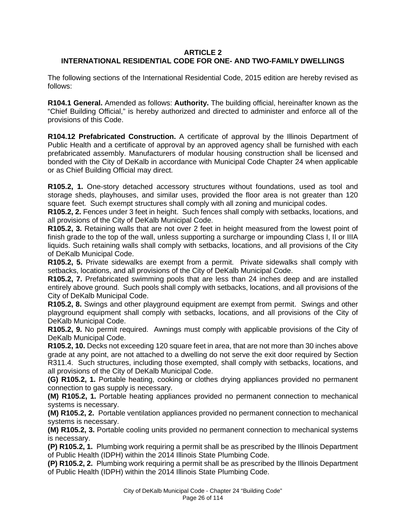### **ARTICLE 2 INTERNATIONAL RESIDENTIAL CODE FOR ONE- AND TWO-FAMILY DWELLINGS**

The following sections of the International Residential Code, 2015 edition are hereby revised as follows:

**R104.1 General.** Amended as follows: **Authority.** The building official, hereinafter known as the "Chief Building Official," is hereby authorized and directed to administer and enforce all of the provisions of this Code.

**R104.12 Prefabricated Construction.** A certificate of approval by the Illinois Department of Public Health and a certificate of approval by an approved agency shall be furnished with each prefabricated assembly. Manufacturers of modular housing construction shall be licensed and bonded with the City of DeKalb in accordance with Municipal Code Chapter 24 when applicable or as Chief Building Official may direct.

**R105.2, 1.** One-story detached accessory structures without foundations, used as tool and storage sheds, playhouses, and similar uses, provided the floor area is not greater than 120 square feet. Such exempt structures shall comply with all zoning and municipal codes.

**R105.2, 2.** Fences under 3 feet in height. Such fences shall comply with setbacks, locations, and all provisions of the City of DeKalb Municipal Code.

**R105.2, 3.** Retaining walls that are not over 2 feet in height measured from the lowest point of finish grade to the top of the wall, unless supporting a surcharge or impounding Class I, II or IIIA liquids. Such retaining walls shall comply with setbacks, locations, and all provisions of the City of DeKalb Municipal Code.

**R105.2, 5.** Private sidewalks are exempt from a permit. Private sidewalks shall comply with setbacks, locations, and all provisions of the City of DeKalb Municipal Code.

**R105.2, 7.** Prefabricated swimming pools that are less than 24 inches deep and are installed entirely above ground. Such pools shall comply with setbacks, locations, and all provisions of the City of DeKalb Municipal Code.

**R105.2, 8.** Swings and other playground equipment are exempt from permit. Swings and other playground equipment shall comply with setbacks, locations, and all provisions of the City of DeKalb Municipal Code.

**R105.2, 9.** No permit required. Awnings must comply with applicable provisions of the City of DeKalb Municipal Code.

**R105.2, 10.** Decks not exceeding 120 square feet in area, that are not more than 30 inches above grade at any point, are not attached to a dwelling do not serve the exit door required by Section R311.4. Such structures, including those exempted, shall comply with setbacks, locations, and all provisions of the City of DeKalb Municipal Code.

**(G) R105.2, 1.** Portable heating, cooking or clothes drying appliances provided no permanent connection to gas supply is necessary.

**(M) R105.2, 1.** Portable heating appliances provided no permanent connection to mechanical systems is necessary.

**(M) R105.2, 2.** Portable ventilation appliances provided no permanent connection to mechanical systems is necessary.

**(M) R105.2, 3.** Portable cooling units provided no permanent connection to mechanical systems is necessary.

**(P) R105.2, 1.** Plumbing work requiring a permit shall be as prescribed by the Illinois Department of Public Health (IDPH) within the 2014 Illinois State Plumbing Code.

**(P) R105.2, 2.** Plumbing work requiring a permit shall be as prescribed by the Illinois Department of Public Health (IDPH) within the 2014 Illinois State Plumbing Code.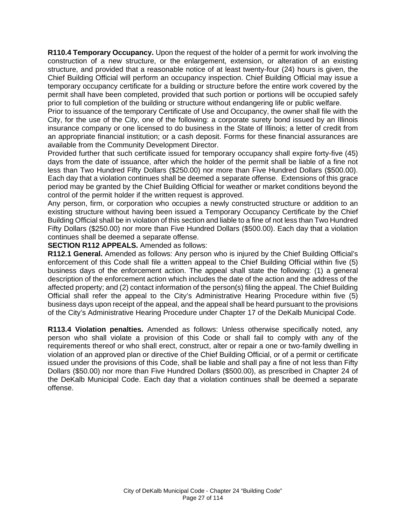**R110.4 Temporary Occupancy.** Upon the request of the holder of a permit for work involving the construction of a new structure, or the enlargement, extension, or alteration of an existing structure, and provided that a reasonable notice of at least twenty-four (24) hours is given, the Chief Building Official will perform an occupancy inspection. Chief Building Official may issue a temporary occupancy certificate for a building or structure before the entire work covered by the permit shall have been completed, provided that such portion or portions will be occupied safely prior to full completion of the building or structure without endangering life or public welfare.

Prior to issuance of the temporary Certificate of Use and Occupancy, the owner shall file with the City, for the use of the City, one of the following: a corporate surety bond issued by an Illinois insurance company or one licensed to do business in the State of Illinois; a letter of credit from an appropriate financial institution; or a cash deposit. Forms for these financial assurances are available from the Community Development Director.

Provided further that such certificate issued for temporary occupancy shall expire forty-five (45) days from the date of issuance, after which the holder of the permit shall be liable of a fine not less than Two Hundred Fifty Dollars (\$250.00) nor more than Five Hundred Dollars (\$500.00). Each day that a violation continues shall be deemed a separate offense. Extensions of this grace period may be granted by the Chief Building Official for weather or market conditions beyond the control of the permit holder if the written request is approved.

Any person, firm, or corporation who occupies a newly constructed structure or addition to an existing structure without having been issued a Temporary Occupancy Certificate by the Chief Building Official shall be in violation of this section and liable to a fine of not less than Two Hundred Fifty Dollars (\$250.00) nor more than Five Hundred Dollars (\$500.00). Each day that a violation continues shall be deemed a separate offense.

**SECTION R112 APPEALS.** Amended as follows:

**R112.1 General.** Amended as follows: Any person who is injured by the Chief Building Official's enforcement of this Code shall file a written appeal to the Chief Building Official within five (5) business days of the enforcement action. The appeal shall state the following: (1) a general description of the enforcement action which includes the date of the action and the address of the affected property; and (2) contact information of the person(s) filing the appeal. The Chief Building Official shall refer the appeal to the City's Administrative Hearing Procedure within five (5) business days upon receipt of the appeal, and the appeal shall be heard pursuant to the provisions of the City's Administrative Hearing Procedure under Chapter 17 of the DeKalb Municipal Code.

**R113.4 Violation penalties.** Amended as follows: Unless otherwise specifically noted, any person who shall violate a provision of this Code or shall fail to comply with any of the requirements thereof or who shall erect, construct, alter or repair a one or two-family dwelling in violation of an approved plan or directive of the Chief Building Official, or of a permit or certificate issued under the provisions of this Code, shall be liable and shall pay a fine of not less than Fifty Dollars (\$50.00) nor more than Five Hundred Dollars (\$500.00), as prescribed in Chapter 24 of the DeKalb Municipal Code. Each day that a violation continues shall be deemed a separate offense.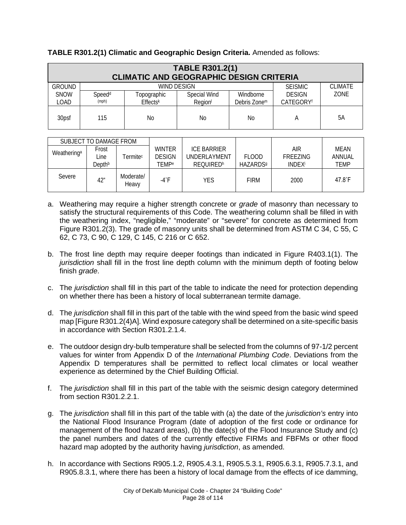|               | <b>TABLE R301.2(1)</b><br><b>CLIMATIC AND GEOGRAPHIC DESIGN CRITERIA</b> |                 |                     |                          |                       |                |  |  |  |  |  |
|---------------|--------------------------------------------------------------------------|-----------------|---------------------|--------------------------|-----------------------|----------------|--|--|--|--|--|
| <b>GROUND</b> |                                                                          |                 | WIND DESIGN         |                          | <b>SEISMIC</b>        | <b>CLIMATE</b> |  |  |  |  |  |
| <b>SNOW</b>   | Speed <sup>d</sup>                                                       | Topographic     | Special Wind        | Windborne                | <b>DESIGN</b>         | ZONE           |  |  |  |  |  |
| LOAD          | (mph)                                                                    | <b>Effectsk</b> | Region <sup>1</sup> | Debris Zone <sup>m</sup> | CATEGORY <sup>f</sup> |                |  |  |  |  |  |
| 30psf         | 115                                                                      | No              | No                  | No                       |                       | 5A             |  |  |  |  |  |

**TABLE R301.2(1) Climatic and Geographic Design Criteria.** Amended as follows:

|                         | SUBJECT TO DAMAGE FROM  |                            |                                         |                                                        |                                       |                                              |                               |
|-------------------------|-------------------------|----------------------------|-----------------------------------------|--------------------------------------------------------|---------------------------------------|----------------------------------------------|-------------------------------|
| Weathering <sup>a</sup> | Frost<br>Line<br>Depthb | <b>Termite<sup>c</sup></b> | <b>WINTER</b><br><b>DESIGN</b><br>TEMPe | <b>ICE BARRIER</b><br>UNDERLAYMENT<br><b>REOUIREDh</b> | FI OOD<br><b>HAZARDS</b> <sup>9</sup> | AIR<br>FREEZING<br><b>INDEX</b> <sup>i</sup> | MEAN<br>ANNUAL<br><b>TEMP</b> |
| Severe                  | 42"                     | Moderate/<br>Heavy         | -4°F                                    | YES                                                    | <b>FIRM</b>                           | 2000                                         | 47.8°F                        |

- a. Weathering may require a higher strength concrete or *grade* of masonry than necessary to satisfy the structural requirements of this Code. The weathering column shall be filled in with the weathering index, "negligible," "moderate" or "severe" for concrete as determined from Figure R301.2(3). The grade of masonry units shall be determined from ASTM C 34, C 55, C 62, C 73, C 90, C 129, C 145, C 216 or C 652.
- b. The frost line depth may require deeper footings than indicated in Figure R403.1(1). The *jurisdiction* shall fill in the frost line depth column with the minimum depth of footing below finish *grade*.
- c. The *jurisdiction* shall fill in this part of the table to indicate the need for protection depending on whether there has been a history of local subterranean termite damage.
- d. The *jurisdiction* shall fill in this part of the table with the wind speed from the basic wind speed map [Figure R301.2(4)A]. Wind exposure category shall be determined on a site-specific basis in accordance with Section R301.2.1.4.
- e. The outdoor design dry-bulb temperature shall be selected from the columns of 97-1/2 percent values for winter from Appendix D of the *International Plumbing Code*. Deviations from the Appendix D temperatures shall be permitted to reflect local climates or local weather experience as determined by the Chief Building Official.
- f. The *jurisdiction* shall fill in this part of the table with the seismic design category determined from section R301.2.2.1.
- g. The *jurisdiction* shall fill in this part of the table with (a) the date of the *jurisdiction's* entry into the National Flood Insurance Program (date of adoption of the first code or ordinance for management of the flood hazard areas), (b) the date(s) of the Flood Insurance Study and (c) the panel numbers and dates of the currently effective FIRMs and FBFMs or other flood hazard map adopted by the authority having *jurisdiction*, as amended.
- h. In accordance with Sections R905.1.2, R905.4.3.1, R905.5.3.1, R905.6.3.1, R905.7.3.1, and R905.8.3.1, where there has been a history of local damage from the effects of ice damming,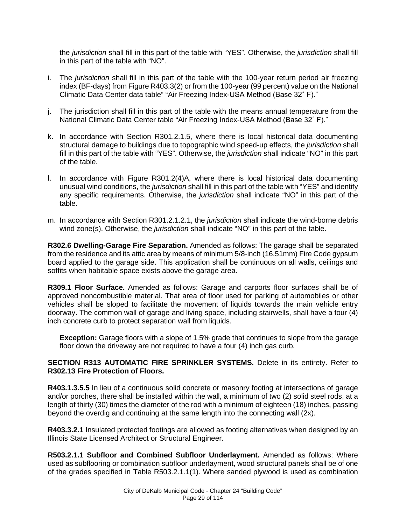the *jurisdiction* shall fill in this part of the table with "YES". Otherwise, the *jurisdiction* shall fill in this part of the table with "NO".

- i. The *jurisdiction* shall fill in this part of the table with the 100-year return period air freezing index (BF-days) from Figure R403.3(2) or from the 100-year (99 percent) value on the National Climatic Data Center data table" "Air Freezing Index-USA Method (Base 32˚ F)."
- j. The jurisdiction shall fill in this part of the table with the means annual temperature from the National Climatic Data Center table "Air Freezing Index-USA Method (Base 32˚ F)."
- k. In accordance with Section R301.2.1.5, where there is local historical data documenting structural damage to buildings due to topographic wind speed-up effects, the *jurisdiction* shall fill in this part of the table with "YES". Otherwise, the *jurisdiction* shall indicate "NO" in this part of the table.
- l. In accordance with Figure R301.2(4)A, where there is local historical data documenting unusual wind conditions, the *jurisdiction* shall fill in this part of the table with "YES" and identify any specific requirements. Otherwise, the *jurisdiction* shall indicate "NO" in this part of the table.
- m. In accordance with Section R301.2.1.2.1, the *jurisdiction* shall indicate the wind-borne debris wind zone(s). Otherwise, the *jurisdiction* shall indicate "NO" in this part of the table.

**R302.6 Dwelling-Garage Fire Separation.** Amended as follows: The garage shall be separated from the residence and its attic area by means of minimum 5/8-inch (16.51mm) Fire Code gypsum board applied to the garage side. This application shall be continuous on all walls, ceilings and soffits when habitable space exists above the garage area.

**R309.1 Floor Surface.** Amended as follows: Garage and carports floor surfaces shall be of approved noncombustible material. That area of floor used for parking of automobiles or other vehicles shall be sloped to facilitate the movement of liquids towards the main vehicle entry doorway. The common wall of garage and living space, including stairwells, shall have a four (4) inch concrete curb to protect separation wall from liquids.

**Exception:** Garage floors with a slope of 1.5% grade that continues to slope from the garage floor down the driveway are not required to have a four (4) inch gas curb.

#### **SECTION R313 AUTOMATIC FIRE SPRINKLER SYSTEMS.** Delete in its entirety. Refer to **R302.13 Fire Protection of Floors.**

**R403.1.3.5.5** In lieu of a continuous solid concrete or masonry footing at intersections of garage and/or porches, there shall be installed within the wall, a minimum of two (2) solid steel rods, at a length of thirty (30) times the diameter of the rod with a minimum of eighteen (18) inches, passing beyond the overdig and continuing at the same length into the connecting wall (2x).

**R403.3.2.1** Insulated protected footings are allowed as footing alternatives when designed by an Illinois State Licensed Architect or Structural Engineer.

**R503.2.1.1 Subfloor and Combined Subfloor Underlayment.** Amended as follows: Where used as subflooring or combination subfloor underlayment, wood structural panels shall be of one of the grades specified in Table R503.2.1.1(1). Where sanded plywood is used as combination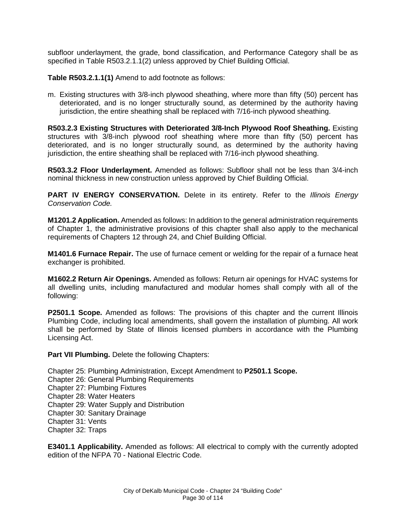subfloor underlayment, the grade, bond classification, and Performance Category shall be as specified in Table R503.2.1.1(2) unless approved by Chief Building Official.

**Table R503.2.1.1(1)** Amend to add footnote as follows:

m. Existing structures with 3/8-inch plywood sheathing, where more than fifty (50) percent has deteriorated, and is no longer structurally sound, as determined by the authority having jurisdiction, the entire sheathing shall be replaced with 7/16-inch plywood sheathing.

**R503.2.3 Existing Structures with Deteriorated 3/8-Inch Plywood Roof Sheathing.** Existing structures with  $3/8$ -inch plywood roof sheathing where more than fifty (50) percent has deteriorated, and is no longer structurally sound, as determined by the authority having jurisdiction, the entire sheathing shall be replaced with 7/16-inch plywood sheathing.

**R503.3.2 Floor Underlayment.** Amended as follows: Subfloor shall not be less than 3/4-inch nominal thickness in new construction unless approved by Chief Building Official.

**PART IV ENERGY CONSERVATION.** Delete in its entirety. Refer to the *Illinois Energy Conservation Code.* 

**M1201.2 Application.** Amended as follows: In addition to the general administration requirements of Chapter 1, the administrative provisions of this chapter shall also apply to the mechanical requirements of Chapters 12 through 24, and Chief Building Official.

**M1401.6 Furnace Repair.** The use of furnace cement or welding for the repair of a furnace heat exchanger is prohibited.

**M1602.2 Return Air Openings.** Amended as follows: Return air openings for HVAC systems for all dwelling units, including manufactured and modular homes shall comply with all of the following:

**P2501.1 Scope.** Amended as follows: The provisions of this chapter and the current Illinois Plumbing Code, including local amendments, shall govern the installation of plumbing. All work shall be performed by State of Illinois licensed plumbers in accordance with the Plumbing Licensing Act.

**Part VII Plumbing.** Delete the following Chapters:

Chapter 25: Plumbing Administration, Except Amendment to **P2501.1 Scope.** Chapter 26: General Plumbing Requirements Chapter 27: Plumbing Fixtures Chapter 28: Water Heaters Chapter 29: Water Supply and Distribution Chapter 30: Sanitary Drainage Chapter 31: Vents Chapter 32: Traps

**E3401.1 Applicability.** Amended as follows: All electrical to comply with the currently adopted edition of the NFPA 70 - National Electric Code.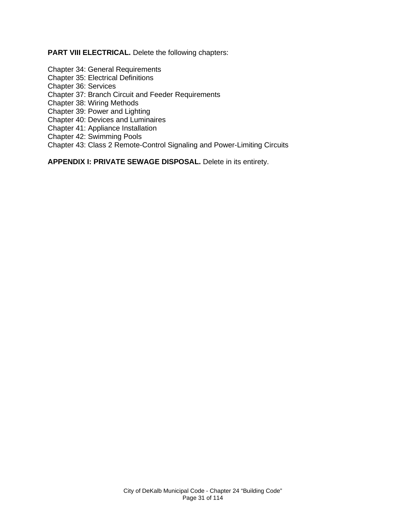**PART VIII ELECTRICAL.** Delete the following chapters:

Chapter 34: General Requirements

Chapter 35: Electrical Definitions

Chapter 36: Services

Chapter 37: Branch Circuit and Feeder Requirements

Chapter 38: Wiring Methods

Chapter 39: Power and Lighting

Chapter 40: Devices and Luminaires

Chapter 41: Appliance Installation

Chapter 42: Swimming Pools

Chapter 43: Class 2 Remote-Control Signaling and Power-Limiting Circuits

**APPENDIX I: PRIVATE SEWAGE DISPOSAL.** Delete in its entirety.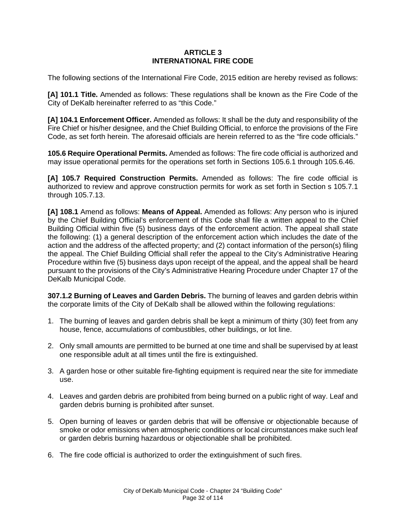### **ARTICLE 3 INTERNATIONAL FIRE CODE**

The following sections of the International Fire Code, 2015 edition are hereby revised as follows:

**[A] 101.1 Title.** Amended as follows: These regulations shall be known as the Fire Code of the City of DeKalb hereinafter referred to as "this Code."

**[A] 104.1 Enforcement Officer.** Amended as follows: It shall be the duty and responsibility of the Fire Chief or his/her designee, and the Chief Building Official, to enforce the provisions of the Fire Code, as set forth herein. The aforesaid officials are herein referred to as the "fire code officials."

**105.6 Require Operational Permits.** Amended as follows: The fire code official is authorized and may issue operational permits for the operations set forth in Sections 105.6.1 through 105.6.46.

**[A] 105.7 Required Construction Permits.** Amended as follows: The fire code official is authorized to review and approve construction permits for work as set forth in Section s 105.7.1 through 105.7.13.

**[A] 108.1** Amend as follows: **Means of Appeal.** Amended as follows: Any person who is injured by the Chief Building Official's enforcement of this Code shall file a written appeal to the Chief Building Official within five (5) business days of the enforcement action. The appeal shall state the following: (1) a general description of the enforcement action which includes the date of the action and the address of the affected property; and (2) contact information of the person(s) filing the appeal. The Chief Building Official shall refer the appeal to the City's Administrative Hearing Procedure within five (5) business days upon receipt of the appeal, and the appeal shall be heard pursuant to the provisions of the City's Administrative Hearing Procedure under Chapter 17 of the DeKalb Municipal Code.

**307.1.2 Burning of Leaves and Garden Debris.** The burning of leaves and garden debris within the corporate limits of the City of DeKalb shall be allowed within the following regulations:

- 1. The burning of leaves and garden debris shall be kept a minimum of thirty (30) feet from any house, fence, accumulations of combustibles, other buildings, or lot line.
- 2. Only small amounts are permitted to be burned at one time and shall be supervised by at least one responsible adult at all times until the fire is extinguished.
- 3. A garden hose or other suitable fire-fighting equipment is required near the site for immediate use.
- 4. Leaves and garden debris are prohibited from being burned on a public right of way. Leaf and garden debris burning is prohibited after sunset.
- 5. Open burning of leaves or garden debris that will be offensive or objectionable because of smoke or odor emissions when atmospheric conditions or local circumstances make such leaf or garden debris burning hazardous or objectionable shall be prohibited.
- 6. The fire code official is authorized to order the extinguishment of such fires.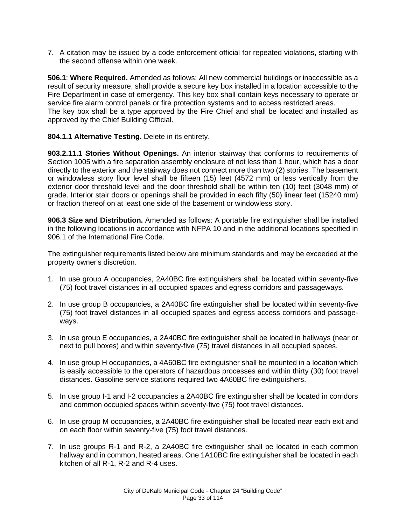7. A citation may be issued by a code enforcement official for repeated violations, starting with the second offense within one week.

**506.1**: **Where Required.** Amended as follows: All new commercial buildings or inaccessible as a result of security measure, shall provide a secure key box installed in a location accessible to the Fire Department in case of emergency. This key box shall contain keys necessary to operate or service fire alarm control panels or fire protection systems and to access restricted areas. The key box shall be a type approved by the Fire Chief and shall be located and installed as approved by the Chief Building Official.

# **804.1.1 Alternative Testing.** Delete in its entirety.

**903.2.11.1 Stories Without Openings.** An interior stairway that conforms to requirements of Section 1005 with a fire separation assembly enclosure of not less than 1 hour, which has a door directly to the exterior and the stairway does not connect more than two (2) stories. The basement or windowless story floor level shall be fifteen (15) feet (4572 mm) or less vertically from the exterior door threshold level and the door threshold shall be within ten (10) feet (3048 mm) of grade. Interior stair doors or openings shall be provided in each fifty (50) linear feet (15240 mm) or fraction thereof on at least one side of the basement or windowless story.

**906.3 Size and Distribution.** Amended as follows: A portable fire extinguisher shall be installed in the following locations in accordance with NFPA 10 and in the additional locations specified in 906.1 of the International Fire Code.

The extinguisher requirements listed below are minimum standards and may be exceeded at the property owner's discretion.

- 1. In use group A occupancies, 2A40BC fire extinguishers shall be located within seventy-five (75) foot travel distances in all occupied spaces and egress corridors and passageways.
- 2. In use group B occupancies, a 2A40BC fire extinguisher shall be located within seventy-five (75) foot travel distances in all occupied spaces and egress access corridors and passageways.
- 3. In use group E occupancies, a 2A40BC fire extinguisher shall be located in hallways (near or next to pull boxes) and within seventy-five (75) travel distances in all occupied spaces.
- 4. In use group H occupancies, a 4A60BC fire extinguisher shall be mounted in a location which is easily accessible to the operators of hazardous processes and within thirty (30) foot travel distances. Gasoline service stations required two 4A60BC fire extinguishers.
- 5. In use group I-1 and I-2 occupancies a 2A40BC fire extinguisher shall be located in corridors and common occupied spaces within seventy-five (75) foot travel distances.
- 6. In use group M occupancies, a 2A40BC fire extinguisher shall be located near each exit and on each floor within seventy-five (75) foot travel distances.
- 7. In use groups R-1 and R-2, a 2A40BC fire extinguisher shall be located in each common hallway and in common, heated areas. One 1A10BC fire extinguisher shall be located in each kitchen of all R-1, R-2 and R-4 uses.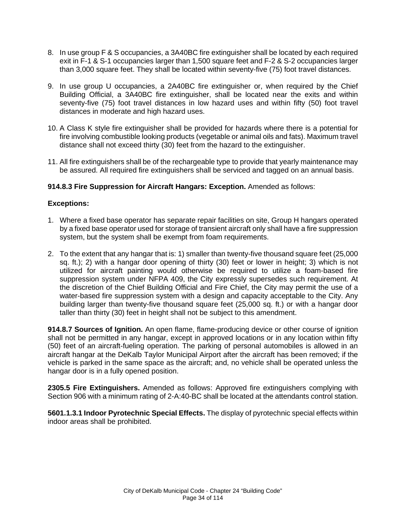- 8. In use group F & S occupancies, a 3A40BC fire extinguisher shall be located by each required exit in F-1 & S-1 occupancies larger than 1,500 square feet and F-2 & S-2 occupancies larger than 3,000 square feet. They shall be located within seventy-five (75) foot travel distances.
- 9. In use group U occupancies, a 2A40BC fire extinguisher or, when required by the Chief Building Official, a 3A40BC fire extinguisher, shall be located near the exits and within seventy-five (75) foot travel distances in low hazard uses and within fifty (50) foot travel distances in moderate and high hazard uses.
- 10. A Class K style fire extinguisher shall be provided for hazards where there is a potential for fire involving combustible looking products (vegetable or animal oils and fats). Maximum travel distance shall not exceed thirty (30) feet from the hazard to the extinguisher.
- 11. All fire extinguishers shall be of the rechargeable type to provide that yearly maintenance may be assured. All required fire extinguishers shall be serviced and tagged on an annual basis.

# **914.8.3 Fire Suppression for Aircraft Hangars: Exception.** Amended as follows:

#### **Exceptions:**

- 1. Where a fixed base operator has separate repair facilities on site, Group H hangars operated by a fixed base operator used for storage of transient aircraft only shall have a fire suppression system, but the system shall be exempt from foam requirements.
- 2. To the extent that any hangar that is: 1) smaller than twenty-five thousand square feet (25,000 sq. ft.); 2) with a hangar door opening of thirty (30) feet or lower in height; 3) which is not utilized for aircraft painting would otherwise be required to utilize a foam-based fire suppression system under NFPA 409, the City expressly supersedes such requirement. At the discretion of the Chief Building Official and Fire Chief, the City may permit the use of a water-based fire suppression system with a design and capacity acceptable to the City. Any building larger than twenty-five thousand square feet (25,000 sq. ft.) or with a hangar door taller than thirty (30) feet in height shall not be subject to this amendment.

**914.8.7 Sources of Ignition.** An open flame, flame-producing device or other course of ignition shall not be permitted in any hangar, except in approved locations or in any location within fifty (50) feet of an aircraft-fueling operation. The parking of personal automobiles is allowed in an aircraft hangar at the DeKalb Taylor Municipal Airport after the aircraft has been removed; if the vehicle is parked in the same space as the aircraft; and, no vehicle shall be operated unless the hangar door is in a fully opened position.

**2305.5 Fire Extinguishers.** Amended as follows: Approved fire extinguishers complying with Section 906 with a minimum rating of 2-A:40-BC shall be located at the attendants control station.

**5601.1.3.1 Indoor Pyrotechnic Special Effects.** The display of pyrotechnic special effects within indoor areas shall be prohibited.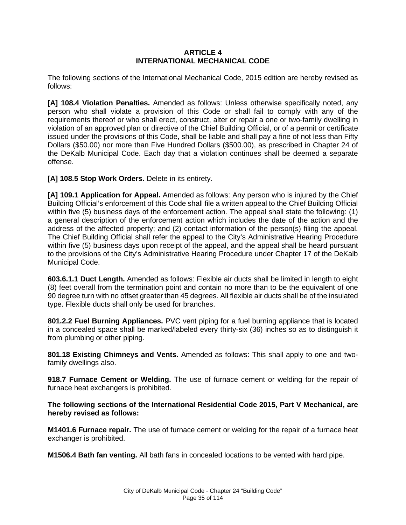### **ARTICLE 4 INTERNATIONAL MECHANICAL CODE**

The following sections of the International Mechanical Code, 2015 edition are hereby revised as follows:

**[A] 108.4 Violation Penalties.** Amended as follows: Unless otherwise specifically noted, any person who shall violate a provision of this Code or shall fail to comply with any of the requirements thereof or who shall erect, construct, alter or repair a one or two-family dwelling in violation of an approved plan or directive of the Chief Building Official, or of a permit or certificate issued under the provisions of this Code, shall be liable and shall pay a fine of not less than Fifty Dollars (\$50.00) nor more than Five Hundred Dollars (\$500.00), as prescribed in Chapter 24 of the DeKalb Municipal Code. Each day that a violation continues shall be deemed a separate offense.

[A] 108.5 Stop Work Orders. Delete in its entirety.

**[A] 109.1 Application for Appeal.** Amended as follows: Any person who is injured by the Chief Building Official's enforcement of this Code shall file a written appeal to the Chief Building Official within five (5) business days of the enforcement action. The appeal shall state the following: (1) a general description of the enforcement action which includes the date of the action and the address of the affected property; and (2) contact information of the person(s) filing the appeal. The Chief Building Official shall refer the appeal to the City's Administrative Hearing Procedure within five (5) business days upon receipt of the appeal, and the appeal shall be heard pursuant to the provisions of the City's Administrative Hearing Procedure under Chapter 17 of the DeKalb Municipal Code.

**603.6.1.1 Duct Length.** Amended as follows: Flexible air ducts shall be limited in length to eight (8) feet overall from the termination point and contain no more than to be the equivalent of one 90 degree turn with no offset greater than 45 degrees. All flexible air ducts shall be of the insulated type. Flexible ducts shall only be used for branches.

**801.2.2 Fuel Burning Appliances.** PVC vent piping for a fuel burning appliance that is located in a concealed space shall be marked/labeled every thirty-six (36) inches so as to distinguish it from plumbing or other piping.

**801.18 Existing Chimneys and Vents.** Amended as follows: This shall apply to one and twofamily dwellings also.

**918.7 Furnace Cement or Welding.** The use of furnace cement or welding for the repair of furnace heat exchangers is prohibited.

**The following sections of the International Residential Code 2015, Part V Mechanical, are hereby revised as follows:**

**M1401.6 Furnace repair.** The use of furnace cement or welding for the repair of a furnace heat exchanger is prohibited.

**M1506.4 Bath fan venting.** All bath fans in concealed locations to be vented with hard pipe.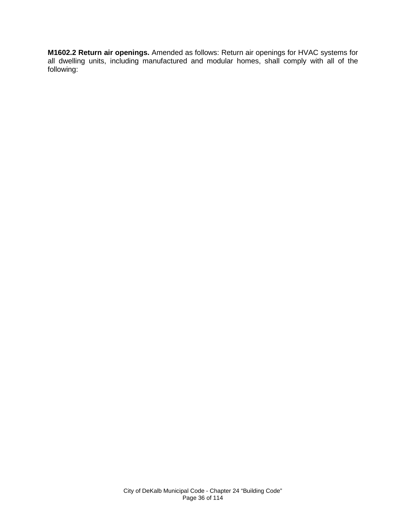**M1602.2 Return air openings.** Amended as follows: Return air openings for HVAC systems for all dwelling units, including manufactured and modular homes, shall comply with all of the following: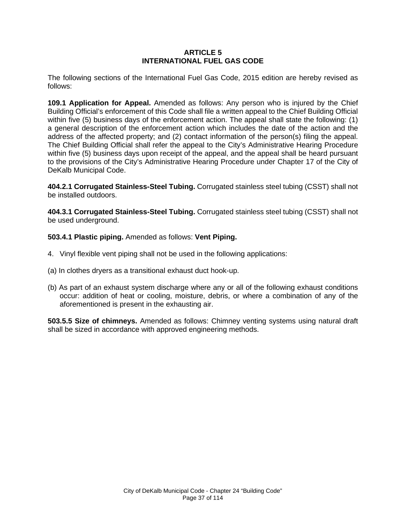## **ARTICLE 5 INTERNATIONAL FUEL GAS CODE**

The following sections of the International Fuel Gas Code, 2015 edition are hereby revised as follows:

**109.1 Application for Appeal.** Amended as follows: Any person who is injured by the Chief Building Official's enforcement of this Code shall file a written appeal to the Chief Building Official within five (5) business days of the enforcement action. The appeal shall state the following: (1) a general description of the enforcement action which includes the date of the action and the address of the affected property; and (2) contact information of the person(s) filing the appeal. The Chief Building Official shall refer the appeal to the City's Administrative Hearing Procedure within five (5) business days upon receipt of the appeal, and the appeal shall be heard pursuant to the provisions of the City's Administrative Hearing Procedure under Chapter 17 of the City of DeKalb Municipal Code.

**404.2.1 Corrugated Stainless-Steel Tubing.** Corrugated stainless steel tubing (CSST) shall not be installed outdoors.

**404.3.1 Corrugated Stainless-Steel Tubing.** Corrugated stainless steel tubing (CSST) shall not be used underground.

**503.4.1 Plastic piping.** Amended as follows: **Vent Piping.** 

- 4. Vinyl flexible vent piping shall not be used in the following applications:
- (a) In clothes dryers as a transitional exhaust duct hook-up.
- (b) As part of an exhaust system discharge where any or all of the following exhaust conditions occur: addition of heat or cooling, moisture, debris, or where a combination of any of the aforementioned is present in the exhausting air.

**503.5.5 Size of chimneys.** Amended as follows: Chimney venting systems using natural draft shall be sized in accordance with approved engineering methods.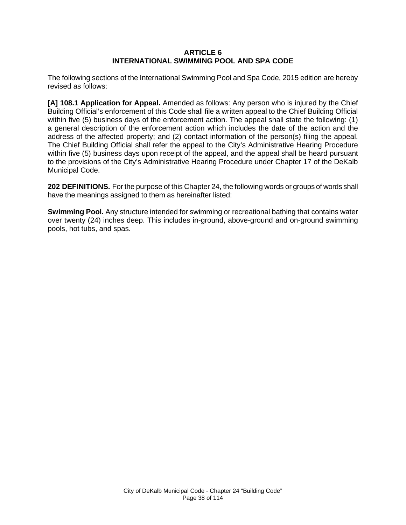### **ARTICLE 6 INTERNATIONAL SWIMMING POOL AND SPA CODE**

The following sections of the International Swimming Pool and Spa Code, 2015 edition are hereby revised as follows:

**[A] 108.1 Application for Appeal.** Amended as follows: Any person who is injured by the Chief Building Official's enforcement of this Code shall file a written appeal to the Chief Building Official within five (5) business days of the enforcement action. The appeal shall state the following: (1) a general description of the enforcement action which includes the date of the action and the address of the affected property; and (2) contact information of the person(s) filing the appeal. The Chief Building Official shall refer the appeal to the City's Administrative Hearing Procedure within five (5) business days upon receipt of the appeal, and the appeal shall be heard pursuant to the provisions of the City's Administrative Hearing Procedure under Chapter 17 of the DeKalb Municipal Code.

**202 DEFINITIONS.** For the purpose of this Chapter 24, the following words or groups of words shall have the meanings assigned to them as hereinafter listed:

**Swimming Pool.** Any structure intended for swimming or recreational bathing that contains water over twenty (24) inches deep. This includes in-ground, above-ground and on-ground swimming pools, hot tubs, and spas.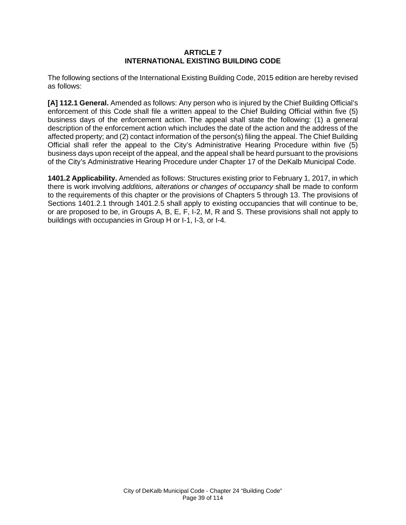## **ARTICLE 7 INTERNATIONAL EXISTING BUILDING CODE**

The following sections of the International Existing Building Code, 2015 edition are hereby revised as follows:

**[A] 112.1 General.** Amended as follows: Any person who is injured by the Chief Building Official's enforcement of this Code shall file a written appeal to the Chief Building Official within five (5) business days of the enforcement action. The appeal shall state the following: (1) a general description of the enforcement action which includes the date of the action and the address of the affected property; and (2) contact information of the person(s) filing the appeal. The Chief Building Official shall refer the appeal to the City's Administrative Hearing Procedure within five (5) business days upon receipt of the appeal, and the appeal shall be heard pursuant to the provisions of the City's Administrative Hearing Procedure under Chapter 17 of the DeKalb Municipal Code.

**1401.2 Applicability.** Amended as follows: Structures existing prior to February 1, 2017, in which there is work involving *additions, alterations or changes of occupancy* shall be made to conform to the requirements of this chapter or the provisions of Chapters 5 through 13. The provisions of Sections 1401.2.1 through 1401.2.5 shall apply to existing occupancies that will continue to be, or are proposed to be, in Groups A, B, E, F, I-2, M, R and S. These provisions shall not apply to buildings with occupancies in Group H or I-1, I-3, or I-4.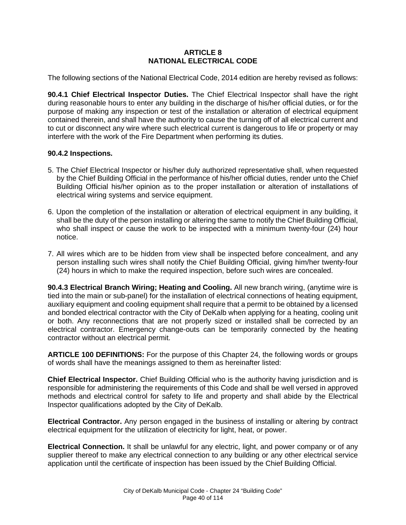# **ARTICLE 8 NATIONAL ELECTRICAL CODE**

The following sections of the National Electrical Code, 2014 edition are hereby revised as follows:

**90.4.1 Chief Electrical Inspector Duties.** The Chief Electrical Inspector shall have the right during reasonable hours to enter any building in the discharge of his/her official duties, or for the purpose of making any inspection or test of the installation or alteration of electrical equipment contained therein, and shall have the authority to cause the turning off of all electrical current and to cut or disconnect any wire where such electrical current is dangerous to life or property or may interfere with the work of the Fire Department when performing its duties.

## **90.4.2 Inspections.**

- 5. The Chief Electrical Inspector or his/her duly authorized representative shall, when requested by the Chief Building Official in the performance of his/her official duties, render unto the Chief Building Official his/her opinion as to the proper installation or alteration of installations of electrical wiring systems and service equipment.
- 6. Upon the completion of the installation or alteration of electrical equipment in any building, it shall be the duty of the person installing or altering the same to notify the Chief Building Official, who shall inspect or cause the work to be inspected with a minimum twenty-four (24) hour notice.
- 7. All wires which are to be hidden from view shall be inspected before concealment, and any person installing such wires shall notify the Chief Building Official, giving him/her twenty-four (24) hours in which to make the required inspection, before such wires are concealed.

**90.4.3 Electrical Branch Wiring; Heating and Cooling.** All new branch wiring, (anytime wire is tied into the main or sub-panel) for the installation of electrical connections of heating equipment, auxiliary equipment and cooling equipment shall require that a permit to be obtained by a licensed and bonded electrical contractor with the City of DeKalb when applying for a heating, cooling unit or both. Any reconnections that are not properly sized or installed shall be corrected by an electrical contractor. Emergency change-outs can be temporarily connected by the heating contractor without an electrical permit.

**ARTICLE 100 DEFINITIONS:** For the purpose of this Chapter 24, the following words or groups of words shall have the meanings assigned to them as hereinafter listed:

**Chief Electrical Inspector.** Chief Building Official who is the authority having jurisdiction and is responsible for administering the requirements of this Code and shall be well versed in approved methods and electrical control for safety to life and property and shall abide by the Electrical Inspector qualifications adopted by the City of DeKalb.

**Electrical Contractor.** Any person engaged in the business of installing or altering by contract electrical equipment for the utilization of electricity for light, heat, or power.

**Electrical Connection.** It shall be unlawful for any electric, light, and power company or of any supplier thereof to make any electrical connection to any building or any other electrical service application until the certificate of inspection has been issued by the Chief Building Official.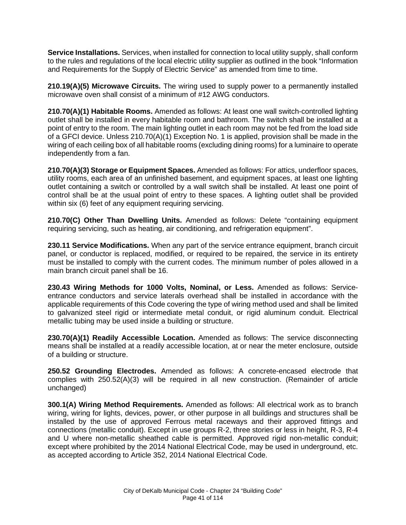**Service Installations.** Services, when installed for connection to local utility supply, shall conform to the rules and regulations of the local electric utility supplier as outlined in the book "Information and Requirements for the Supply of Electric Service" as amended from time to time.

**210.19(A)(5) Microwave Circuits.** The wiring used to supply power to a permanently installed microwave oven shall consist of a minimum of #12 AWG conductors.

**210.70(A)(1) Habitable Rooms.** Amended as follows: At least one wall switch-controlled lighting outlet shall be installed in every habitable room and bathroom. The switch shall be installed at a point of entry to the room. The main lighting outlet in each room may not be fed from the load side of a GFCI device. Unless 210.70(A)(1) Exception No. 1 is applied, provision shall be made in the wiring of each ceiling box of all habitable rooms (excluding dining rooms) for a luminaire to operate independently from a fan.

**210.70(A)(3) Storage or Equipment Spaces.** Amended as follows: For attics, underfloor spaces, utility rooms, each area of an unfinished basement, and equipment spaces, at least one lighting outlet containing a switch or controlled by a wall switch shall be installed. At least one point of control shall be at the usual point of entry to these spaces. A lighting outlet shall be provided within six (6) feet of any equipment requiring servicing.

**210.70(C) Other Than Dwelling Units.** Amended as follows: Delete "containing equipment requiring servicing, such as heating, air conditioning, and refrigeration equipment".

**230.11 Service Modifications.** When any part of the service entrance equipment, branch circuit panel, or conductor is replaced, modified, or required to be repaired, the service in its entirety must be installed to comply with the current codes. The minimum number of poles allowed in a main branch circuit panel shall be 16.

**230.43 Wiring Methods for 1000 Volts, Nominal, or Less.** Amended as follows: Serviceentrance conductors and service laterals overhead shall be installed in accordance with the applicable requirements of this Code covering the type of wiring method used and shall be limited to galvanized steel rigid or intermediate metal conduit, or rigid aluminum conduit. Electrical metallic tubing may be used inside a building or structure.

**230.70(A)(1) Readily Accessible Location.** Amended as follows: The service disconnecting means shall be installed at a readily accessible location, at or near the meter enclosure, outside of a building or structure.

**250.52 Grounding Electrodes.** Amended as follows: A concrete-encased electrode that complies with 250.52(A)(3) will be required in all new construction. (Remainder of article unchanged)

**300.1(A) Wiring Method Requirements.** Amended as follows: All electrical work as to branch wiring, wiring for lights, devices, power, or other purpose in all buildings and structures shall be installed by the use of approved Ferrous metal raceways and their approved fittings and connections (metallic conduit). Except in use groups R-2, three stories or less in height, R-3, R-4 and U where non-metallic sheathed cable is permitted. Approved rigid non-metallic conduit; except where prohibited by the 2014 National Electrical Code, may be used in underground, etc. as accepted according to Article 352, 2014 National Electrical Code.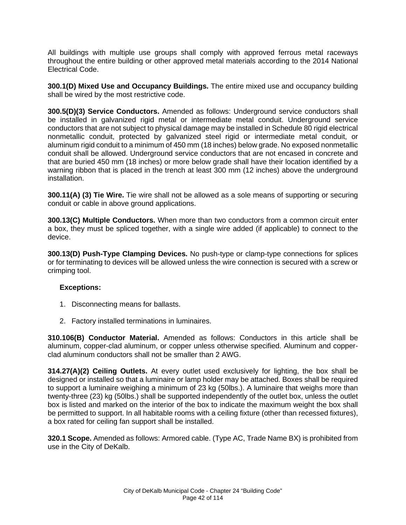All buildings with multiple use groups shall comply with approved ferrous metal raceways throughout the entire building or other approved metal materials according to the 2014 National Electrical Code.

**300.1(D) Mixed Use and Occupancy Buildings.** The entire mixed use and occupancy building shall be wired by the most restrictive code.

**300.5(D)(3) Service Conductors.** Amended as follows: Underground service conductors shall be installed in galvanized rigid metal or intermediate metal conduit. Underground service conductors that are not subject to physical damage may be installed in Schedule 80 rigid electrical nonmetallic conduit, protected by galvanized steel rigid or intermediate metal conduit, or aluminum rigid conduit to a minimum of 450 mm (18 inches) below grade. No exposed nonmetallic conduit shall be allowed. Underground service conductors that are not encased in concrete and that are buried 450 mm (18 inches) or more below grade shall have their location identified by a warning ribbon that is placed in the trench at least 300 mm (12 inches) above the underground installation.

**300.11(A) (3) Tie Wire.** Tie wire shall not be allowed as a sole means of supporting or securing conduit or cable in above ground applications.

**300.13(C) Multiple Conductors.** When more than two conductors from a common circuit enter a box, they must be spliced together, with a single wire added (if applicable) to connect to the device.

**300.13(D) Push-Type Clamping Devices.** No push-type or clamp-type connections for splices or for terminating to devices will be allowed unless the wire connection is secured with a screw or crimping tool.

#### **Exceptions:**

- 1. Disconnecting means for ballasts.
- 2. Factory installed terminations in luminaires.

**310.106(B) Conductor Material.** Amended as follows: Conductors in this article shall be aluminum, copper-clad aluminum, or copper unless otherwise specified. Aluminum and copperclad aluminum conductors shall not be smaller than 2 AWG.

**314.27(A)(2) Ceiling Outlets.** At every outlet used exclusively for lighting, the box shall be designed or installed so that a luminaire or lamp holder may be attached. Boxes shall be required to support a luminaire weighing a minimum of 23 kg (50lbs.). A luminaire that weighs more than twenty-three (23) kg (50lbs.) shall be supported independently of the outlet box, unless the outlet box is listed and marked on the interior of the box to indicate the maximum weight the box shall be permitted to support. In all habitable rooms with a ceiling fixture (other than recessed fixtures), a box rated for ceiling fan support shall be installed.

**320.1 Scope.** Amended as follows: Armored cable. (Type AC, Trade Name BX) is prohibited from use in the City of DeKalb.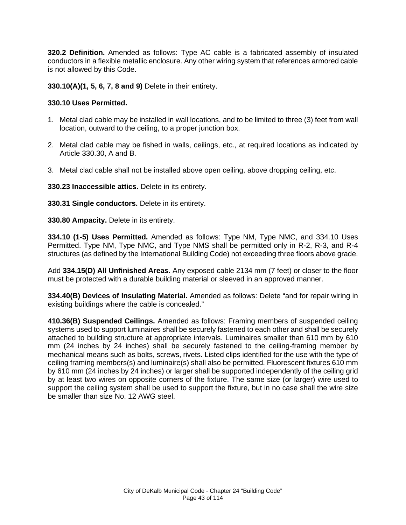**320.2 Definition.** Amended as follows: Type AC cable is a fabricated assembly of insulated conductors in a flexible metallic enclosure. Any other wiring system that references armored cable is not allowed by this Code.

**330.10(A)(1, 5, 6, 7, 8 and 9)** Delete in their entirety.

## **330.10 Uses Permitted.**

- 1. Metal clad cable may be installed in wall locations, and to be limited to three (3) feet from wall location, outward to the ceiling, to a proper junction box.
- 2. Metal clad cable may be fished in walls, ceilings, etc., at required locations as indicated by Article 330.30, A and B.
- 3. Metal clad cable shall not be installed above open ceiling, above dropping ceiling, etc.

**330.23 Inaccessible attics.** Delete in its entirety.

**330.31 Single conductors.** Delete in its entirety.

**330.80 Ampacity.** Delete in its entirety.

**334.10 (1-5) Uses Permitted.** Amended as follows: Type NM, Type NMC, and 334.10 Uses Permitted. Type NM, Type NMC, and Type NMS shall be permitted only in R-2, R-3, and R-4 structures (as defined by the International Building Code) not exceeding three floors above grade.

Add **334.15(D) All Unfinished Areas.** Any exposed cable 2134 mm (7 feet) or closer to the floor must be protected with a durable building material or sleeved in an approved manner.

**334.40(B) Devices of Insulating Material.** Amended as follows: Delete "and for repair wiring in existing buildings where the cable is concealed."

**410.36(B) Suspended Ceilings.** Amended as follows: Framing members of suspended ceiling systems used to support luminaires shall be securely fastened to each other and shall be securely attached to building structure at appropriate intervals. Luminaires smaller than 610 mm by 610 mm (24 inches by 24 inches) shall be securely fastened to the ceiling-framing member by mechanical means such as bolts, screws, rivets. Listed clips identified for the use with the type of ceiling framing members(s) and luminaire(s) shall also be permitted. Fluorescent fixtures 610 mm by 610 mm (24 inches by 24 inches) or larger shall be supported independently of the ceiling grid by at least two wires on opposite corners of the fixture. The same size (or larger) wire used to support the ceiling system shall be used to support the fixture, but in no case shall the wire size be smaller than size No. 12 AWG steel.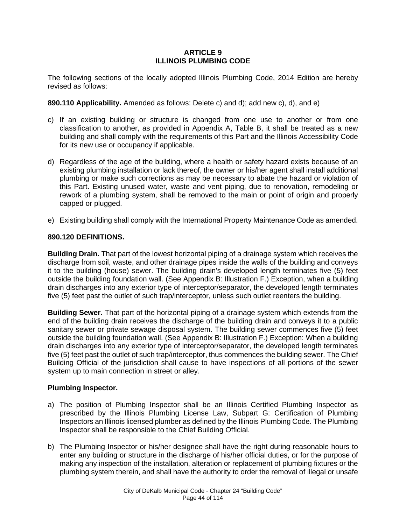## **ARTICLE 9 ILLINOIS PLUMBING CODE**

The following sections of the locally adopted Illinois Plumbing Code, 2014 Edition are hereby revised as follows:

**890.110 Applicability.** Amended as follows: Delete c) and d); add new c), d), and e)

- c) If an existing building or structure is changed from one use to another or from one classification to another, as provided in Appendix A, Table B, it shall be treated as a new building and shall comply with the requirements of this Part and the Illinois Accessibility Code for its new use or occupancy if applicable.
- d) Regardless of the age of the building, where a health or safety hazard exists because of an existing plumbing installation or lack thereof, the owner or his/her agent shall install additional plumbing or make such corrections as may be necessary to abate the hazard or violation of this Part. Existing unused water, waste and vent piping, due to renovation, remodeling or rework of a plumbing system, shall be removed to the main or point of origin and properly capped or plugged.
- e) Existing building shall comply with the International Property Maintenance Code as amended.

## **890.120 DEFINITIONS.**

**Building Drain.** That part of the lowest horizontal piping of a drainage system which receives the discharge from soil, waste, and other drainage pipes inside the walls of the building and conveys it to the building (house) sewer. The building drain's developed length terminates five (5) feet outside the building foundation wall. (See Appendix B: Illustration F.) Exception, when a building drain discharges into any exterior type of interceptor/separator, the developed length terminates five (5) feet past the outlet of such trap/interceptor, unless such outlet reenters the building.

**Building Sewer.** That part of the horizontal piping of a drainage system which extends from the end of the building drain receives the discharge of the building drain and conveys it to a public sanitary sewer or private sewage disposal system. The building sewer commences five (5) feet outside the building foundation wall. (See Appendix B: Illustration F.) Exception: When a building drain discharges into any exterior type of interceptor/separator, the developed length terminates five (5) feet past the outlet of such trap/interceptor, thus commences the building sewer. The Chief Building Official of the jurisdiction shall cause to have inspections of all portions of the sewer system up to main connection in street or alley.

# **Plumbing Inspector.**

- a) The position of Plumbing Inspector shall be an Illinois Certified Plumbing Inspector as prescribed by the Illinois Plumbing License Law, Subpart G: Certification of Plumbing Inspectors an Illinois licensed plumber as defined by the Illinois Plumbing Code. The Plumbing Inspector shall be responsible to the Chief Building Official.
- b) The Plumbing Inspector or his/her designee shall have the right during reasonable hours to enter any building or structure in the discharge of his/her official duties, or for the purpose of making any inspection of the installation, alteration or replacement of plumbing fixtures or the plumbing system therein, and shall have the authority to order the removal of illegal or unsafe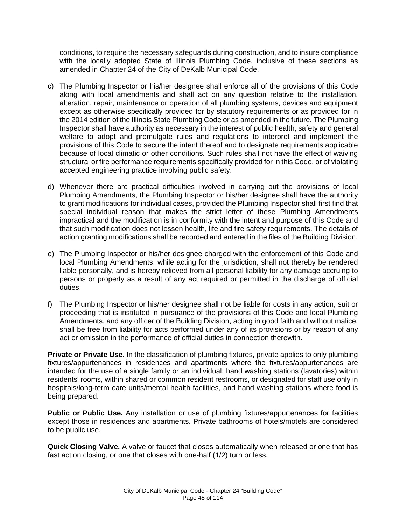conditions, to require the necessary safeguards during construction, and to insure compliance with the locally adopted State of Illinois Plumbing Code, inclusive of these sections as amended in Chapter 24 of the City of DeKalb Municipal Code.

- c) The Plumbing Inspector or his/her designee shall enforce all of the provisions of this Code along with local amendments and shall act on any question relative to the installation, alteration, repair, maintenance or operation of all plumbing systems, devices and equipment except as otherwise specifically provided for by statutory requirements or as provided for in the 2014 edition of the Illinois State Plumbing Code or as amended in the future. The Plumbing Inspector shall have authority as necessary in the interest of public health, safety and general welfare to adopt and promulgate rules and regulations to interpret and implement the provisions of this Code to secure the intent thereof and to designate requirements applicable because of local climatic or other conditions. Such rules shall not have the effect of waiving structural or fire performance requirements specifically provided for in this Code, or of violating accepted engineering practice involving public safety.
- d) Whenever there are practical difficulties involved in carrying out the provisions of local Plumbing Amendments, the Plumbing Inspector or his/her designee shall have the authority to grant modifications for individual cases, provided the Plumbing Inspector shall first find that special individual reason that makes the strict letter of these Plumbing Amendments impractical and the modification is in conformity with the intent and purpose of this Code and that such modification does not lessen health, life and fire safety requirements. The details of action granting modifications shall be recorded and entered in the files of the Building Division.
- e) The Plumbing Inspector or his/her designee charged with the enforcement of this Code and local Plumbing Amendments, while acting for the jurisdiction, shall not thereby be rendered liable personally, and is hereby relieved from all personal liability for any damage accruing to persons or property as a result of any act required or permitted in the discharge of official duties.
- f) The Plumbing Inspector or his/her designee shall not be liable for costs in any action, suit or proceeding that is instituted in pursuance of the provisions of this Code and local Plumbing Amendments, and any officer of the Building Division, acting in good faith and without malice, shall be free from liability for acts performed under any of its provisions or by reason of any act or omission in the performance of official duties in connection therewith.

**Private or Private Use.** In the classification of plumbing fixtures, private applies to only plumbing fixtures/appurtenances in residences and apartments where the fixtures/appurtenances are intended for the use of a single family or an individual; hand washing stations (lavatories) within residents' rooms, within shared or common resident restrooms, or designated for staff use only in hospitals/long-term care units/mental health facilities, and hand washing stations where food is being prepared.

**Public or Public Use.** Any installation or use of plumbing fixtures/appurtenances for facilities except those in residences and apartments. Private bathrooms of hotels/motels are considered to be public use.

**Quick Closing Valve.** A valve or faucet that closes automatically when released or one that has fast action closing, or one that closes with one-half (1/2) turn or less.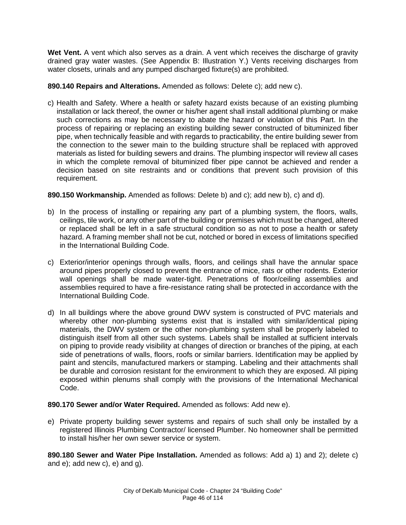**Wet Vent.** A vent which also serves as a drain. A vent which receives the discharge of gravity drained gray water wastes. (See Appendix B: Illustration Y.) Vents receiving discharges from water closets, urinals and any pumped discharged fixture(s) are prohibited.

# **890.140 Repairs and Alterations.** Amended as follows: Delete c); add new c).

c) Health and Safety. Where a health or safety hazard exists because of an existing plumbing installation or lack thereof, the owner or his/her agent shall install additional plumbing or make such corrections as may be necessary to abate the hazard or violation of this Part. In the process of repairing or replacing an existing building sewer constructed of bituminized fiber pipe, when technically feasible and with regards to practicability, the entire building sewer from the connection to the sewer main to the building structure shall be replaced with approved materials as listed for building sewers and drains. The plumbing inspector will review all cases in which the complete removal of bituminized fiber pipe cannot be achieved and render a decision based on site restraints and or conditions that prevent such provision of this requirement.

## **890.150 Workmanship.** Amended as follows: Delete b) and c); add new b), c) and d).

- b) In the process of installing or repairing any part of a plumbing system, the floors, walls, ceilings, tile work, or any other part of the building or premises which must be changed, altered or replaced shall be left in a safe structural condition so as not to pose a health or safety hazard. A framing member shall not be cut, notched or bored in excess of limitations specified in the International Building Code.
- c) Exterior/interior openings through walls, floors, and ceilings shall have the annular space around pipes properly closed to prevent the entrance of mice, rats or other rodents. Exterior wall openings shall be made water-tight. Penetrations of floor/ceiling assemblies and assemblies required to have a fire-resistance rating shall be protected in accordance with the International Building Code.
- d) In all buildings where the above ground DWV system is constructed of PVC materials and whereby other non-plumbing systems exist that is installed with similar/identical piping materials, the DWV system or the other non-plumbing system shall be properly labeled to distinguish itself from all other such systems. Labels shall be installed at sufficient intervals on piping to provide ready visibility at changes of direction or branches of the piping, at each side of penetrations of walls, floors, roofs or similar barriers. Identification may be applied by paint and stencils, manufactured markers or stamping. Labeling and their attachments shall be durable and corrosion resistant for the environment to which they are exposed. All piping exposed within plenums shall comply with the provisions of the International Mechanical Code.

#### **890.170 Sewer and/or Water Required.** Amended as follows: Add new e).

e) Private property building sewer systems and repairs of such shall only be installed by a registered Illinois Plumbing Contractor/ licensed Plumber. No homeowner shall be permitted to install his/her her own sewer service or system.

**890.180 Sewer and Water Pipe Installation.** Amended as follows: Add a) 1) and 2); delete c) and e); add new c), e) and g).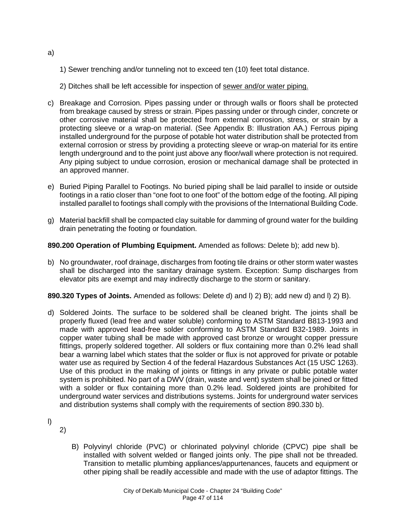- 1) Sewer trenching and/or tunneling not to exceed ten (10) feet total distance.
- 2) Ditches shall be left accessible for inspection of sewer and/or water piping.
- c) Breakage and Corrosion. Pipes passing under or through walls or floors shall be protected from breakage caused by stress or strain. Pipes passing under or through cinder, concrete or other corrosive material shall be protected from external corrosion, stress, or strain by a protecting sleeve or a wrap-on material. (See Appendix B: Illustration AA.) Ferrous piping installed underground for the purpose of potable hot water distribution shall be protected from external corrosion or stress by providing a protecting sleeve or wrap-on material for its entire length underground and to the point just above any floor/wall where protection is not required. Any piping subject to undue corrosion, erosion or mechanical damage shall be protected in an approved manner.
- e) Buried Piping Parallel to Footings. No buried piping shall be laid parallel to inside or outside footings in a ratio closer than "one foot to one foot" of the bottom edge of the footing. All piping installed parallel to footings shall comply with the provisions of the International Building Code.
- g) Material backfill shall be compacted clay suitable for damming of ground water for the building drain penetrating the footing or foundation.

# **890.200 Operation of Plumbing Equipment.** Amended as follows: Delete b); add new b).

b) No groundwater, roof drainage, discharges from footing tile drains or other storm water wastes shall be discharged into the sanitary drainage system. Exception: Sump discharges from elevator pits are exempt and may indirectly discharge to the storm or sanitary.

**890.320 Types of Joints.** Amended as follows: Delete d) and l) 2) B); add new d) and l) 2) B).

d) Soldered Joints. The surface to be soldered shall be cleaned bright. The joints shall be properly fluxed (lead free and water soluble) conforming to ASTM Standard B813-1993 and made with approved lead-free solder conforming to ASTM Standard B32-1989. Joints in copper water tubing shall be made with approved cast bronze or wrought copper pressure fittings, properly soldered together. All solders or flux containing more than 0.2% lead shall bear a warning label which states that the solder or flux is not approved for private or potable water use as required by Section 4 of the federal Hazardous Substances Act (15 USC 1263). Use of this product in the making of joints or fittings in any private or public potable water system is prohibited. No part of a DWV (drain, waste and vent) system shall be joined or fitted with a solder or flux containing more than 0.2% lead. Soldered joints are prohibited for underground water services and distributions systems. Joints for underground water services and distribution systems shall comply with the requirements of section 890.330 b).

l)

2)

B) Polyvinyl chloride (PVC) or chlorinated polyvinyl chloride (CPVC) pipe shall be installed with solvent welded or flanged joints only. The pipe shall not be threaded. Transition to metallic plumbing appliances/appurtenances, faucets and equipment or other piping shall be readily accessible and made with the use of adaptor fittings. The

a)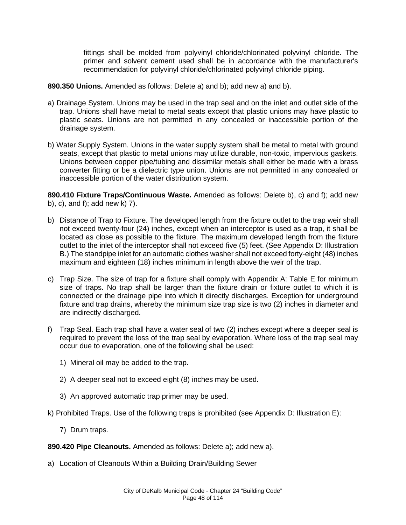fittings shall be molded from polyvinyl chloride/chlorinated polyvinyl chloride. The primer and solvent cement used shall be in accordance with the manufacturer's recommendation for polyvinyl chloride/chlorinated polyvinyl chloride piping.

**890.350 Unions.** Amended as follows: Delete a) and b); add new a) and b).

- a) Drainage System. Unions may be used in the trap seal and on the inlet and outlet side of the trap. Unions shall have metal to metal seats except that plastic unions may have plastic to plastic seats. Unions are not permitted in any concealed or inaccessible portion of the drainage system.
- b) Water Supply System. Unions in the water supply system shall be metal to metal with ground seats, except that plastic to metal unions may utilize durable, non-toxic, impervious gaskets. Unions between copper pipe/tubing and dissimilar metals shall either be made with a brass converter fitting or be a dielectric type union. Unions are not permitted in any concealed or inaccessible portion of the water distribution system.

**890.410 Fixture Traps/Continuous Waste.** Amended as follows: Delete b), c) and f); add new b), c), and f); add new k) 7).

- b) Distance of Trap to Fixture. The developed length from the fixture outlet to the trap weir shall not exceed twenty-four (24) inches, except when an interceptor is used as a trap, it shall be located as close as possible to the fixture. The maximum developed length from the fixture outlet to the inlet of the interceptor shall not exceed five (5) feet. (See Appendix D: Illustration B.) The standpipe inlet for an automatic clothes washer shall not exceed forty-eight (48) inches maximum and eighteen (18) inches minimum in length above the weir of the trap.
- c) Trap Size. The size of trap for a fixture shall comply with Appendix A: Table E for minimum size of traps. No trap shall be larger than the fixture drain or fixture outlet to which it is connected or the drainage pipe into which it directly discharges. Exception for underground fixture and trap drains, whereby the minimum size trap size is two (2) inches in diameter and are indirectly discharged.
- f) Trap Seal. Each trap shall have a water seal of two (2) inches except where a deeper seal is required to prevent the loss of the trap seal by evaporation. Where loss of the trap seal may occur due to evaporation, one of the following shall be used:
	- 1) Mineral oil may be added to the trap.
	- 2) A deeper seal not to exceed eight (8) inches may be used.
	- 3) An approved automatic trap primer may be used.
- k) Prohibited Traps. Use of the following traps is prohibited (see Appendix D: Illustration E):
	- 7) Drum traps.

**890.420 Pipe Cleanouts.** Amended as follows: Delete a); add new a).

a) Location of Cleanouts Within a Building Drain/Building Sewer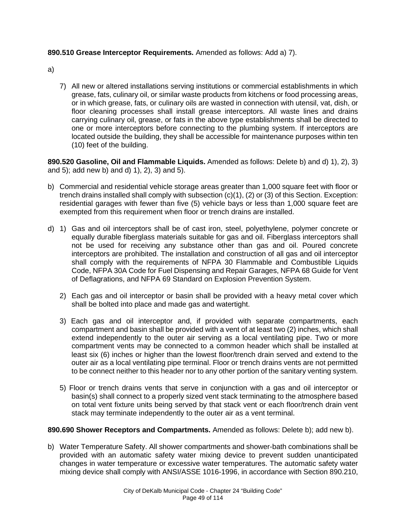# **890.510 Grease Interceptor Requirements.** Amended as follows: Add a) 7).

- a)
- 7) All new or altered installations serving institutions or commercial establishments in which grease, fats, culinary oil, or similar waste products from kitchens or food processing areas, or in which grease, fats, or culinary oils are wasted in connection with utensil, vat, dish, or floor cleaning processes shall install grease interceptors. All waste lines and drains carrying culinary oil, grease, or fats in the above type establishments shall be directed to one or more interceptors before connecting to the plumbing system. If interceptors are located outside the building, they shall be accessible for maintenance purposes within ten (10) feet of the building.

**890.520 Gasoline, Oil and Flammable Liquids.** Amended as follows: Delete b) and d) 1), 2), 3) and 5); add new b) and d) 1), 2), 3) and 5).

- b) Commercial and residential vehicle storage areas greater than 1,000 square feet with floor or trench drains installed shall comply with subsection  $(c)(1)$ ,  $(2)$  or  $(3)$  of this Section. Exception: residential garages with fewer than five (5) vehicle bays or less than 1,000 square feet are exempted from this requirement when floor or trench drains are installed.
- d) 1) Gas and oil interceptors shall be of cast iron, steel, polyethylene, polymer concrete or equally durable fiberglass materials suitable for gas and oil. Fiberglass interceptors shall not be used for receiving any substance other than gas and oil. Poured concrete interceptors are prohibited. The installation and construction of all gas and oil interceptor shall comply with the requirements of NFPA 30 Flammable and Combustible Liquids Code, NFPA 30A Code for Fuel Dispensing and Repair Garages, NFPA 68 Guide for Vent of Deflagrations, and NFPA 69 Standard on Explosion Prevention System.
	- 2) Each gas and oil interceptor or basin shall be provided with a heavy metal cover which shall be bolted into place and made gas and watertight.
	- 3) Each gas and oil interceptor and, if provided with separate compartments, each compartment and basin shall be provided with a vent of at least two (2) inches, which shall extend independently to the outer air serving as a local ventilating pipe. Two or more compartment vents may be connected to a common header which shall be installed at least six (6) inches or higher than the lowest floor/trench drain served and extend to the outer air as a local ventilating pipe terminal. Floor or trench drains vents are not permitted to be connect neither to this header nor to any other portion of the sanitary venting system.
	- 5) Floor or trench drains vents that serve in conjunction with a gas and oil interceptor or basin(s) shall connect to a properly sized vent stack terminating to the atmosphere based on total vent fixture units being served by that stack vent or each floor/trench drain vent stack may terminate independently to the outer air as a vent terminal.

# **890.690 Shower Receptors and Compartments.** Amended as follows: Delete b); add new b).

b) Water Temperature Safety. All shower compartments and shower-bath combinations shall be provided with an automatic safety water mixing device to prevent sudden unanticipated changes in water temperature or excessive water temperatures. The automatic safety water mixing device shall comply with ANSI/ASSE 1016-1996, in accordance with Section 890.210,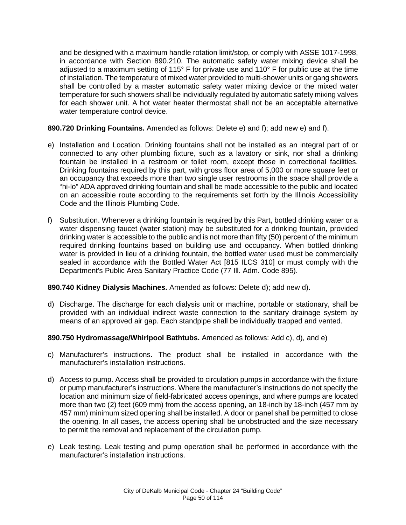and be designed with a maximum handle rotation limit/stop, or comply with ASSE 1017-1998, in accordance with Section 890.210. The automatic safety water mixing device shall be adjusted to a maximum setting of 115° F for private use and 110° F for public use at the time of installation. The temperature of mixed water provided to multi-shower units or gang showers shall be controlled by a master automatic safety water mixing device or the mixed water temperature for such showers shall be individually regulated by automatic safety mixing valves for each shower unit. A hot water heater thermostat shall not be an acceptable alternative water temperature control device.

# **890.720 Drinking Fountains.** Amended as follows: Delete e) and f); add new e) and f).

- e) Installation and Location. Drinking fountains shall not be installed as an integral part of or connected to any other plumbing fixture, such as a lavatory or sink, nor shall a drinking fountain be installed in a restroom or toilet room, except those in correctional facilities. Drinking fountains required by this part, with gross floor area of 5,000 or more square feet or an occupancy that exceeds more than two single user restrooms in the space shall provide a "hi-lo" ADA approved drinking fountain and shall be made accessible to the public and located on an accessible route according to the requirements set forth by the Illinois Accessibility Code and the Illinois Plumbing Code.
- f) Substitution. Whenever a drinking fountain is required by this Part, bottled drinking water or a water dispensing faucet (water station) may be substituted for a drinking fountain, provided drinking water is accessible to the public and is not more than fifty (50) percent of the minimum required drinking fountains based on building use and occupancy. When bottled drinking water is provided in lieu of a drinking fountain, the bottled water used must be commercially sealed in accordance with the Bottled Water Act [815 ILCS 310] or must comply with the Department's Public Area Sanitary Practice Code (77 Ill. Adm. Code 895).

#### **890.740 Kidney Dialysis Machines.** Amended as follows: Delete d); add new d).

d) Discharge. The discharge for each dialysis unit or machine, portable or stationary, shall be provided with an individual indirect waste connection to the sanitary drainage system by means of an approved air gap. Each standpipe shall be individually trapped and vented.

#### **890.750 Hydromassage/Whirlpool Bathtubs.** Amended as follows: Add c), d), and e)

- c) Manufacturer's instructions. The product shall be installed in accordance with the manufacturer's installation instructions.
- d) Access to pump. Access shall be provided to circulation pumps in accordance with the fixture or pump manufacturer's instructions. Where the manufacturer's instructions do not specify the location and minimum size of field-fabricated access openings, and where pumps are located more than two (2) feet (609 mm) from the access opening, an 18-inch by 18-inch (457 mm by 457 mm) minimum sized opening shall be installed. A door or panel shall be permitted to close the opening. In all cases, the access opening shall be unobstructed and the size necessary to permit the removal and replacement of the circulation pump.
- e) Leak testing. Leak testing and pump operation shall be performed in accordance with the manufacturer's installation instructions.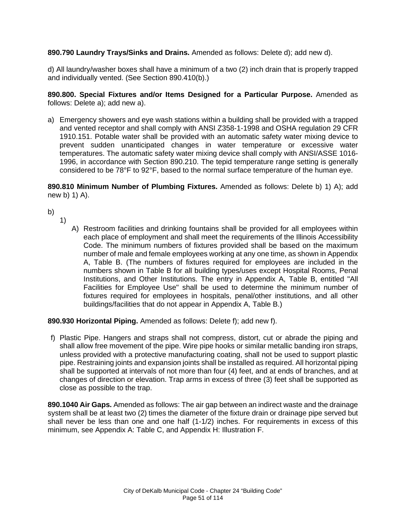# **890.790 Laundry Trays/Sinks and Drains.** Amended as follows: Delete d); add new d).

d) All laundry/washer boxes shall have a minimum of a two (2) inch drain that is properly trapped and individually vented. (See Section 890.410(b).)

**890.800. Special Fixtures and/or Items Designed for a Particular Purpose.** Amended as follows: Delete a); add new a).

a) Emergency showers and eye wash stations within a building shall be provided with a trapped and vented receptor and shall comply with ANSI Z358-1-1998 and OSHA regulation 29 CFR 1910.151. Potable water shall be provided with an automatic safety water mixing device to prevent sudden unanticipated changes in water temperature or excessive water temperatures. The automatic safety water mixing device shall comply with ANSI/ASSE 1016- 1996, in accordance with Section 890.210. The tepid temperature range setting is generally considered to be 78°F to 92°F, based to the normal surface temperature of the human eye.

**890.810 Minimum Number of Plumbing Fixtures.** Amended as follows: Delete b) 1) A); add new b) 1) A).

- b)
- 1)
- A) Restroom facilities and drinking fountains shall be provided for all employees within each place of employment and shall meet the requirements of the Illinois Accessibility Code. The minimum numbers of fixtures provided shall be based on the maximum number of male and female employees working at any one time, as shown in Appendix A, Table B. (The numbers of fixtures required for employees are included in the numbers shown in Table B for all building types/uses except Hospital Rooms, Penal Institutions, and Other Institutions. The entry in Appendix A, Table B, entitled "All Facilities for Employee Use" shall be used to determine the minimum number of fixtures required for employees in hospitals, penal/other institutions, and all other buildings/facilities that do not appear in Appendix A, Table B.)

#### **890.930 Horizontal Piping.** Amended as follows: Delete f); add new f).

f) Plastic Pipe. Hangers and straps shall not compress, distort, cut or abrade the piping and shall allow free movement of the pipe. Wire pipe hooks or similar metallic banding iron straps, unless provided with a protective manufacturing coating, shall not be used to support plastic pipe. Restraining joints and expansion joints shall be installed as required. All horizontal piping shall be supported at intervals of not more than four (4) feet, and at ends of branches, and at changes of direction or elevation. Trap arms in excess of three (3) feet shall be supported as close as possible to the trap.

**890.1040 Air Gaps.** Amended as follows: The air gap between an indirect waste and the drainage system shall be at least two (2) times the diameter of the fixture drain or drainage pipe served but shall never be less than one and one half (1-1/2) inches. For requirements in excess of this minimum, see Appendix A: Table C, and Appendix H: Illustration F.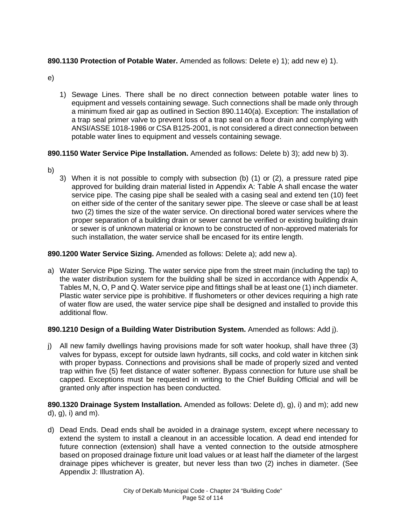# **890.1130 Protection of Potable Water.** Amended as follows: Delete e) 1); add new e) 1).

- e)
- 1) Sewage Lines. There shall be no direct connection between potable water lines to equipment and vessels containing sewage. Such connections shall be made only through a minimum fixed air gap as outlined in Section 890.1140(a). Exception: The installation of a trap seal primer valve to prevent loss of a trap seal on a floor drain and complying with ANSI/ASSE 1018-1986 or CSA B125-2001, is not considered a direct connection between potable water lines to equipment and vessels containing sewage.

# **890.1150 Water Service Pipe Installation.** Amended as follows: Delete b) 3); add new b) 3).

- b)
- 3) When it is not possible to comply with subsection (b) (1) or (2), a pressure rated pipe approved for building drain material listed in Appendix A: Table A shall encase the water service pipe. The casing pipe shall be sealed with a casing seal and extend ten (10) feet on either side of the center of the sanitary sewer pipe. The sleeve or case shall be at least two (2) times the size of the water service. On directional bored water services where the proper separation of a building drain or sewer cannot be verified or existing building drain or sewer is of unknown material or known to be constructed of non-approved materials for such installation, the water service shall be encased for its entire length.

# **890.1200 Water Service Sizing.** Amended as follows: Delete a); add new a).

a) Water Service Pipe Sizing. The water service pipe from the street main (including the tap) to the water distribution system for the building shall be sized in accordance with Appendix A, Tables M, N, O, P and Q. Water service pipe and fittings shall be at least one (1) inch diameter. Plastic water service pipe is prohibitive. If flushometers or other devices requiring a high rate of water flow are used, the water service pipe shall be designed and installed to provide this additional flow.

# **890.1210 Design of a Building Water Distribution System.** Amended as follows: Add j).

j) All new family dwellings having provisions made for soft water hookup, shall have three (3) valves for bypass, except for outside lawn hydrants, sill cocks, and cold water in kitchen sink with proper bypass. Connections and provisions shall be made of properly sized and vented trap within five (5) feet distance of water softener. Bypass connection for future use shall be capped. Exceptions must be requested in writing to the Chief Building Official and will be granted only after inspection has been conducted.

**890.1320 Drainage System Installation.** Amended as follows: Delete d), g), i) and m); add new d), g), i) and m).

d) Dead Ends. Dead ends shall be avoided in a drainage system, except where necessary to extend the system to install a cleanout in an accessible location. A dead end intended for future connection (extension) shall have a vented connection to the outside atmosphere based on proposed drainage fixture unit load values or at least half the diameter of the largest drainage pipes whichever is greater, but never less than two (2) inches in diameter. (See Appendix J: Illustration A).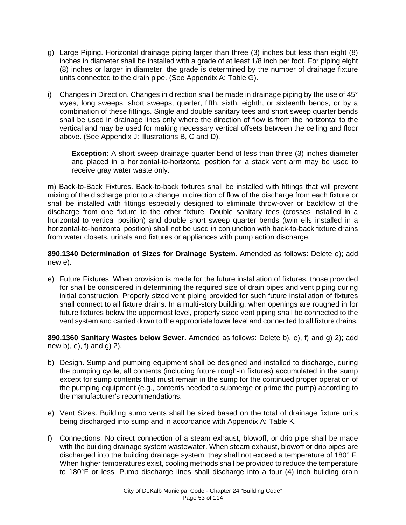- g) Large Piping. Horizontal drainage piping larger than three (3) inches but less than eight (8) inches in diameter shall be installed with a grade of at least 1/8 inch per foot. For piping eight (8) inches or larger in diameter, the grade is determined by the number of drainage fixture units connected to the drain pipe. (See Appendix A: Table G).
- i) Changes in Direction. Changes in direction shall be made in drainage piping by the use of  $45^{\circ}$ wyes, long sweeps, short sweeps, quarter, fifth, sixth, eighth, or sixteenth bends, or by a combination of these fittings. Single and double sanitary tees and short sweep quarter bends shall be used in drainage lines only where the direction of flow is from the horizontal to the vertical and may be used for making necessary vertical offsets between the ceiling and floor above. (See Appendix J: Illustrations B, C and D).

**Exception:** A short sweep drainage quarter bend of less than three (3) inches diameter and placed in a horizontal-to-horizontal position for a stack vent arm may be used to receive gray water waste only.

m) Back-to-Back Fixtures. Back-to-back fixtures shall be installed with fittings that will prevent mixing of the discharge prior to a change in direction of flow of the discharge from each fixture or shall be installed with fittings especially designed to eliminate throw-over or backflow of the discharge from one fixture to the other fixture. Double sanitary tees (crosses installed in a horizontal to vertical position) and double short sweep quarter bends (twin ells installed in a horizontal-to-horizontal position) shall not be used in conjunction with back-to-back fixture drains from water closets, urinals and fixtures or appliances with pump action discharge.

**890.1340 Determination of Sizes for Drainage System.** Amended as follows: Delete e); add new e).

e) Future Fixtures. When provision is made for the future installation of fixtures, those provided for shall be considered in determining the required size of drain pipes and vent piping during initial construction. Properly sized vent piping provided for such future installation of fixtures shall connect to all fixture drains. In a multi-story building, when openings are roughed in for future fixtures below the uppermost level, properly sized vent piping shall be connected to the vent system and carried down to the appropriate lower level and connected to all fixture drains.

**890.1360 Sanitary Wastes below Sewer.** Amended as follows: Delete b), e), f) and g) 2); add new b), e), f) and g) 2).

- b) Design. Sump and pumping equipment shall be designed and installed to discharge, during the pumping cycle, all contents (including future rough-in fixtures) accumulated in the sump except for sump contents that must remain in the sump for the continued proper operation of the pumping equipment (e.g., contents needed to submerge or prime the pump) according to the manufacturer's recommendations.
- e) Vent Sizes. Building sump vents shall be sized based on the total of drainage fixture units being discharged into sump and in accordance with Appendix A: Table K.
- f) Connections. No direct connection of a steam exhaust, blowoff, or drip pipe shall be made with the building drainage system wastewater. When steam exhaust, blowoff or drip pipes are discharged into the building drainage system, they shall not exceed a temperature of 180° F. When higher temperatures exist, cooling methods shall be provided to reduce the temperature to 180°F or less. Pump discharge lines shall discharge into a four (4) inch building drain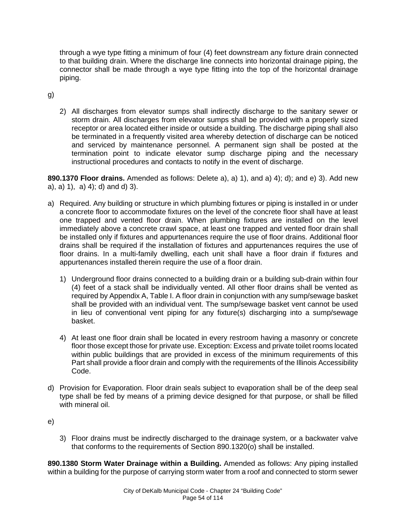through a wye type fitting a minimum of four (4) feet downstream any fixture drain connected to that building drain. Where the discharge line connects into horizontal drainage piping, the connector shall be made through a wye type fitting into the top of the horizontal drainage piping.

g)

2) All discharges from elevator sumps shall indirectly discharge to the sanitary sewer or storm drain. All discharges from elevator sumps shall be provided with a properly sized receptor or area located either inside or outside a building. The discharge piping shall also be terminated in a frequently visited area whereby detection of discharge can be noticed and serviced by maintenance personnel. A permanent sign shall be posted at the termination point to indicate elevator sump discharge piping and the necessary instructional procedures and contacts to notify in the event of discharge.

**890.1370 Floor drains.** Amended as follows: Delete a), a) 1), and a) 4); d); and e) 3). Add new a), a) 1), a) 4); d) and d) 3).

- a) Required. Any building or structure in which plumbing fixtures or piping is installed in or under a concrete floor to accommodate fixtures on the level of the concrete floor shall have at least one trapped and vented floor drain. When plumbing fixtures are installed on the level immediately above a concrete crawl space, at least one trapped and vented floor drain shall be installed only if fixtures and appurtenances require the use of floor drains. Additional floor drains shall be required if the installation of fixtures and appurtenances requires the use of floor drains. In a multi-family dwelling, each unit shall have a floor drain if fixtures and appurtenances installed therein require the use of a floor drain.
	- 1) Underground floor drains connected to a building drain or a building sub-drain within four (4) feet of a stack shall be individually vented. All other floor drains shall be vented as required by Appendix A, Table I. A floor drain in conjunction with any sump/sewage basket shall be provided with an individual vent. The sump/sewage basket vent cannot be used in lieu of conventional vent piping for any fixture(s) discharging into a sump/sewage basket.
	- 4) At least one floor drain shall be located in every restroom having a masonry or concrete floor those except those for private use. Exception: Excess and private toilet rooms located within public buildings that are provided in excess of the minimum requirements of this Part shall provide a floor drain and comply with the requirements of the Illinois Accessibility Code.
- d) Provision for Evaporation. Floor drain seals subject to evaporation shall be of the deep seal type shall be fed by means of a priming device designed for that purpose, or shall be filled with mineral oil.
- e)
- 3) Floor drains must be indirectly discharged to the drainage system, or a backwater valve that conforms to the requirements of Section 890.1320(o) shall be installed.

**890.1380 Storm Water Drainage within a Building.** Amended as follows: Any piping installed within a building for the purpose of carrying storm water from a roof and connected to storm sewer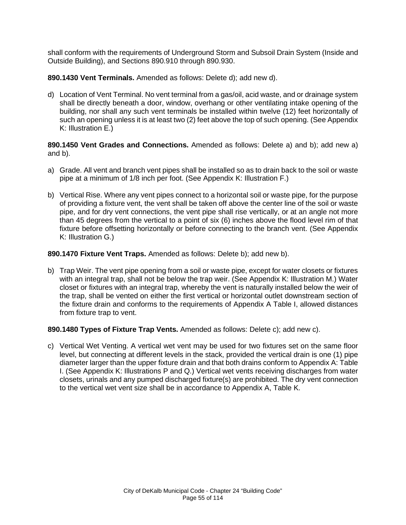shall conform with the requirements of Underground Storm and Subsoil Drain System (Inside and Outside Building), and Sections 890.910 through 890.930.

**890.1430 Vent Terminals.** Amended as follows: Delete d); add new d).

d) Location of Vent Terminal. No vent terminal from a gas/oil, acid waste, and or drainage system shall be directly beneath a door, window, overhang or other ventilating intake opening of the building, nor shall any such vent terminals be installed within twelve (12) feet horizontally of such an opening unless it is at least two (2) feet above the top of such opening. (See Appendix K: Illustration E.)

**890.1450 Vent Grades and Connections.** Amended as follows: Delete a) and b); add new a) and b).

- a) Grade. All vent and branch vent pipes shall be installed so as to drain back to the soil or waste pipe at a minimum of 1/8 inch per foot. (See Appendix K: Illustration F.)
- b) Vertical Rise. Where any vent pipes connect to a horizontal soil or waste pipe, for the purpose of providing a fixture vent, the vent shall be taken off above the center line of the soil or waste pipe, and for dry vent connections, the vent pipe shall rise vertically, or at an angle not more than 45 degrees from the vertical to a point of six (6) inches above the flood level rim of that fixture before offsetting horizontally or before connecting to the branch vent. (See Appendix K: Illustration G.)

## **890.1470 Fixture Vent Traps.** Amended as follows: Delete b); add new b).

b) Trap Weir. The vent pipe opening from a soil or waste pipe, except for water closets or fixtures with an integral trap, shall not be below the trap weir. (See Appendix K: Illustration M.) Water closet or fixtures with an integral trap, whereby the vent is naturally installed below the weir of the trap, shall be vented on either the first vertical or horizontal outlet downstream section of the fixture drain and conforms to the requirements of Appendix A Table I, allowed distances from fixture trap to vent.

#### **890.1480 Types of Fixture Trap Vents.** Amended as follows: Delete c); add new c).

c) Vertical Wet Venting. A vertical wet vent may be used for two fixtures set on the same floor level, but connecting at different levels in the stack, provided the vertical drain is one (1) pipe diameter larger than the upper fixture drain and that both drains conform to Appendix A: Table I. (See Appendix K: Illustrations P and Q.) Vertical wet vents receiving discharges from water closets, urinals and any pumped discharged fixture(s) are prohibited. The dry vent connection to the vertical wet vent size shall be in accordance to Appendix A, Table K.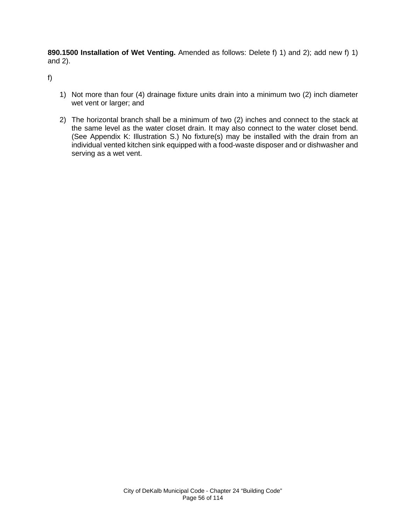**890.1500 Installation of Wet Venting.** Amended as follows: Delete f) 1) and 2); add new f) 1) and 2).

f)

- 1) Not more than four (4) drainage fixture units drain into a minimum two (2) inch diameter wet vent or larger; and
- 2) The horizontal branch shall be a minimum of two (2) inches and connect to the stack at the same level as the water closet drain. It may also connect to the water closet bend. (See Appendix K: Illustration S.) No fixture(s) may be installed with the drain from an individual vented kitchen sink equipped with a food-waste disposer and or dishwasher and serving as a wet vent.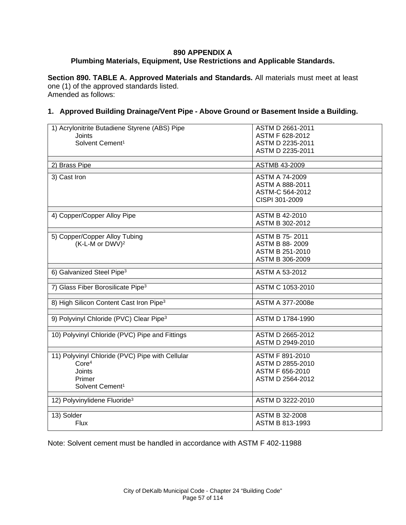# **890 APPENDIX A Plumbing Materials, Equipment, Use Restrictions and Applicable Standards.**

**Section 890. TABLE A. Approved Materials and Standards.** All materials must meet at least one (1) of the approved standards listed. Amended as follows:

## **1. Approved Building Drainage/Vent Pipe - Above Ground or Basement Inside a Building.**

| 1) Acrylonitrite Butadiene Styrene (ABS) Pipe       | ASTM D 2661-2011        |
|-----------------------------------------------------|-------------------------|
| <b>Joints</b>                                       | ASTM F 628-2012         |
| Solvent Cement <sup>1</sup>                         | ASTM D 2235-2011        |
|                                                     | ASTM D 2235-2011        |
|                                                     |                         |
| 2) Brass Pipe                                       | ASTMB 43-2009           |
|                                                     |                         |
| 3) Cast Iron                                        | <b>ASTM A 74-2009</b>   |
|                                                     | ASTM A 888-2011         |
|                                                     | ASTM-C 564-2012         |
|                                                     | CISPI 301-2009          |
|                                                     |                         |
| 4) Copper/Copper Alloy Pipe                         | <b>ASTM B 42-2010</b>   |
|                                                     | ASTM B 302-2012         |
|                                                     |                         |
| 5) Copper/Copper Alloy Tubing                       | <b>ASTM B 75-2011</b>   |
| (K-L-M or DWV) <sup>2</sup>                         | ASTM B 88-2009          |
|                                                     | ASTM B 251-2010         |
|                                                     | ASTM B 306-2009         |
|                                                     |                         |
| 6) Galvanized Steel Pipe <sup>3</sup>               | ASTM A 53-2012          |
|                                                     |                         |
| 7) Glass Fiber Borosilicate Pipe <sup>3</sup>       | ASTM C 1053-2010        |
|                                                     |                         |
| 8) High Silicon Content Cast Iron Pipe <sup>3</sup> | ASTM A 377-2008e        |
|                                                     |                         |
| 9) Polyvinyl Chloride (PVC) Clear Pipe <sup>3</sup> | <b>ASTM D 1784-1990</b> |
|                                                     |                         |
| 10) Polyvinyl Chloride (PVC) Pipe and Fittings      | ASTM D 2665-2012        |
|                                                     | ASTM D 2949-2010        |
|                                                     |                         |
| 11) Polyvinyl Chloride (PVC) Pipe with Cellular     | <b>ASTM F 891-2010</b>  |
| Core <sup>4</sup>                                   | ASTM D 2855-2010        |
| <b>Joints</b>                                       | ASTM F 656-2010         |
| Primer                                              | ASTM D 2564-2012        |
|                                                     |                         |
| Solvent Cement <sup>1</sup>                         |                         |
| 12) Polyvinylidene Fluoride <sup>3</sup>            | ASTM D 3222-2010        |
|                                                     |                         |
| 13) Solder                                          | <b>ASTM B 32-2008</b>   |
| Flux                                                | ASTM B 813-1993         |
|                                                     |                         |

Note: Solvent cement must be handled in accordance with ASTM F 402-11988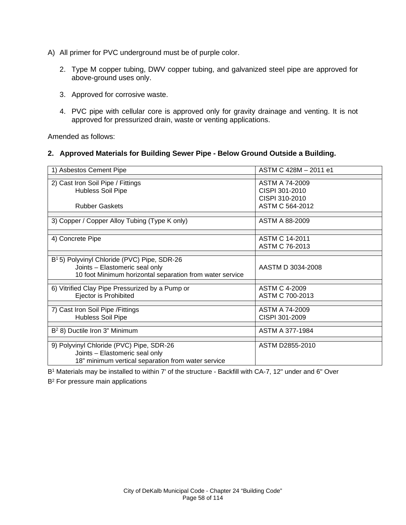- A) All primer for PVC underground must be of purple color.
	- 2. Type M copper tubing, DWV copper tubing, and galvanized steel pipe are approved for above-ground uses only.
	- 3. Approved for corrosive waste.
	- 4. PVC pipe with cellular core is approved only for gravity drainage and venting. It is not approved for pressurized drain, waste or venting applications.

Amended as follows:

### **2. Approved Materials for Building Sewer Pipe - Below Ground Outside a Building.**

| 1) Asbestos Cement Pipe                                                                                                                               | ASTM C 428M - 2011 e1                                                 |
|-------------------------------------------------------------------------------------------------------------------------------------------------------|-----------------------------------------------------------------------|
| 2) Cast Iron Soil Pipe / Fittings<br>Hubless Soil Pipe<br><b>Rubber Gaskets</b>                                                                       | ASTM A 74-2009<br>CISPI 301-2010<br>CISPI 310-2010<br>ASTM C 564-2012 |
|                                                                                                                                                       | ASTM A 88-2009                                                        |
| 3) Copper / Copper Alloy Tubing (Type K only)                                                                                                         |                                                                       |
| 4) Concrete Pipe                                                                                                                                      | <b>ASTM C 14-2011</b><br>ASTM C 76-2013                               |
| B <sup>1</sup> 5) Polyvinyl Chloride (PVC) Pipe, SDR-26<br>Joints - Elastomeric seal only<br>10 foot Minimum horizontal separation from water service | AASTM D 3034-2008                                                     |
| 6) Vitrified Clay Pipe Pressurized by a Pump or<br>Ejector is Prohibited                                                                              | <b>ASTM C 4-2009</b><br>ASTM C 700-2013                               |
| 7) Cast Iron Soil Pipe / Fittings<br><b>Hubless Soil Pipe</b>                                                                                         | ASTM A 74-2009<br>CISPI 301-2009                                      |
| B <sup>2</sup> 8) Ductile Iron 3" Minimum                                                                                                             | ASTM A 377-1984                                                       |
| 9) Polyvinyl Chloride (PVC) Pipe, SDR-26<br>Joints - Elastomeric seal only<br>18" minimum vertical separation from water service                      | ASTM D2855-2010                                                       |

B<sup>1</sup> Materials may be installed to within 7' of the structure - Backfill with CA-7, 12" under and 6" Over

B<sup>2</sup> For pressure main applications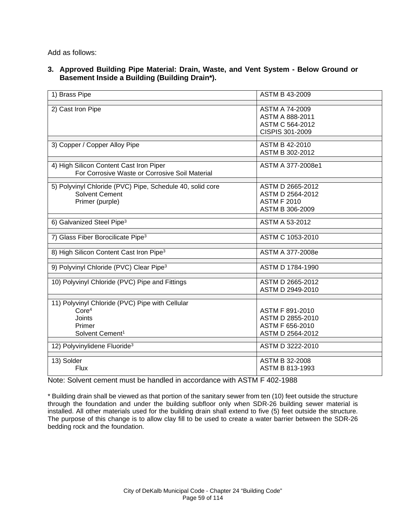Add as follows:

**3. Approved Building Pipe Material: Drain, Waste, and Vent System - Below Ground or Basement Inside a Building (Building Drain\*).** 

| 1) Brass Pipe                                                                                                                                                              | <b>ASTM B 43-2009</b>                                                                          |
|----------------------------------------------------------------------------------------------------------------------------------------------------------------------------|------------------------------------------------------------------------------------------------|
| 2) Cast Iron Pipe                                                                                                                                                          | ASTM A 74-2009<br>ASTM A 888-2011<br>ASTM C 564-2012<br>CISPIS 301-2009                        |
| 3) Copper / Copper Alloy Pipe                                                                                                                                              | <b>ASTM B 42-2010</b><br>ASTM B 302-2012                                                       |
| 4) High Silicon Content Cast Iron Piper<br>For Corrosive Waste or Corrosive Soil Material                                                                                  | ASTM A 377-2008e1                                                                              |
| 5) Polyvinyl Chloride (PVC) Pipe, Schedule 40, solid core<br><b>Solvent Cement</b><br>Primer (purple)                                                                      | ASTM D 2665-2012<br>ASTM D 2564-2012<br><b>ASTM F 2010</b><br>ASTM B 306-2009                  |
| 6) Galvanized Steel Pipe <sup>3</sup>                                                                                                                                      | ASTM A 53-2012                                                                                 |
| 7) Glass Fiber Borocilicate Pipe <sup>3</sup>                                                                                                                              | ASTM C 1053-2010                                                                               |
| 8) High Silicon Content Cast Iron Pipe <sup>3</sup>                                                                                                                        | ASTM A 377-2008e                                                                               |
| 9) Polyvinyl Chloride (PVC) Clear Pipe <sup>3</sup>                                                                                                                        | ASTM D 1784-1990                                                                               |
| 10) Polyvinyl Chloride (PVC) Pipe and Fittings                                                                                                                             | ASTM D 2665-2012<br>ASTM D 2949-2010                                                           |
| 11) Polyvinyl Chloride (PVC) Pipe with Cellular<br>Core <sup>4</sup><br><b>Joints</b><br>Primer<br>Solvent Cement <sup>1</sup><br>12) Polyvinylidene Fluoride <sup>3</sup> | ASTM F 891-2010<br>ASTM D 2855-2010<br>ASTM F 656-2010<br>ASTM D 2564-2012<br>ASTM D 3222-2010 |
| 13) Solder<br>Flux                                                                                                                                                         | <b>ASTM B 32-2008</b><br>ASTM B 813-1993                                                       |

Note: Solvent cement must be handled in accordance with ASTM F 402-1988

\* Building drain shall be viewed as that portion of the sanitary sewer from ten (10) feet outside the structure through the foundation and under the building subfloor only when SDR-26 building sewer material is installed. All other materials used for the building drain shall extend to five (5) feet outside the structure. The purpose of this change is to allow clay fill to be used to create a water barrier between the SDR-26 bedding rock and the foundation.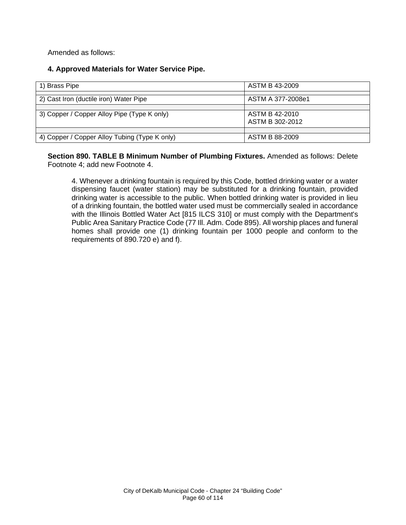Amended as follows:

# **4. Approved Materials for Water Service Pipe.**

| Brass Pipe                                    | ASTM B 43-2009                    |
|-----------------------------------------------|-----------------------------------|
| 2) Cast Iron (ductile iron) Water Pipe        | ASTM A 377-2008e1                 |
| 3) Copper / Copper Alloy Pipe (Type K only)   | ASTM B 42-2010<br>ASTM B 302-2012 |
| 4) Copper / Copper Alloy Tubing (Type K only) | ASTM B 88-2009                    |

**Section 890. TABLE B Minimum Number of Plumbing Fixtures.** Amended as follows: Delete Footnote 4; add new Footnote 4.

4. Whenever a drinking fountain is required by this Code, bottled drinking water or a water dispensing faucet (water station) may be substituted for a drinking fountain, provided drinking water is accessible to the public. When bottled drinking water is provided in lieu of a drinking fountain, the bottled water used must be commercially sealed in accordance with the Illinois Bottled Water Act [815 ILCS 310] or must comply with the Department's Public Area Sanitary Practice Code (77 Ill. Adm. Code 895). All worship places and funeral homes shall provide one (1) drinking fountain per 1000 people and conform to the requirements of 890.720 e) and f).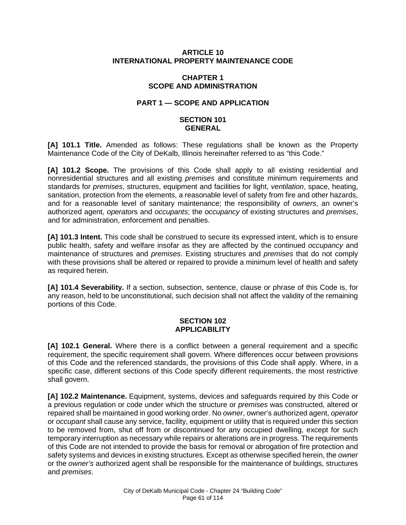#### **ARTICLE 10 INTERNATIONAL PROPERTY MAINTENANCE CODE**

#### **CHAPTER 1 SCOPE AND ADMINISTRATION**

# **PART 1 — SCOPE AND APPLICATION**

### **SECTION 101 GENERAL**

**[A] 101.1 Title.** Amended as follows: These regulations shall be known as the Property Maintenance Code of the City of DeKalb, Illinois hereinafter referred to as "this Code."

**[A] 101.2 Scope.** The provisions of this Code shall apply to all existing residential and nonresidential structures and all existing *premises* and constitute minimum requirements and standards for *premises*, structures, equipment and facilities for light, *ventilation*, space, heating, sanitation, protection from the elements, a reasonable level of safety from fire and other hazards, and for a reasonable level of sanitary maintenance; the responsibility of *owners*, an owner's authorized agent, *operator*s and *occupants*; the *occupancy* of existing structures and *premises*, and for administration, enforcement and penalties.

**[A] 101.3 Intent.** This code shall be construed to secure its expressed intent, which is to ensure public health, safety and welfare insofar as they are affected by the continued *occupancy* and maintenance of structures and *premises*. Existing structures and *premises* that do not comply with these provisions shall be altered or repaired to provide a minimum level of health and safety as required herein.

**[A] 101.4 Severability.** If a section, subsection, sentence, clause or phrase of this Code is, for any reason, held to be unconstitutional, such decision shall not affect the validity of the remaining portions of this Code.

#### **SECTION 102 APPLICABILITY**

**[A] 102.1 General.** Where there is a conflict between a general requirement and a specific requirement, the specific requirement shall govern. Where differences occur between provisions of this Code and the referenced standards, the provisions of this Code shall apply. Where, in a specific case, different sections of this Code specify different requirements, the most restrictive shall govern.

**[A] 102.2 Maintenance.** Equipment, systems, devices and safeguards required by this Code or a previous regulation or code under which the structure or *premises* was constructed, altered or repaired shall be maintained in good working order. No *owner*, owner's authorized agent, *operator*  or *occupant* shall cause any service, facility, equipment or utility that is required under this section to be removed from, shut off from or discontinued for any occupied dwelling, except for such temporary interruption as necessary while repairs or alterations are in progress. The requirements of this Code are not intended to provide the basis for removal or abrogation of fire protection and safety systems and devices in existing structures. Except as otherwise specified herein, the *owner*  or the *owner's* authorized agent shall be responsible for the maintenance of buildings, structures and *premises*.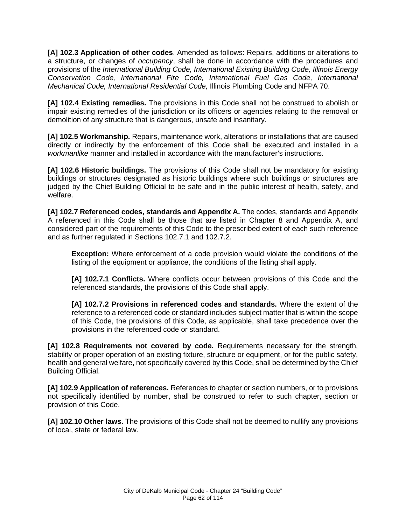**[A] 102.3 Application of other codes**. Amended as follows: Repairs, additions or alterations to a structure, or changes of *occupancy*, shall be done in accordance with the procedures and provisions of the *International Building Code, International Existing Building Code, Illinois Energy Conservation Code, International Fire Code, International Fuel Gas Code, International Mechanical Code, International Residential Code,* Illinois Plumbing Code and NFPA 70.

**[A] 102.4 Existing remedies.** The provisions in this Code shall not be construed to abolish or impair existing remedies of the jurisdiction or its officers or agencies relating to the removal or demolition of any structure that is dangerous, unsafe and insanitary.

**[A] 102.5 Workmanship.** Repairs, maintenance work, alterations or installations that are caused directly or indirectly by the enforcement of this Code shall be executed and installed in a *workmanlike* manner and installed in accordance with the manufacturer's instructions.

**[A] 102.6 Historic buildings.** The provisions of this Code shall not be mandatory for existing buildings or structures designated as historic buildings where such buildings or structures are judged by the Chief Building Official to be safe and in the public interest of health, safety, and welfare.

**[A] 102.7 Referenced codes, standards and Appendix A.** The codes, standards and Appendix A referenced in this Code shall be those that are listed in Chapter 8 and Appendix A, and considered part of the requirements of this Code to the prescribed extent of each such reference and as further regulated in Sections 102.7.1 and 102.7.2.

**Exception:** Where enforcement of a code provision would violate the conditions of the listing of the equipment or appliance, the conditions of the listing shall apply.

**[A] 102.7.1 Conflicts.** Where conflicts occur between provisions of this Code and the referenced standards, the provisions of this Code shall apply.

**[A] 102.7.2 Provisions in referenced codes and standards.** Where the extent of the reference to a referenced code or standard includes subject matter that is within the scope of this Code, the provisions of this Code, as applicable, shall take precedence over the provisions in the referenced code or standard.

**[A] 102.8 Requirements not covered by code.** Requirements necessary for the strength, stability or proper operation of an existing fixture, structure or equipment, or for the public safety, health and general welfare, not specifically covered by this Code, shall be determined by the Chief Building Official.

**[A] 102.9 Application of references.** References to chapter or section numbers, or to provisions not specifically identified by number, shall be construed to refer to such chapter, section or provision of this Code.

**[A] 102.10 Other laws.** The provisions of this Code shall not be deemed to nullify any provisions of local, state or federal law.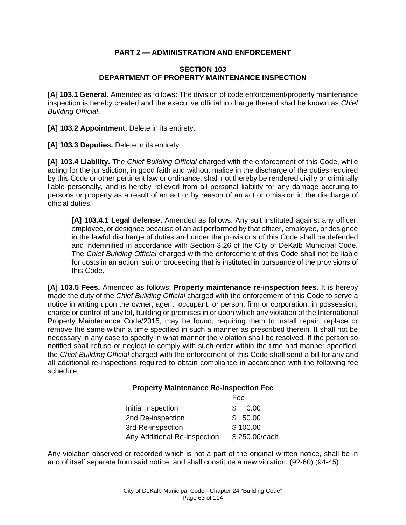# **PART 2 — ADMINISTRATION AND ENFORCEMENT**

## **SECTION 103 DEPARTMENT OF PROPERTY MAINTENANCE INSPECTION**

**[A] 103.1 General.** Amended as follows: The division of code enforcement/property maintenance inspection is hereby created and the executive official in charge thereof shall be known as *Chief Building Official*.

[A] 103.2 Appointment. Delete in its entirety.

**[A] 103.3 Deputies.** Delete in its entirety.

**[A] 103.4 Liability.** The *Chief Building Official* charged with the enforcement of this Code, while acting for the jurisdiction, in good faith and without malice in the discharge of the duties required by this Code or other pertinent law or ordinance, shall not thereby be rendered civilly or criminally liable personally, and is hereby relieved from all personal liability for any damage accruing to persons or property as a result of an act or by reason of an act or omission in the discharge of official duties.

**[A] 103.4.1 Legal defense.** Amended as follows: Any suit instituted against any officer, employee, or designee because of an act performed by that officer, employee, or designee in the lawful discharge of duties and under the provisions of this Code shall be defended and indemnified in accordance with Section 3.26 of the City of DeKalb Municipal Code. The *Chief Building Official* charged with the enforcement of this Code shall not be liable for costs in an action, suit or proceeding that is instituted in pursuance of the provisions of this Code.

**[A] 103.5 Fees.** Amended as follows: **Property maintenance re-inspection fees.** It is hereby made the duty of the *Chief Building Official* charged with the enforcement of this Code to serve a notice in writing upon the owner, agent, occupant, or person, firm or corporation, in possession, charge or control of any lot, building or premises in or upon which any violation of the International Property Maintenance Code/2015, may be found, requiring them to install repair, replace or remove the same within a time specified in such a manner as prescribed therein. It shall not be necessary in any case to specify in what manner the violation shall be resolved. If the person so notified shall refuse or neglect to comply with such order within the time and manner specified, the *Chief Building Official* charged with the enforcement of this Code shall send a bill for any and all additional re-inspections required to obtain compliance in accordance with the following fee schedule:

#### **Property Maintenance Re-inspection Fee**

|                              | Fee           |
|------------------------------|---------------|
| Initial Inspection           | SS.<br>0.00   |
| 2nd Re-inspection            | \$50.00       |
| 3rd Re-inspection            | \$100.00      |
| Any Additional Re-inspection | \$250.00/each |

Any violation observed or recorded which is not a part of the original written notice, shall be in and of itself separate from said notice, and shall constitute a new violation. (92-60) (94-45)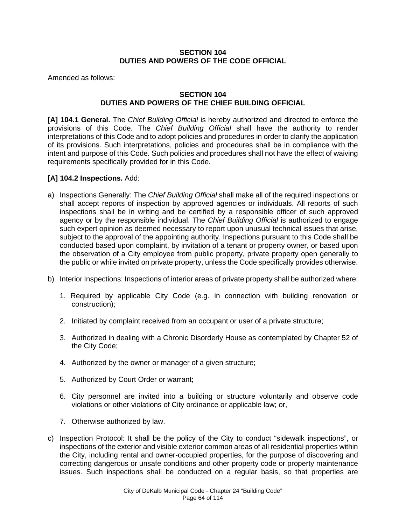## **SECTION 104 DUTIES AND POWERS OF THE CODE OFFICIAL**

Amended as follows:

# **SECTION 104 DUTIES AND POWERS OF THE CHIEF BUILDING OFFICIAL**

**[A] 104.1 General.** The *Chief Building Official* is hereby authorized and directed to enforce the provisions of this Code. The *Chief Building Official* shall have the authority to render interpretations of this Code and to adopt policies and procedures in order to clarify the application of its provisions. Such interpretations, policies and procedures shall be in compliance with the intent and purpose of this Code. Such policies and procedures shall not have the effect of waiving requirements specifically provided for in this Code.

# **[A] 104.2 Inspections.** Add:

- a) Inspections Generally: The *Chief Building Official* shall make all of the required inspections or shall accept reports of inspection by approved agencies or individuals. All reports of such inspections shall be in writing and be certified by a responsible officer of such approved agency or by the responsible individual. The *Chief Building Official* is authorized to engage such expert opinion as deemed necessary to report upon unusual technical issues that arise, subject to the approval of the appointing authority. Inspections pursuant to this Code shall be conducted based upon complaint, by invitation of a tenant or property owner, or based upon the observation of a City employee from public property, private property open generally to the public or while invited on private property, unless the Code specifically provides otherwise.
- b) Interior Inspections: Inspections of interior areas of private property shall be authorized where:
	- 1. Required by applicable City Code (e.g. in connection with building renovation or construction);
	- 2. Initiated by complaint received from an occupant or user of a private structure;
	- 3. Authorized in dealing with a Chronic Disorderly House as contemplated by Chapter 52 of the City Code;
	- 4. Authorized by the owner or manager of a given structure;
	- 5. Authorized by Court Order or warrant;
	- 6. City personnel are invited into a building or structure voluntarily and observe code violations or other violations of City ordinance or applicable law; or,
	- 7. Otherwise authorized by law.
- c) Inspection Protocol: It shall be the policy of the City to conduct "sidewalk inspections", or inspections of the exterior and visible exterior common areas of all residential properties within the City, including rental and owner-occupied properties, for the purpose of discovering and correcting dangerous or unsafe conditions and other property code or property maintenance issues. Such inspections shall be conducted on a regular basis, so that properties are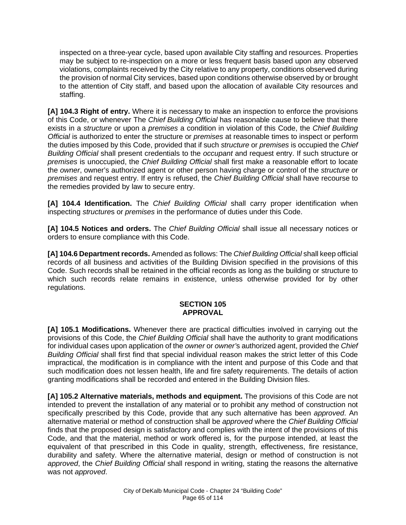inspected on a three-year cycle, based upon available City staffing and resources. Properties may be subject to re-inspection on a more or less frequent basis based upon any observed violations, complaints received by the City relative to any property, conditions observed during the provision of normal City services, based upon conditions otherwise observed by or brought to the attention of City staff, and based upon the allocation of available City resources and staffing.

**[A] 104.3 Right of entry.** Where it is necessary to make an inspection to enforce the provisions of this Code, or whenever The *Chief Building Official* has reasonable cause to believe that there exists in a *structure* or upon a *premises* a condition in violation of this Code, the *Chief Building Official* is authorized to enter the structure or *premises* at reasonable times to inspect or perform the duties imposed by this Code, provided that if such *structure* or *premises* is occupied the *Chief Building Official* shall present credentials to the *occupant* and request entry. If such structure or *premises* is unoccupied, the *Chief Building Official* shall first make a reasonable effort to locate the *owner*, owner's authorized agent or other person having charge or control of the *structure* or *premises* and request entry. If entry is refused, the *Chief Building Official* shall have recourse to the remedies provided by law to secure entry.

**[A] 104.4 Identification.** The *Chief Building Official* shall carry proper identification when inspecting *structure*s or *premises* in the performance of duties under this Code.

**[A] 104.5 Notices and orders.** The *Chief Building Official* shall issue all necessary notices or orders to ensure compliance with this Code.

**[A] 104.6 Department records.** Amended as follows: The *Chief Building Official* shall keep official records of all business and activities of the Building Division specified in the provisions of this Code. Such records shall be retained in the official records as long as the building or structure to which such records relate remains in existence, unless otherwise provided for by other regulations.

#### **SECTION 105 APPROVAL**

**[A] 105.1 Modifications.** Whenever there are practical difficulties involved in carrying out the provisions of this Code, the *Chief Building Official* shall have the authority to grant modifications for individual cases upon application of the *owner* or *owner'*s authorized agent, provided the *Chief Building Official* shall first find that special individual reason makes the strict letter of this Code impractical, the modification is in compliance with the intent and purpose of this Code and that such modification does not lessen health, life and fire safety requirements. The details of action granting modifications shall be recorded and entered in the Building Division files.

**[A] 105.2 Alternative materials, methods and equipment.** The provisions of this Code are not intended to prevent the installation of any material or to prohibit any method of construction not specifically prescribed by this Code, provide that any such alternative has been *approved*. An alternative material or method of construction shall be *approved* where the *Chief Building Official* finds that the proposed design is satisfactory and complies with the intent of the provisions of this Code, and that the material, method or work offered is, for the purpose intended, at least the equivalent of that prescribed in this Code in quality, strength, effectiveness, fire resistance, durability and safety. Where the alternative material, design or method of construction is not *approved*, the *Chief Building Official* shall respond in writing, stating the reasons the alternative was not *approved*.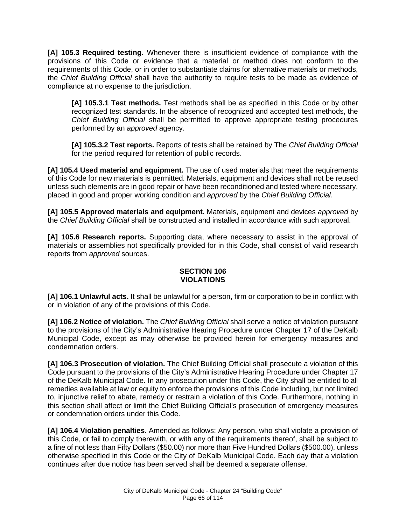**[A] 105.3 Required testing.** Whenever there is insufficient evidence of compliance with the provisions of this Code or evidence that a material or method does not conform to the requirements of this Code, or in order to substantiate claims for alternative materials or methods, the *Chief Building Official* shall have the authority to require tests to be made as evidence of compliance at no expense to the jurisdiction.

**[A] 105.3.1 Test methods.** Test methods shall be as specified in this Code or by other recognized test standards. In the absence of recognized and accepted test methods, the *Chief Building Official* shall be permitted to approve appropriate testing procedures performed by an *approved* agency.

**[A] 105.3.2 Test reports.** Reports of tests shall be retained by The *Chief Building Official* for the period required for retention of public records.

**[A] 105.4 Used material and equipment.** The use of used materials that meet the requirements of this Code for new materials is permitted. Materials, equipment and devices shall not be reused unless such elements are in good repair or have been reconditioned and tested where necessary, placed in good and proper working condition and *approved* by the *Chief Building Official*.

**[A] 105.5 Approved materials and equipment.** Materials, equipment and devices *approved* by the *Chief Building Official* shall be constructed and installed in accordance with such approval.

**[A] 105.6 Research reports.** Supporting data, where necessary to assist in the approval of materials or assemblies not specifically provided for in this Code, shall consist of valid research reports from *approved* sources.

# **SECTION 106 VIOLATIONS**

**[A] 106.1 Unlawful acts.** It shall be unlawful for a person, firm or corporation to be in conflict with or in violation of any of the provisions of this Code.

**[A] 106.2 Notice of violation.** The *Chief Building Official* shall serve a notice of violation pursuant to the provisions of the City's Administrative Hearing Procedure under Chapter 17 of the DeKalb Municipal Code, except as may otherwise be provided herein for emergency measures and condemnation orders.

**[A] 106.3 Prosecution of violation.** The Chief Building Official shall prosecute a violation of this Code pursuant to the provisions of the City's Administrative Hearing Procedure under Chapter 17 of the DeKalb Municipal Code. In any prosecution under this Code, the City shall be entitled to all remedies available at law or equity to enforce the provisions of this Code including, but not limited to, injunctive relief to abate, remedy or restrain a violation of this Code. Furthermore, nothing in this section shall affect or limit the Chief Building Official's prosecution of emergency measures or condemnation orders under this Code.

**[A] 106.4 Violation penalties**. Amended as follows: Any person, who shall violate a provision of this Code, or fail to comply therewith, or with any of the requirements thereof, shall be subject to a fine of not less than Fifty Dollars (\$50.00) nor more than Five Hundred Dollars (\$500.00), unless otherwise specified in this Code or the City of DeKalb Municipal Code. Each day that a violation continues after due notice has been served shall be deemed a separate offense.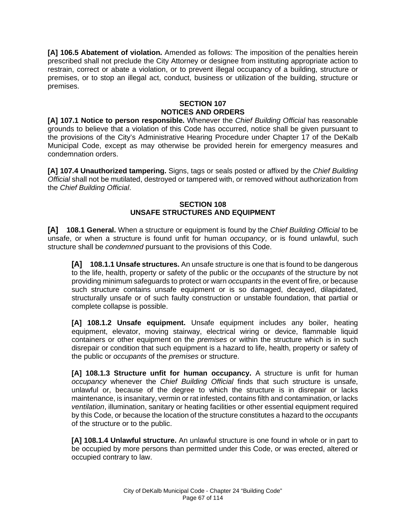**[A] 106.5 Abatement of violation.** Amended as follows: The imposition of the penalties herein prescribed shall not preclude the City Attorney or designee from instituting appropriate action to restrain, correct or abate a violation, or to prevent illegal occupancy of a building, structure or premises, or to stop an illegal act, conduct, business or utilization of the building, structure or premises.

# **SECTION 107 NOTICES AND ORDERS**

**[A] 107.1 Notice to person responsible.** Whenever the *Chief Building Official* has reasonable grounds to believe that a violation of this Code has occurred, notice shall be given pursuant to the provisions of the City's Administrative Hearing Procedure under Chapter 17 of the DeKalb Municipal Code, except as may otherwise be provided herein for emergency measures and condemnation orders.

**[A] 107.4 Unauthorized tampering.** Signs, tags or seals posted or affixed by the *Chief Building Official* shall not be mutilated, destroyed or tampered with, or removed without authorization from the *Chief Building Official*.

## **SECTION 108 UNSAFE STRUCTURES AND EQUIPMENT**

**[A] 108.1 General.** When a structure or equipment is found by the *Chief Building Official* to be unsafe, or when a structure is found unfit for human *occupancy*, or is found unlawful, such structure shall be *condemned* pursuant to the provisions of this Code.

**[A] 108.1.1 Unsafe structures.** An unsafe structure is one that is found to be dangerous to the life, health, property or safety of the public or the *occupants* of the structure by not providing minimum safeguards to protect or warn *occupants* in the event of fire, or because such structure contains unsafe equipment or is so damaged, decayed, dilapidated, structurally unsafe or of such faulty construction or unstable foundation, that partial or complete collapse is possible.

**[A] 108.1.2 Unsafe equipment.** Unsafe equipment includes any boiler, heating equipment, elevator, moving stairway, electrical wiring or device, flammable liquid containers or other equipment on the *premises* or within the structure which is in such disrepair or condition that such equipment is a hazard to life, health, property or safety of the public or *occupants* of the *premises* or structure.

**[A] 108.1.3 Structure unfit for human occupancy.** A structure is unfit for human *occupancy* whenever the *Chief Building Official* finds that such structure is unsafe, unlawful or, because of the degree to which the structure is in disrepair or lacks maintenance, is insanitary, vermin or rat infested, contains filth and contamination, or lacks *ventilation*, illumination, sanitary or heating facilities or other essential equipment required by this Code, or because the location of the structure constitutes a hazard to the *occupants*  of the structure or to the public.

**[A] 108.1.4 Unlawful structure.** An unlawful structure is one found in whole or in part to be occupied by more persons than permitted under this Code, or was erected, altered or occupied contrary to law.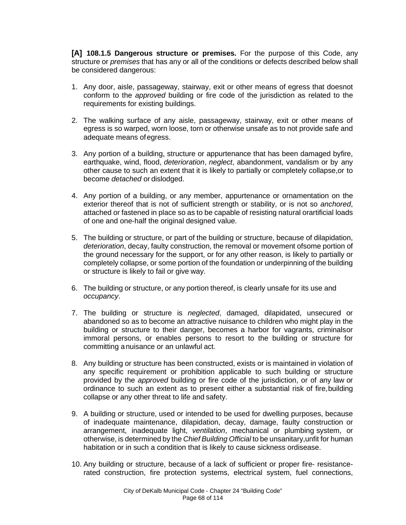**[A] 108.1.5 Dangerous structure or premises.** For the purpose of this Code, any structure or *premises* that has any or all of the conditions or defects described below shall be considered dangerous:

- 1. Any door, aisle, passageway, stairway, exit or other means of egress that doesnot conform to the *approved* building or fire code of the jurisdiction as related to the requirements for existing buildings.
- 2. The walking surface of any aisle, passageway, stairway, exit or other means of egress is so warped, worn loose, torn or otherwise unsafe as to not provide safe and adequate means ofegress.
- 3. Any portion of a building, structure or appurtenance that has been damaged byfire, earthquake, wind, flood, *deterioration*, *neglect*, abandonment, vandalism or by any other cause to such an extent that it is likely to partially or completely collapse,or to become *detached* or dislodged.
- 4. Any portion of a building, or any member, appurtenance or ornamentation on the exterior thereof that is not of sufficient strength or stability, or is not so *anchored*, attached or fastened in place so as to be capable of resisting natural orartificial loads of one and one-half the original designed value.
- 5. The building or structure, or part of the building or structure, because of dilapidation, *deterioration*, decay, faulty construction, the removal or movement ofsome portion of the ground necessary for the support, or for any other reason, is likely to partially or completely collapse, or some portion of the foundation or underpinning of the building or structure is likely to fail or give way.
- 6. The building or structure, or any portion thereof, is clearly unsafe for its use and *occupancy*.
- 7. The building or structure is *neglected*, damaged, dilapidated, unsecured or abandoned so as to become an attractive nuisance to children who might play in the building or structure to their danger, becomes a harbor for vagrants, criminalsor immoral persons, or enables persons to resort to the building or structure for committing a nuisance or an unlawful act.
- 8. Any building or structure has been constructed, exists or is maintained in violation of any specific requirement or prohibition applicable to such building or structure provided by the *approved* building or fire code of the jurisdiction, or of any law or ordinance to such an extent as to present either a substantial risk of fire,building collapse or any other threat to life and safety.
- 9. A building or structure, used or intended to be used for dwelling purposes, because of inadequate maintenance, dilapidation, decay, damage, faulty construction or arrangement, inadequate light, *ventilation*, mechanical or plumbing system, or otherwise, is determined by the *Chief Building Official* to be unsanitary,unfit for human habitation or in such a condition that is likely to cause sickness ordisease.
- 10. Any building or structure, because of a lack of sufficient or proper fire- resistancerated construction, fire protection systems, electrical system, fuel connections,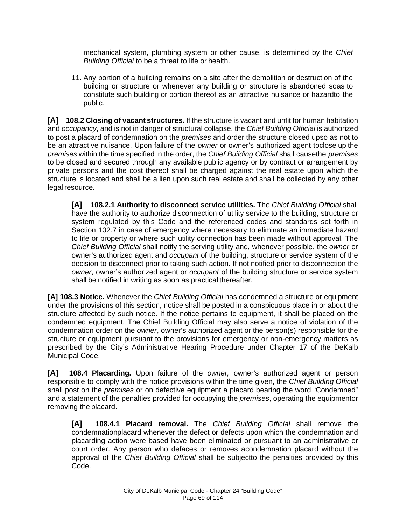mechanical system, plumbing system or other cause, is determined by the *Chief Building Official* to be a threat to life or health.

11. Any portion of a building remains on a site after the demolition or destruction of the building or structure or whenever any building or structure is abandoned soas to constitute such building or portion thereof as an attractive nuisance or hazardto the public.

**[A] 108.2 Closing of vacant structures.** If the structure is vacant and unfit for human habitation and *occupancy*, and is not in danger of structural collapse, the *Chief Building Official* is authorized to post a placard of condemnation on the *premises* and order the structure closed upso as not to be an attractive nuisance. Upon failure of the *owner* or owner's authorized agent to close up the *premises* within the time specified in the order, the *Chief Building Official* shall causethe *premises*  to be closed and secured through any available public agency or by contract or arrangement by private persons and the cost thereof shall be charged against the real estate upon which the structure is located and shall be a lien upon such real estate and shall be collected by any other legal resource.

**[A] 108.2.1 Authority to disconnect service utilities.** The *Chief Building Official* shall have the authority to authorize disconnection of utility service to the building, structure or system regulated by this Code and the referenced codes and standards set forth in Section 102.7 in case of emergency where necessary to eliminate an immediate hazard to life or property or where such utility connection has been made without approval. The *Chief Building Official* shall notify the serving utility and, whenever possible, the *owner* or owner's authorized agent and *occupant* of the building, structure or service system of the decision to disconnect prior to taking such action. If not notified prior to disconnection the *owner*, owner's authorized agent or *occupant* of the building structure or service system shall be notified in writing as soon as practical thereafter.

**[A] 108.3 Notice.** Whenever the *Chief Building Official* has condemned a structure or equipment under the provisions of this section, notice shall be posted in a conspicuous place in or about the structure affected by such notice. If the notice pertains to equipment, it shall be placed on the condemned equipment. The Chief Building Official may also serve a notice of violation of the condemnation order on the *owner*, owner's authorized agent or the person(s) responsible for the structure or equipment pursuant to the provisions for emergency or non-emergency matters as prescribed by the City's Administrative Hearing Procedure under Chapter 17 of the DeKalb Municipal Code.

**[A] 108.4 Placarding.** Upon failure of the *owner,* owner's authorized agent or person responsible to comply with the notice provisions within the time given, the *Chief Building Official* shall post on the *premises* or on defective equipment a placard bearing the word "Condemned" and a statement of the penalties provided for occupying the *premises*, operating the equipmentor removing the placard.

**[A] 108.4.1 Placard removal.** The *Chief Building Official* shall remove the condemnationplacard whenever the defect or defects upon which the condemnation and placarding action were based have been eliminated or pursuant to an administrative or court order. Any person who defaces or removes a condemnation placard without the approval of the *Chief Building Official* shall be subjectto the penalties provided by this Code.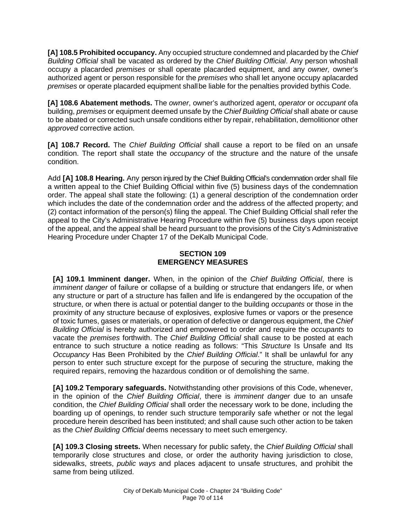**[A] 108.5 Prohibited occupancy.** Any occupied structure condemned and placarded by the *Chief Building Official* shall be vacated as ordered by the *Chief Building Official*. Any person whoshall occupy a placarded *premises* or shall operate placarded equipment, and any *owner,* owner's authorized agent or person responsible for the *premises* who shall let anyone occupy aplacarded *premises* or operate placarded equipment shallbe liable for the penalties provided bythis Code.

**[A] 108.6 Abatement methods.** The *owner*, owner's authorized agent, *operator* or *occupant* ofa building, *premises* or equipment deemed unsafe by the *Chief Building Official* shall abate or cause to be abated or corrected such unsafe conditions either by repair, rehabilitation, demolitionor other *approved* corrective action.

**[A] 108.7 Record.** The *Chief Building Official* shall cause a report to be filed on an unsafe condition. The report shall state the *occupancy* of the structure and the nature of the unsafe condition.

Add **[A] 108.8 Hearing.** Any person injured by the Chief Building Official's condemnation order shall file a written appeal to the Chief Building Official within five (5) business days of the condemnation order. The appeal shall state the following: (1) a general description of the condemnation order which includes the date of the condemnation order and the address of the affected property; and (2) contact information of the person(s) filing the appeal. The Chief Building Official shall refer the appeal to the City's Administrative Hearing Procedure within five (5) business days upon receipt of the appeal, and the appeal shall be heard pursuant to the provisions of the City's Administrative Hearing Procedure under Chapter 17 of the DeKalb Municipal Code.

# **SECTION 109 EMERGENCY MEASURES**

**[A] 109.1 Imminent danger.** When, in the opinion of the *Chief Building Official*, there is *imminent danger* of failure or collapse of a building or structure that endangers life, or when any structure or part of a structure has fallen and life is endangered by the occupation of the structure, or when there is actual or potential danger to the building *occupants* or those in the proximity of any structure because of explosives, explosive fumes or vapors or the presence of toxic fumes, gases or materials, or operation of defective or dangerous equipment, the *Chief Building Official* is hereby authorized and empowered to order and require the *occupants* to vacate the *premises* forthwith. The *Chief Building Official* shall cause to be posted at each entrance to such structure a notice reading as follows: "This *Structure* Is Unsafe and Its *Occupancy* Has Been Prohibited by the *Chief Building Official*." It shall be unlawful for any person to enter such structure except for the purpose of securing the structure, making the required repairs, removing the hazardous condition or of demolishing the same.

**[A] 109.2 Temporary safeguards.** Notwithstanding other provisions of this Code, whenever, in the opinion of the *Chief Building Official*, there is *imminent danger* due to an unsafe condition, the *Chief Building Official* shall order the necessary work to be done, including the boarding up of openings, to render such structure temporarily safe whether or not the legal procedure herein described has been instituted; and shall cause such other action to be taken as the *Chief Building Official* deems necessary to meet such emergency.

**[A] 109.3 Closing streets.** When necessary for public safety, the *Chief Building Official* shall temporarily close structures and close, or order the authority having jurisdiction to close, sidewalks, streets, *public ways* and places adjacent to unsafe structures, and prohibit the same from being utilized.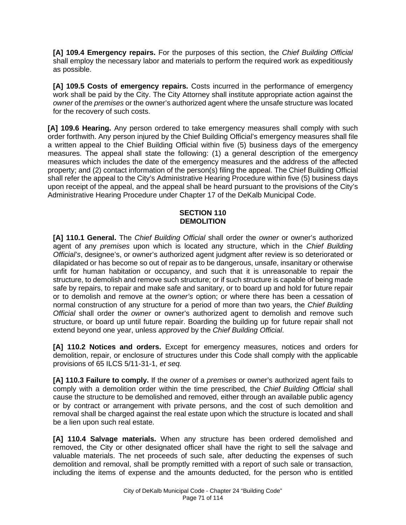**[A] 109.4 Emergency repairs.** For the purposes of this section, the *Chief Building Official*  shall employ the necessary labor and materials to perform the required work as expeditiously as possible.

**[A] 109.5 Costs of emergency repairs.** Costs incurred in the performance of emergency work shall be paid by the City. The City Attorney shall institute appropriate action against the *owner* of the *premises* or the owner's authorized agent where the unsafe structure was located for the recovery of such costs.

**[A] 109.6 Hearing.** Any person ordered to take emergency measures shall comply with such order forthwith. Any person injured by the Chief Building Official's emergency measures shall file a written appeal to the Chief Building Official within five (5) business days of the emergency measures. The appeal shall state the following: (1) a general description of the emergency measures which includes the date of the emergency measures and the address of the affected property; and (2) contact information of the person(s) filing the appeal. The Chief Building Official shall refer the appeal to the City's Administrative Hearing Procedure within five (5) business days upon receipt of the appeal, and the appeal shall be heard pursuant to the provisions of the City's Administrative Hearing Procedure under Chapter 17 of the DeKalb Municipal Code.

## **SECTION 110 DEMOLITION**

**[A] 110.1 General.** The *Chief Building Official* shall order the *owner* or owner's authorized agent of any *premises* upon which is located any structure, which in the *Chief Building Official's*, designee's, or owner's authorized agent judgment after review is so deteriorated or dilapidated or has become so out of repair as to be dangerous, unsafe, insanitary or otherwise unfit for human habitation or occupancy, and such that it is unreasonable to repair the structure, to demolish and remove such structure; or if such structure is capable of being made safe by repairs, to repair and make safe and sanitary, or to board up and hold for future repair or to demolish and remove at the *owner's* option; or where there has been a cessation of normal construction of any structure for a period of more than two years, the *Chief Building Official* shall order the *owner* or owner's authorized agent to demolish and remove such structure, or board up until future repair. Boarding the building up for future repair shall not extend beyond one year, unless *approved* by the *Chief Building Official*.

**[A] 110.2 Notices and orders.** Except for emergency measures, notices and orders for demolition, repair, or enclosure of structures under this Code shall comply with the applicable provisions of 65 ILCS 5/11-31-1, *et seq.*

**[A] 110.3 Failure to comply.** If the *owner* of a *premises* or owner's authorized agent fails to comply with a demolition order within the time prescribed, the *Chief Building Official* shall cause the structure to be demolished and removed, either through an available public agency or by contract or arrangement with private persons, and the cost of such demolition and removal shall be charged against the real estate upon which the structure is located and shall be a lien upon such real estate.

**[A] 110.4 Salvage materials.** When any structure has been ordered demolished and removed, the City or other designated officer shall have the right to sell the salvage and valuable materials. The net proceeds of such sale, after deducting the expenses of such demolition and removal, shall be promptly remitted with a report of such sale or transaction, including the items of expense and the amounts deducted, for the person who is entitled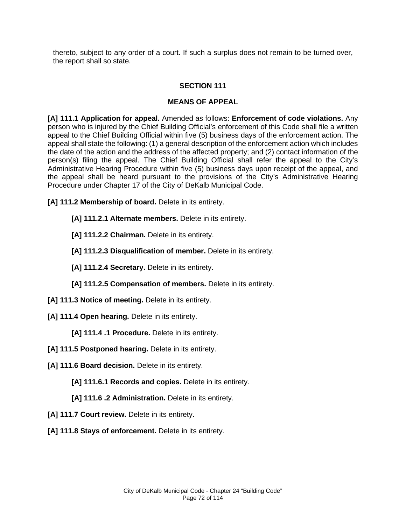thereto, subject to any order of a court. If such a surplus does not remain to be turned over, the report shall so state.

### **SECTION 111**

### **MEANS OF APPEAL**

**[A] 111.1 Application for appeal.** Amended as follows: **Enforcement of code violations.** Any person who is injured by the Chief Building Official's enforcement of this Code shall file a written appeal to the Chief Building Official within five (5) business days of the enforcement action. The appeal shall state the following: (1) a general description of the enforcement action which includes the date of the action and the address of the affected property; and (2) contact information of the person(s) filing the appeal. The Chief Building Official shall refer the appeal to the City's Administrative Hearing Procedure within five (5) business days upon receipt of the appeal, and the appeal shall be heard pursuant to the provisions of the City's Administrative Hearing Procedure under Chapter 17 of the City of DeKalb Municipal Code.

**[A] 111.2 Membership of board.** Delete in its entirety.

- **[A] 111.2.1 Alternate members.** Delete in its entirety.
- **[A] 111.2.2 Chairman.** Delete in its entirety.
- **[A] 111.2.3 Disqualification of member.** Delete in its entirety.
- **[A] 111.2.4 Secretary.** Delete in its entirety.
- **[A] 111.2.5 Compensation of members.** Delete in its entirety.
- **[A] 111.3 Notice of meeting.** Delete in its entirety.
- **[A] 111.4 Open hearing.** Delete in its entirety.

**[A] 111.4 .1 Procedure.** Delete in its entirety.

- **[A] 111.5 Postponed hearing.** Delete in its entirety.
- [A] 111.6 Board decision. Delete in its entirety.

**[A] 111.6.1 Records and copies.** Delete in its entirety.

**[A] 111.6 .2 Administration.** Delete in its entirety.

- [A] 111.7 Court review. Delete in its entirety.
- [A] 111.8 Stays of enforcement. Delete in its entirety.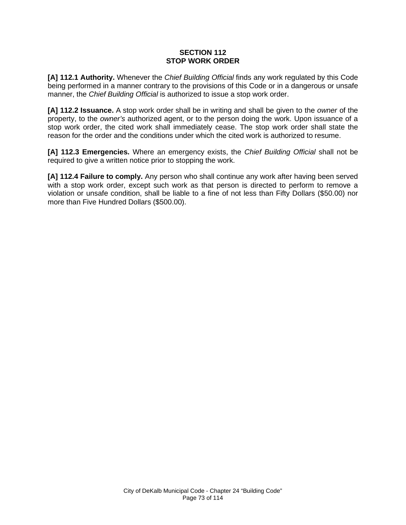#### **SECTION 112 STOP WORK ORDER**

**[A] 112.1 Authority.** Whenever the *Chief Building Official* finds any work regulated by this Code being performed in a manner contrary to the provisions of this Code or in a dangerous or unsafe manner, the *Chief Building Official* is authorized to issue a stop work order.

**[A] 112.2 Issuance.** A stop work order shall be in writing and shall be given to the *owner* of the property, to the *owner's* authorized agent, or to the person doing the work. Upon issuance of a stop work order, the cited work shall immediately cease. The stop work order shall state the reason for the order and the conditions under which the cited work is authorized to resume.

**[A] 112.3 Emergencies.** Where an emergency exists, the *Chief Building Official* shall not be required to give a written notice prior to stopping the work.

**[A] 112.4 Failure to comply.** Any person who shall continue any work after having been served with a stop work order, except such work as that person is directed to perform to remove a violation or unsafe condition, shall be liable to a fine of not less than Fifty Dollars (\$50.00) nor more than Five Hundred Dollars (\$500.00).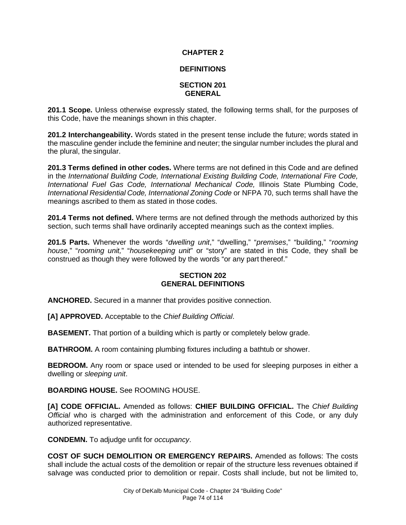# **CHAPTER 2**

# **DEFINITIONS**

### **SECTION 201 GENERAL**

**201.1 Scope.** Unless otherwise expressly stated, the following terms shall, for the purposes of this Code, have the meanings shown in this chapter.

**201.2 Interchangeability.** Words stated in the present tense include the future; words stated in the masculine gender include the feminine and neuter; the singular number includes the plural and the plural, the singular.

**201.3 Terms defined in other codes.** Where terms are not defined in this Code and are defined in the *International Building Code, International Existing Building Code, International Fire Code, International Fuel Gas Code, International Mechanical Code,* Illinois State Plumbing Code, *International Residential Code, International Zoning Code* or NFPA 70, such terms shall have the meanings ascribed to them as stated in those codes.

**201.4 Terms not defined.** Where terms are not defined through the methods authorized by this section, such terms shall have ordinarily accepted meanings such as the context implies.

**201.5 Parts.** Whenever the words "*dwelling unit*," "dwelling," "*premises*," "building," "*rooming house*," "*rooming unit,*" "*housekeeping unit*" or "story" are stated in this Code, they shall be construed as though they were followed by the words "or any part thereof."

### **SECTION 202 GENERAL DEFINITIONS**

**ANCHORED.** Secured in a manner that provides positive connection.

**[A] APPROVED.** Acceptable to the *Chief Building Official*.

**BASEMENT.** That portion of a building which is partly or completely below grade.

**BATHROOM.** A room containing plumbing fixtures including a bathtub or shower.

**BEDROOM.** Any room or space used or intended to be used for sleeping purposes in either a dwelling or *sleeping unit*.

**BOARDING HOUSE.** See ROOMING HOUSE.

**[A] CODE OFFICIAL.** Amended as follows: **CHIEF BUILDING OFFICIAL.** The *Chief Building Official* who is charged with the administration and enforcement of this Code, or any duly authorized representative.

**CONDEMN.** To adjudge unfit for *occupancy*.

**COST OF SUCH DEMOLITION OR EMERGENCY REPAIRS.** Amended as follows: The costs shall include the actual costs of the demolition or repair of the structure less revenues obtained if salvage was conducted prior to demolition or repair. Costs shall include, but not be limited to,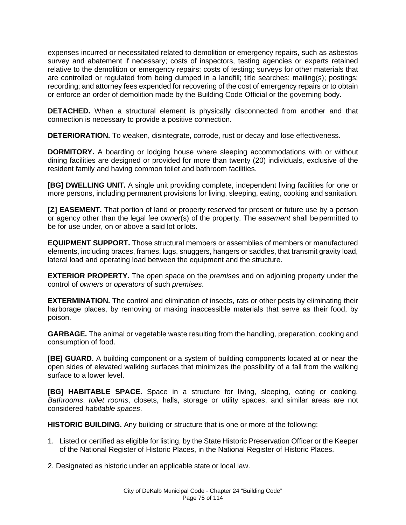expenses incurred or necessitated related to demolition or emergency repairs, such as asbestos survey and abatement if necessary; costs of inspectors, testing agencies or experts retained relative to the demolition or emergency repairs; costs of testing; surveys for other materials that are controlled or regulated from being dumped in a landfill; title searches; mailing(s); postings; recording; and attorney fees expended for recovering of the cost of emergency repairs or to obtain or enforce an order of demolition made by the Building Code Official or the governing body.

**DETACHED.** When a structural element is physically disconnected from another and that connection is necessary to provide a positive connection.

**DETERIORATION.** To weaken, disintegrate, corrode, rust or decay and lose effectiveness.

**DORMITORY.** A boarding or lodging house where sleeping accommodations with or without dining facilities are designed or provided for more than twenty (20) individuals, exclusive of the resident family and having common toilet and bathroom facilities.

**[BG] DWELLING UNIT.** A single unit providing complete, independent living facilities for one or more persons, including permanent provisions for living, sleeping, eating, cooking and sanitation.

**[Z] EASEMENT.** That portion of land or property reserved for present or future use by a person or agency other than the legal fee *owner*(s) of the property. The *easement* shall be permitted to be for use under, on or above a said lot orlots.

**EQUIPMENT SUPPORT.** Those structural members or assemblies of members or manufactured elements, including braces, frames, lugs, snuggers, hangers or saddles, that transmit gravity load, lateral load and operating load between the equipment and the structure.

**EXTERIOR PROPERTY.** The open space on the *premises* and on adjoining property under the control of *owners* or *operators* of such *premises*.

**EXTERMINATION.** The control and elimination of insects, rats or other pests by eliminating their harborage places, by removing or making inaccessible materials that serve as their food, by poison.

**GARBAGE.** The animal or vegetable waste resulting from the handling, preparation, cooking and consumption of food.

**[BE] GUARD.** A building component or a system of building components located at or near the open sides of elevated walking surfaces that minimizes the possibility of a fall from the walking surface to a lower level.

**[BG] HABITABLE SPACE.** Space in a structure for living, sleeping, eating or cooking. *Bathrooms*, *toilet rooms*, closets, halls, storage or utility spaces, and similar areas are not considered *habitable spaces*.

**HISTORIC BUILDING.** Any building or structure that is one or more of the following:

- 1. Listed or certified as eligible for listing, by the State Historic Preservation Officer or the Keeper of the National Register of Historic Places, in the National Register of Historic Places.
- 2. Designated as historic under an applicable state or local law.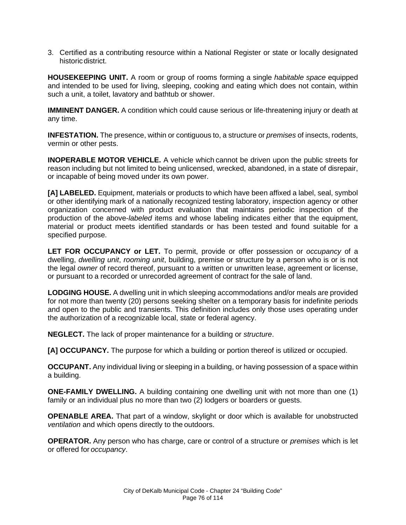3. Certified as a contributing resource within a National Register or state or locally designated historic district.

**HOUSEKEEPING UNIT.** A room or group of rooms forming a single *habitable space* equipped and intended to be used for living, sleeping, cooking and eating which does not contain, within such a unit, a toilet, lavatory and bathtub or shower.

**IMMINENT DANGER.** A condition which could cause serious or life-threatening injury or death at any time.

**INFESTATION.** The presence, within or contiguous to, a structure or *premises* of insects, rodents, vermin or other pests.

**INOPERABLE MOTOR VEHICLE.** A vehicle which cannot be driven upon the public streets for reason including but not limited to being unlicensed, wrecked, abandoned, in a state of disrepair, or incapable of being moved under its own power.

**[A] LABELED.** Equipment, materials or products to which have been affixed a label, seal, symbol or other identifying mark of a nationally recognized testing laboratory, inspection agency or other organization concerned with product evaluation that maintains periodic inspection of the production of the above-*labeled* items and whose labeling indicates either that the equipment, material or product meets identified standards or has been tested and found suitable for a specified purpose.

**LET FOR OCCUPANCY or LET.** To permit, provide or offer possession or *occupancy* of a dwelling, *dwelling unit*, *rooming unit*, building, premise or structure by a person who is or is not the legal *owner* of record thereof, pursuant to a written or unwritten lease, agreement or license, or pursuant to a recorded or unrecorded agreement of contract for the sale of land.

**LODGING HOUSE.** A dwelling unit in which sleeping accommodations and/or meals are provided for not more than twenty (20) persons seeking shelter on a temporary basis for indefinite periods and open to the public and transients. This definition includes only those uses operating under the authorization of a recognizable local, state or federal agency.

**NEGLECT.** The lack of proper maintenance for a building or *structure*.

**[A] OCCUPANCY.** The purpose for which a building or portion thereof is utilized or occupied.

**OCCUPANT.** Any individual living or sleeping in a building, or having possession of a space within a building.

**ONE-FAMILY DWELLING.** A building containing one dwelling unit with not more than one (1) family or an individual plus no more than two (2) lodgers or boarders or guests.

**OPENABLE AREA.** That part of a window, skylight or door which is available for unobstructed *ventilation* and which opens directly to the outdoors.

**OPERATOR.** Any person who has charge, care or control of a structure or *premises* which is let or offered for *occupancy*.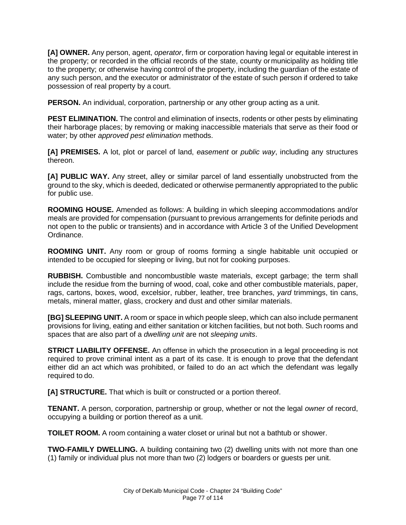**[A] OWNER.** Any person, agent, *operator*, firm or corporation having legal or equitable interest in the property; or recorded in the official records of the state, county ormunicipality as holding title to the property; or otherwise having control of the property, including the guardian of the estate of any such person, and the executor or administrator of the estate of such person if ordered to take possession of real property by a court.

**PERSON.** An individual, corporation, partnership or any other group acting as a unit.

**PEST ELIMINATION.** The control and elimination of insects, rodents or other pests by eliminating their harborage places; by removing or making inaccessible materials that serve as their food or water; by other *approved pest elimination* methods.

**[A] PREMISES.** A lot, plot or parcel of land, *easement* or *public way*, including any structures thereon.

**[A] PUBLIC WAY.** Any street, alley or similar parcel of land essentially unobstructed from the ground to the sky, which is deeded, dedicated or otherwise permanently appropriated to the public for public use.

**ROOMING HOUSE.** Amended as follows: A building in which sleeping accommodations and/or meals are provided for compensation (pursuant to previous arrangements for definite periods and not open to the public or transients) and in accordance with Article 3 of the Unified Development Ordinance.

**ROOMING UNIT.** Any room or group of rooms forming a single habitable unit occupied or intended to be occupied for sleeping or living, but not for cooking purposes.

**RUBBISH.** Combustible and noncombustible waste materials, except garbage; the term shall include the residue from the burning of wood, coal, coke and other combustible materials, paper, rags, cartons, boxes, wood, excelsior, rubber, leather, tree branches, *yard* trimmings, tin cans, metals, mineral matter, glass, crockery and dust and other similar materials.

**[BG] SLEEPING UNIT.** A room or space in which people sleep, which can also include permanent provisions for living, eating and either sanitation or kitchen facilities, but not both. Such rooms and spaces that are also part of a *dwelling unit* are not *sleeping units*.

**STRICT LIABILITY OFFENSE.** An offense in which the prosecution in a legal proceeding is not required to prove criminal intent as a part of its case. It is enough to prove that the defendant either did an act which was prohibited, or failed to do an act which the defendant was legally required to do.

**[A] STRUCTURE.** That which is built or constructed or a portion thereof.

**TENANT.** A person, corporation, partnership or group, whether or not the legal *owner* of record, occupying a building or portion thereof as a unit.

**TOILET ROOM.** A room containing a water closet or urinal but not a bathtub or shower.

**TWO-FAMILY DWELLING.** A building containing two (2) dwelling units with not more than one (1) family or individual plus not more than two (2) lodgers or boarders or guests per unit.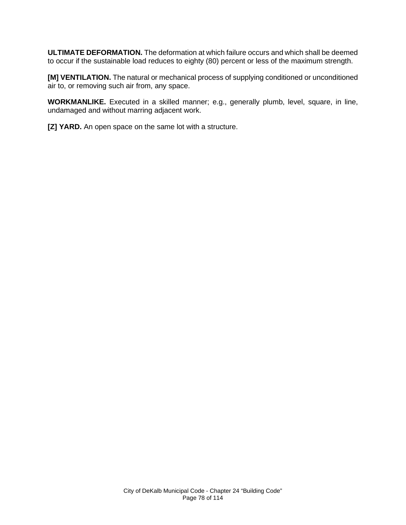**ULTIMATE DEFORMATION.** The deformation at which failure occurs and which shall be deemed to occur if the sustainable load reduces to eighty (80) percent or less of the maximum strength.

**[M] VENTILATION.** The natural or mechanical process of supplying conditioned or unconditioned air to, or removing such air from, any space.

**WORKMANLIKE.** Executed in a skilled manner; e.g., generally plumb, level, square, in line, undamaged and without marring adjacent work.

**[Z] YARD.** An open space on the same lot with a structure.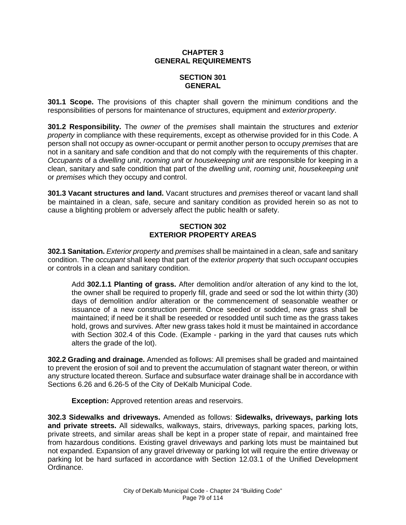## **CHAPTER 3 GENERAL REQUIREMENTS**

# **SECTION 301 GENERAL**

**301.1 Scope.** The provisions of this chapter shall govern the minimum conditions and the responsibilities of persons for maintenance of structures, equipment and *exteriorproperty*.

**301.2 Responsibility.** The *owner* of the *premises* shall maintain the structures and *exterior property* in compliance with these requirements, except as otherwise provided for in this Code. A person shall not occupy as owner-occupant or permit another person to occupy *premises* that are not in a sanitary and safe condition and that do not comply with the requirements of this chapter. *Occupants* of a *dwelling unit*, *rooming unit* or *housekeeping unit* are responsible for keeping in a clean, sanitary and safe condition that part of the *dwelling unit*, *rooming unit*, *housekeeping unit*  or *premises* which they occupy and control.

**301.3 Vacant structures and land.** Vacant structures and *premises* thereof or vacant land shall be maintained in a clean, safe, secure and sanitary condition as provided herein so as not to cause a blighting problem or adversely affect the public health or safety.

# **SECTION 302 EXTERIOR PROPERTY AREAS**

**302.1 Sanitation.** *Exterior property* and *premises* shall be maintained in a clean, safe and sanitary condition. The *occupant* shall keep that part of the *exterior property* that such *occupant* occupies or controls in a clean and sanitary condition.

Add **302.1.1 Planting of grass.** After demolition and/or alteration of any kind to the lot, the owner shall be required to properly fill, grade and seed or sod the lot within thirty (30) days of demolition and/or alteration or the commencement of seasonable weather or issuance of a new construction permit. Once seeded or sodded, new grass shall be maintained; if need be it shall be reseeded or resodded until such time as the grass takes hold, grows and survives. After new grass takes hold it must be maintained in accordance with Section 302.4 of this Code. (Example - parking in the yard that causes ruts which alters the grade of the lot).

**302.2 Grading and drainage.** Amended as follows: All premises shall be graded and maintained to prevent the erosion of soil and to prevent the accumulation of stagnant water thereon, or within any structure located thereon. Surface and subsurface water drainage shall be in accordance with Sections 6.26 and 6.26-5 of the City of DeKalb Municipal Code.

**Exception:** Approved retention areas and reservoirs.

**302.3 Sidewalks and driveways.** Amended as follows: **Sidewalks, driveways, parking lots and private streets.** All sidewalks, walkways, stairs, driveways, parking spaces, parking lots, private streets, and similar areas shall be kept in a proper state of repair, and maintained free from hazardous conditions. Existing gravel driveways and parking lots must be maintained but not expanded. Expansion of any gravel driveway or parking lot will require the entire driveway or parking lot be hard surfaced in accordance with Section 12.03.1 of the Unified Development Ordinance.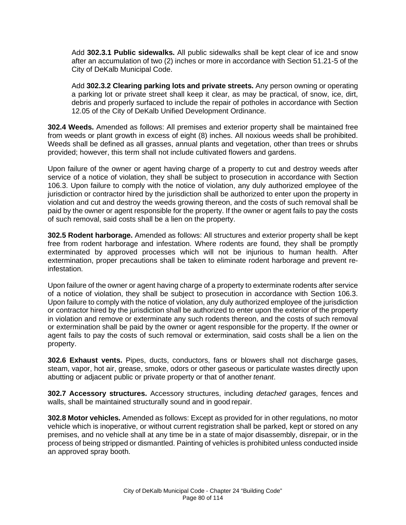Add **302.3.1 Public sidewalks.** All public sidewalks shall be kept clear of ice and snow after an accumulation of two (2) inches or more in accordance with Section 51.21-5 of the City of DeKalb Municipal Code.

Add **302.3.2 Clearing parking lots and private streets.** Any person owning or operating a parking lot or private street shall keep it clear, as may be practical, of snow, ice, dirt, debris and properly surfaced to include the repair of potholes in accordance with Section 12.05 of the City of DeKalb Unified Development Ordinance.

**302.4 Weeds.** Amended as follows: All premises and exterior property shall be maintained free from weeds or plant growth in excess of eight (8) inches. All noxious weeds shall be prohibited. Weeds shall be defined as all grasses, annual plants and vegetation, other than trees or shrubs provided; however, this term shall not include cultivated flowers and gardens.

Upon failure of the owner or agent having charge of a property to cut and destroy weeds after service of a notice of violation, they shall be subject to prosecution in accordance with Section 106.3. Upon failure to comply with the notice of violation, any duly authorized employee of the jurisdiction or contractor hired by the jurisdiction shall be authorized to enter upon the property in violation and cut and destroy the weeds growing thereon, and the costs of such removal shall be paid by the owner or agent responsible for the property. If the owner or agent fails to pay the costs of such removal, said costs shall be a lien on the property.

**302.5 Rodent harborage.** Amended as follows: All structures and exterior property shall be kept free from rodent harborage and infestation. Where rodents are found, they shall be promptly exterminated by approved processes which will not be injurious to human health. After extermination, proper precautions shall be taken to eliminate rodent harborage and prevent reinfestation.

Upon failure of the owner or agent having charge of a property to exterminate rodents after service of a notice of violation, they shall be subject to prosecution in accordance with Section 106.3. Upon failure to comply with the notice of violation, any duly authorized employee of the jurisdiction or contractor hired by the jurisdiction shall be authorized to enter upon the exterior of the property in violation and remove or exterminate any such rodents thereon, and the costs of such removal or extermination shall be paid by the owner or agent responsible for the property. If the owner or agent fails to pay the costs of such removal or extermination, said costs shall be a lien on the property.

**302.6 Exhaust vents.** Pipes, ducts, conductors, fans or blowers shall not discharge gases, steam, vapor, hot air, grease, smoke, odors or other gaseous or particulate wastes directly upon abutting or adjacent public or private property or that of another *tenant*.

**302.7 Accessory structures.** Accessory structures, including *detached* garages, fences and walls, shall be maintained structurally sound and in good repair.

**302.8 Motor vehicles.** Amended as follows: Except as provided for in other regulations, no motor vehicle which is inoperative, or without current registration shall be parked, kept or stored on any premises, and no vehicle shall at any time be in a state of major disassembly, disrepair, or in the process of being stripped or dismantled. Painting of vehicles is prohibited unless conducted inside an approved spray booth.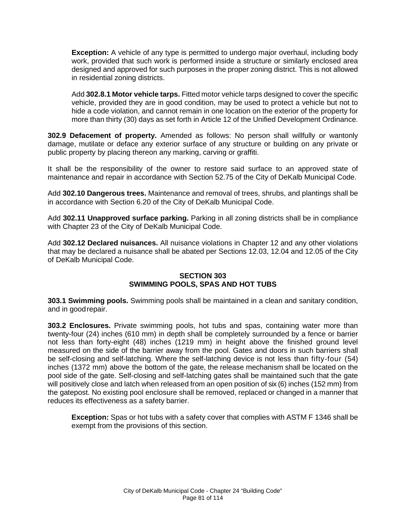**Exception:** A vehicle of any type is permitted to undergo major overhaul, including body work, provided that such work is performed inside a structure or similarly enclosed area designed and approved for such purposes in the proper zoning district. This is not allowed in residential zoning districts.

Add **302.8.1 Motor vehicle tarps.** Fitted motor vehicle tarps designed to cover the specific vehicle, provided they are in good condition, may be used to protect a vehicle but not to hide a code violation, and cannot remain in one location on the exterior of the property for more than thirty (30) days as set forth in Article 12 of the Unified Development Ordinance.

**302.9 Defacement of property.** Amended as follows: No person shall willfully or wantonly damage, mutilate or deface any exterior surface of any structure or building on any private or public property by placing thereon any marking, carving or graffiti.

It shall be the responsibility of the owner to restore said surface to an approved state of maintenance and repair in accordance with Section 52.75 of the City of DeKalb Municipal Code.

Add **302.10 Dangerous trees.** Maintenance and removal of trees, shrubs, and plantings shall be in accordance with Section 6.20 of the City of DeKalb Municipal Code.

Add **302.11 Unapproved surface parking.** Parking in all zoning districts shall be in compliance with Chapter 23 of the City of DeKalb Municipal Code.

Add **302.12 Declared nuisances.** All nuisance violations in Chapter 12 and any other violations that may be declared a nuisance shall be abated per Sections 12.03, 12.04 and 12.05 of the City of DeKalb Municipal Code.

### **SECTION 303 SWIMMING POOLS, SPAS AND HOT TUBS**

**303.1 Swimming pools.** Swimming pools shall be maintained in a clean and sanitary condition, and in goodrepair.

**303.2 Enclosures.** Private swimming pools, hot tubs and spas, containing water more than twenty-four (24) inches (610 mm) in depth shall be completely surrounded by a fence or barrier not less than forty-eight (48) inches (1219 mm) in height above the finished ground level measured on the side of the barrier away from the pool. Gates and doors in such barriers shall be self-closing and self-latching. Where the self-latching device is not less than fifty-four (54) inches (1372 mm) above the bottom of the gate, the release mechanism shall be located on the pool side of the gate. Self-closing and self-latching gates shall be maintained such that the gate will positively close and latch when released from an open position of six (6) inches (152 mm) from the gatepost. No existing pool enclosure shall be removed, replaced or changed in a manner that reduces its effectiveness as a safety barrier.

**Exception:** Spas or hot tubs with a safety cover that complies with ASTM F 1346 shall be exempt from the provisions of this section.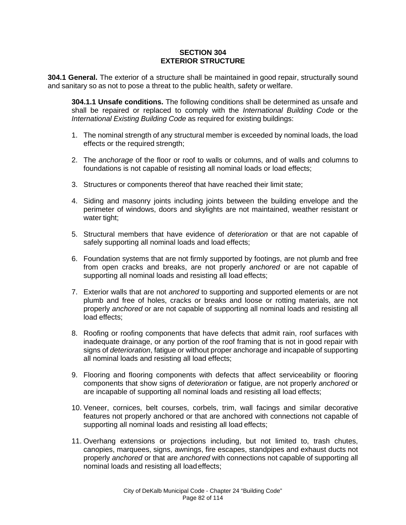#### **SECTION 304 EXTERIOR STRUCTURE**

**304.1 General.** The exterior of a structure shall be maintained in good repair, structurally sound and sanitary so as not to pose a threat to the public health, safety or welfare.

**304.1.1 Unsafe conditions.** The following conditions shall be determined as unsafe and shall be repaired or replaced to comply with the *International Building Code* or the *International Existing Building Code* as required for existing buildings:

- 1. The nominal strength of any structural member is exceeded by nominal loads, the load effects or the required strength;
- 2. The *anchorage* of the floor or roof to walls or columns, and of walls and columns to foundations is not capable of resisting all nominal loads or load effects;
- 3. Structures or components thereof that have reached their limit state;
- 4. Siding and masonry joints including joints between the building envelope and the perimeter of windows, doors and skylights are not maintained, weather resistant or water tight;
- 5. Structural members that have evidence of *deterioration* or that are not capable of safely supporting all nominal loads and load effects;
- 6. Foundation systems that are not firmly supported by footings, are not plumb and free from open cracks and breaks, are not properly *anchored* or are not capable of supporting all nominal loads and resisting all load effects;
- 7. Exterior walls that are not *anchored* to supporting and supported elements or are not plumb and free of holes, cracks or breaks and loose or rotting materials, are not properly *anchored* or are not capable of supporting all nominal loads and resisting all load effects;
- 8. Roofing or roofing components that have defects that admit rain, roof surfaces with inadequate drainage, or any portion of the roof framing that is not in good repair with signs of *deterioration*, fatigue or without proper anchorage and incapable of supporting all nominal loads and resisting all load effects;
- 9. Flooring and flooring components with defects that affect serviceability or flooring components that show signs of *deterioration* or fatigue, are not properly *anchored* or are incapable of supporting all nominal loads and resisting all load effects;
- 10. Veneer, cornices, belt courses, corbels, trim, wall facings and similar decorative features not properly anchored or that are anchored with connections not capable of supporting all nominal loads and resisting all load effects;
- 11. Overhang extensions or projections including, but not limited to, trash chutes, canopies, marquees, signs, awnings, fire escapes, standpipes and exhaust ducts not properly *anchored* or that are *anchored* with connections not capable of supporting all nominal loads and resisting all loadeffects;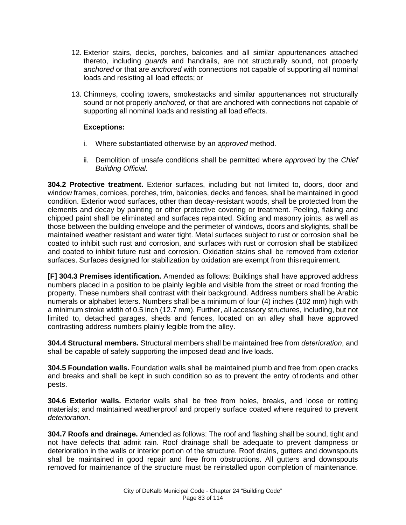- 12. Exterior stairs, decks, porches, balconies and all similar appurtenances attached thereto, including *guard*s and handrails, are not structurally sound, not properly *anchored* or that are *anchored* with connections not capable of supporting all nominal loads and resisting all load effects; or
- 13. Chimneys, cooling towers, smokestacks and similar appurtenances not structurally sound or not properly *anchored,* or that are anchored with connections not capable of supporting all nominal loads and resisting all load effects.

## **Exceptions:**

- i. Where substantiated otherwise by an *approved* method.
- ii. Demolition of unsafe conditions shall be permitted where *approved* by the *Chief Building Official*.

**304.2 Protective treatment.** Exterior surfaces, including but not limited to, doors, door and window frames, cornices, porches, trim, balconies, decks and fences, shall be maintained in good condition. Exterior wood surfaces, other than decay-resistant woods, shall be protected from the elements and decay by painting or other protective covering or treatment. Peeling, flaking and chipped paint shall be eliminated and surfaces repainted. Siding and masonry joints, as well as those between the building envelope and the perimeter of windows, doors and skylights, shall be maintained weather resistant and water tight. Metal surfaces subject to rust or corrosion shall be coated to inhibit such rust and corrosion, and surfaces with rust or corrosion shall be stabilized and coated to inhibit future rust and corrosion. Oxidation stains shall be removed from exterior surfaces. Surfaces designed for stabilization by oxidation are exempt from this requirement.

**[F] 304.3 Premises identification.** Amended as follows: Buildings shall have approved address numbers placed in a position to be plainly legible and visible from the street or road fronting the property. These numbers shall contrast with their background. Address numbers shall be Arabic numerals or alphabet letters. Numbers shall be a minimum of four (4) inches (102 mm) high with a minimum stroke width of 0.5 inch (12.7 mm). Further, all accessory structures, including, but not limited to, detached garages, sheds and fences, located on an alley shall have approved contrasting address numbers plainly legible from the alley.

**304.4 Structural members.** Structural members shall be maintained free from *deterioration*, and shall be capable of safely supporting the imposed dead and live loads.

**304.5 Foundation walls.** Foundation walls shall be maintained plumb and free from open cracks and breaks and shall be kept in such condition so as to prevent the entry of rodents and other pests.

**304.6 Exterior walls.** Exterior walls shall be free from holes, breaks, and loose or rotting materials; and maintained weatherproof and properly surface coated where required to prevent *deterioration*.

**304.7 Roofs and drainage.** Amended as follows: The roof and flashing shall be sound, tight and not have defects that admit rain. Roof drainage shall be adequate to prevent dampness or deterioration in the walls or interior portion of the structure. Roof drains, gutters and downspouts shall be maintained in good repair and free from obstructions. All gutters and downspouts removed for maintenance of the structure must be reinstalled upon completion of maintenance.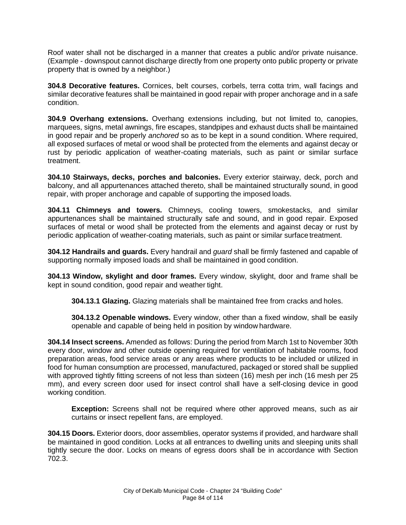Roof water shall not be discharged in a manner that creates a public and/or private nuisance. (Example - downspout cannot discharge directly from one property onto public property or private property that is owned by a neighbor.)

**304.8 Decorative features.** Cornices, belt courses, corbels, terra cotta trim, wall facings and similar decorative features shall be maintained in good repair with proper anchorage and in a safe condition.

**304.9 Overhang extensions.** Overhang extensions including, but not limited to, canopies, marquees, signs, metal awnings, fire escapes, standpipes and exhaust ducts shall be maintained in good repair and be properly *anchored* so as to be kept in a sound condition. Where required, all exposed surfaces of metal or wood shall be protected from the elements and against decay or rust by periodic application of weather-coating materials, such as paint or similar surface treatment.

**304.10 Stairways, decks, porches and balconies.** Every exterior stairway, deck, porch and balcony, and all appurtenances attached thereto, shall be maintained structurally sound, in good repair, with proper anchorage and capable of supporting the imposed loads.

**304.11 Chimneys and towers.** Chimneys, cooling towers, smokestacks, and similar appurtenances shall be maintained structurally safe and sound, and in good repair. Exposed surfaces of metal or wood shall be protected from the elements and against decay or rust by periodic application of weather-coating materials, such as paint or similar surface treatment.

**304.12 Handrails and guards.** Every handrail and *guard* shall be firmly fastened and capable of supporting normally imposed loads and shall be maintained in good condition.

**304.13 Window, skylight and door frames.** Every window, skylight, door and frame shall be kept in sound condition, good repair and weather tight.

**304.13.1 Glazing.** Glazing materials shall be maintained free from cracks and holes.

**304.13.2 Openable windows.** Every window, other than a fixed window, shall be easily openable and capable of being held in position by window hardware.

**304.14 Insect screens.** Amended as follows: During the period from March 1st to November 30th every door, window and other outside opening required for ventilation of habitable rooms, food preparation areas, food service areas or any areas where products to be included or utilized in food for human consumption are processed, manufactured, packaged or stored shall be supplied with approved tightly fitting screens of not less than sixteen (16) mesh per inch (16 mesh per 25 mm), and every screen door used for insect control shall have a self-closing device in good working condition.

**Exception:** Screens shall not be required where other approved means, such as air curtains or insect repellent fans, are employed.

**304.15 Doors.** Exterior doors, door assemblies, operator systems if provided, and hardware shall be maintained in good condition. Locks at all entrances to dwelling units and sleeping units shall tightly secure the door. Locks on means of egress doors shall be in accordance with Section 702.3.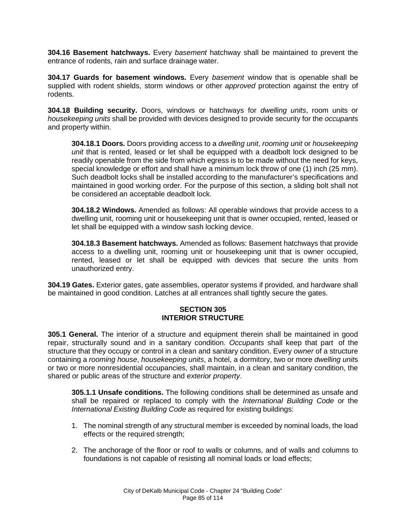**304.16 Basement hatchways.** Every *basement* hatchway shall be maintained to prevent the entrance of rodents, rain and surface drainage water.

**304.17 Guards for basement windows.** Every *basement* window that is openable shall be supplied with rodent shields, storm windows or other *approved* protection against the entry of rodents.

**304.18 Building security.** Doors, windows or hatchways for *dwelling units*, room units or *housekeeping units* shall be provided with devices designed to provide security for the *occupant*s and property within.

**304.18.1 Doors.** Doors providing access to a *dwelling unit*, *rooming unit* or *housekeeping unit* that is rented, leased or let shall be equipped with a deadbolt lock designed to be readily openable from the side from which egress is to be made without the need for keys, special knowledge or effort and shall have a minimum lock throw of one (1) inch (25 mm). Such deadbolt locks shall be installed according to the manufacturer's specifications and maintained in good working order. For the purpose of this section, a sliding bolt shall not be considered an acceptable deadbolt lock.

**304.18.2 Windows.** Amended as follows: All operable windows that provide access to a dwelling unit, rooming unit or housekeeping unit that is owner occupied, rented, leased or let shall be equipped with a window sash locking device.

**304.18.3 Basement hatchways.** Amended as follows: Basement hatchways that provide access to a dwelling unit, rooming unit or housekeeping unit that is owner occupied, rented, leased or let shall be equipped with devices that secure the units from unauthorized entry.

**304.19 Gates.** Exterior gates, gate assemblies, operator systems if provided, and hardware shall be maintained in good condition. Latches at all entrances shall tightly secure the gates.

# **SECTION 305 INTERIOR STRUCTURE**

**305.1 General.** The interior of a structure and equipment therein shall be maintained in good repair, structurally sound and in a sanitary condition. *Occupants* shall keep that part of the structure that they occupy or control in a clean and sanitary condition. Every *owner* of a structure containing a *rooming house*, *housekeeping units*, a hotel, a dormitory, two or more *dwelling unit*s or two or more nonresidential occupancies, shall maintain, in a clean and sanitary condition, the shared or public areas of the structure and *exterior property*.

**305.1.1 Unsafe conditions.** The following conditions shall be determined as unsafe and shall be repaired or replaced to comply with the *International Building Code* or the *International Existing Building Code* as required for existing buildings:

- 1. The nominal strength of any structural member is exceeded by nominal loads, the load effects or the required strength;
- 2. The anchorage of the floor or roof to walls or columns, and of walls and columns to foundations is not capable of resisting all nominal loads or load effects;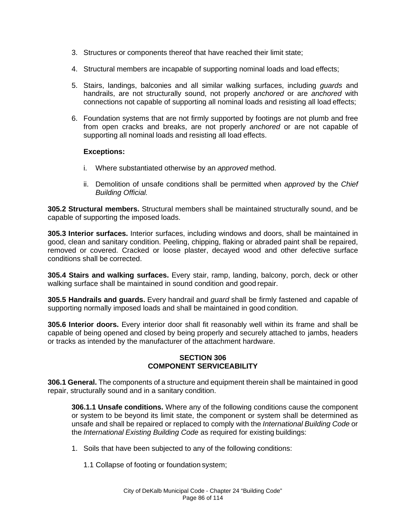- 3. Structures or components thereof that have reached their limit state;
- 4. Structural members are incapable of supporting nominal loads and load effects;
- 5. Stairs, landings, balconies and all similar walking surfaces, including *guards* and handrails, are not structurally sound, not properly *anchored* or are *anchored* with connections not capable of supporting all nominal loads and resisting all load effects;
- 6. Foundation systems that are not firmly supported by footings are not plumb and free from open cracks and breaks, are not properly *anchored* or are not capable of supporting all nominal loads and resisting all load effects.

### **Exceptions:**

- i. Where substantiated otherwise by an *approved* method.
- ii. Demolition of unsafe conditions shall be permitted when *approved* by the *Chief Building Official.*

**305.2 Structural members.** Structural members shall be maintained structurally sound, and be capable of supporting the imposed loads.

**305.3 Interior surfaces.** Interior surfaces, including windows and doors, shall be maintained in good, clean and sanitary condition. Peeling, chipping, flaking or abraded paint shall be repaired, removed or covered. Cracked or loose plaster, decayed wood and other defective surface conditions shall be corrected.

**305.4 Stairs and walking surfaces.** Every stair, ramp, landing, balcony, porch, deck or other walking surface shall be maintained in sound condition and good repair.

**305.5 Handrails and guards.** Every handrail and *guard* shall be firmly fastened and capable of supporting normally imposed loads and shall be maintained in good condition.

**305.6 Interior doors.** Every interior door shall fit reasonably well within its frame and shall be capable of being opened and closed by being properly and securely attached to jambs, headers or tracks as intended by the manufacturer of the attachment hardware.

#### **SECTION 306 COMPONENT SERVICEABILITY**

**306.1 General.** The components of a structure and equipment therein shall be maintained in good repair, structurally sound and in a sanitary condition.

**306.1.1 Unsafe conditions.** Where any of the following conditions cause the component or system to be beyond its limit state, the component or system shall be determined as unsafe and shall be repaired or replaced to comply with the *International Building Code* or the *International Existing Building Code* as required for existing buildings:

- 1. Soils that have been subjected to any of the following conditions:
	- 1.1 Collapse of footing or foundation system;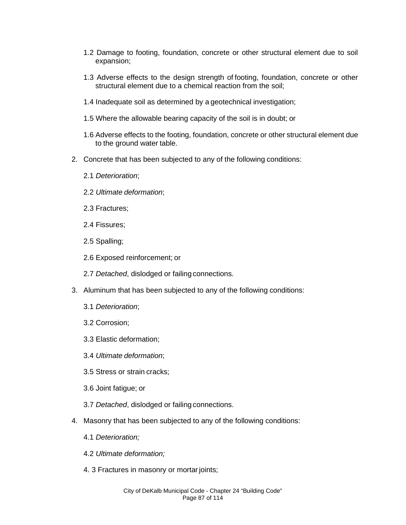- 1.2 Damage to footing, foundation, concrete or other structural element due to soil expansion;
- 1.3 Adverse effects to the design strength of footing, foundation, concrete or other structural element due to a chemical reaction from the soil;
- 1.4 Inadequate soil as determined by a geotechnical investigation;
- 1.5 Where the allowable bearing capacity of the soil is in doubt; or
- 1.6 Adverse effects to the footing, foundation, concrete or other structural element due to the ground water table.
- 2. Concrete that has been subjected to any of the following conditions:
	- 2.1 *Deterioration*;
	- 2.2 *Ultimate deformation*;
	- 2.3 Fractures;
	- 2.4 Fissures;
	- 2.5 Spalling;
	- 2.6 Exposed reinforcement; or
	- 2.7 *Detached*, dislodged or failing connections.
- 3. Aluminum that has been subjected to any of the following conditions:
	- 3.1 *Deterioration*;
	- 3.2 Corrosion;
	- 3.3 Elastic deformation;
	- 3.4 *Ultimate deformation*;
	- 3.5 Stress or strain cracks;
	- 3.6 Joint fatigue; or
	- 3.7 *Detached*, dislodged or failing connections.
- 4. Masonry that has been subjected to any of the following conditions:
	- 4.1 *Deterioration;*
	- 4.2 *Ultimate deformation;*
	- 4. 3 Fractures in masonry or mortar joints;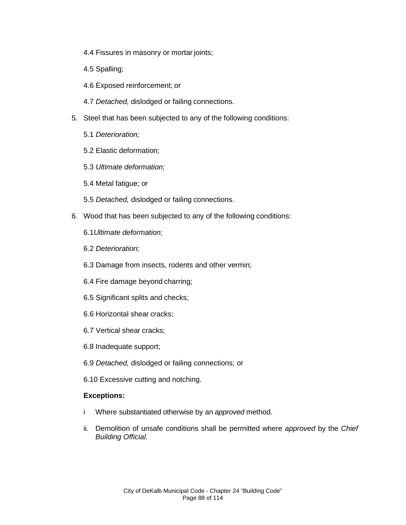- 4.4 Fissures in masonry or mortar joints;
- 4.5 Spalling;
- 4.6 Exposed reinforcement; or
- 4.7 *Detached,* dislodged or failing connections.
- 5. Steel that has been subjected to any of the following conditions:
	- 5.1 *Deterioration;*
	- 5.2 Elastic deformation;
	- 5.3 *Ultimate deformation;*
	- 5.4 Metal fatigue; or
	- 5.5 *Detached,* dislodged or failing connections.
- 6. Wood that has been subjected to any of the following conditions:
	- 6.1*Ultimate deformation;*
	- 6.2 *Deterioration;*
	- 6.3 Damage from insects, rodents and other vermin;
	- 6.4 Fire damage beyond charring;
	- 6.5 Significant splits and checks;
	- 6.6 Horizontal shear cracks;
	- 6.7 Vertical shear cracks;
	- 6.8 Inadequate support;
	- 6.9 *Detached,* dislodged or failing connections; or
	- 6.10 Excessive cutting and notching.

### **Exceptions:**

- i Where substantiated otherwise by an *approved* method.
- ii. Demolition of unsafe conditions shall be permitted where *approved* by the *Chief Building Official.*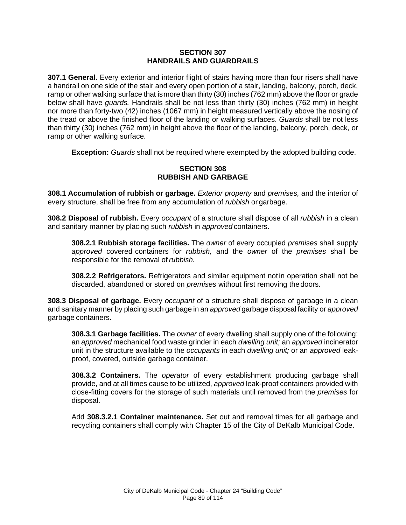### **SECTION 307 HANDRAILS AND GUARDRAILS**

**307.1 General.** Every exterior and interior flight of stairs having more than four risers shall have a handrail on one side of the stair and every open portion of a stair, landing, balcony, porch, deck, ramp or other walking surface that ismore than thirty (30) inches (762 mm) above the floor or grade below shall have *guards.* Handrails shall be not less than thirty (30) inches (762 mm) in height nor more than forty-two (42) inches (1067 mm) in height measured vertically above the nosing of the tread or above the finished floor of the landing or walking surfaces. *Guards* shall be not less than thirty (30) inches (762 mm) in height above the floor of the landing, balcony, porch, deck, or ramp or other walking surface.

**Exception:** *Guards* shall not be required where exempted by the adopted building code.

## **SECTION 308 RUBBISH AND GARBAGE**

**308.1 Accumulation of rubbish or garbage.** *Exterior property* and *premises,* and the interior of every structure, shall be free from any accumulation of *rubbish* or garbage.

**308.2 Disposal of rubbish.** Every *occupant* of a structure shall dispose of all *rubbish* in a clean and sanitary manner by placing such *rubbish* in *approved* containers.

**308.2.1 Rubbish storage facilities.** The *owner* of every occupied *premises* shall supply *approved* covered containers for *rubbish,* and the *owner* of the *premises* shall be responsible for the removal of *rubbish.*

**308.2.2 Refrigerators.** Refrigerators and similar equipment not in operation shall not be discarded, abandoned or stored on *premises* without first removing thedoors.

**308.3 Disposal of garbage.** Every *occupant* of a structure shall dispose of garbage in a clean and sanitary manner by placing such garbage in an *approved* garbage disposal facility or *approved*  garbage containers.

**308.3.1 Garbage facilities.** The *owner* of every dwelling shall supply one of the following: an *approved* mechanical food waste grinder in each *dwelling unit;* an *approved* incinerator unit in the structure available to the *occupants* in each *dwelling unit;* or an *approved* leakproof, covered, outside garbage container.

**308.3.2 Containers.** The *operator* of every establishment producing garbage shall provide, and at all times cause to be utilized, *approved* leak-proof containers provided with close-fitting covers for the storage of such materials until removed from the *premises* for disposal.

Add **308.3.2.1 Container maintenance.** Set out and removal times for all garbage and recycling containers shall comply with Chapter 15 of the City of DeKalb Municipal Code.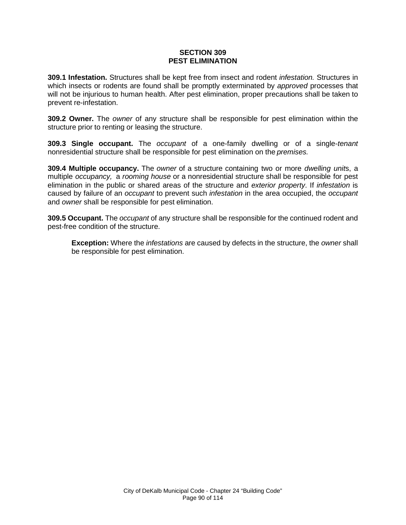#### **SECTION 309 PEST ELIMINATION**

**309.1 Infestation.** Structures shall be kept free from insect and rodent *infestation.* Structures in which insects or rodents are found shall be promptly exterminated by *approved* processes that will not be injurious to human health. After pest elimination, proper precautions shall be taken to prevent re-infestation.

**309.2 Owner.** The *owner* of any structure shall be responsible for pest elimination within the structure prior to renting or leasing the structure.

**309.3 Single occupant.** The *occupant* of a one-family dwelling or of a single-*tenant*  nonresidential structure shall be responsible for pest elimination on the *premises.*

**309.4 Multiple occupancy.** The *owner* of a structure containing two or more *dwelling unit*s, a multiple *occupancy,* a *rooming house* or a nonresidential structure shall be responsible for pest elimination in the public or shared areas of the structure and *exterior property*. If *infestation* is caused by failure of an *occupant* to prevent such *infestation* in the area occupied, the *occupant*  and *owner* shall be responsible for pest elimination.

**309.5 Occupant.** The *occupant* of any structure shall be responsible for the continued rodent and pest-free condition of the structure.

**Exception:** Where the *infestations* are caused by defects in the structure, the *owner* shall be responsible for pest elimination.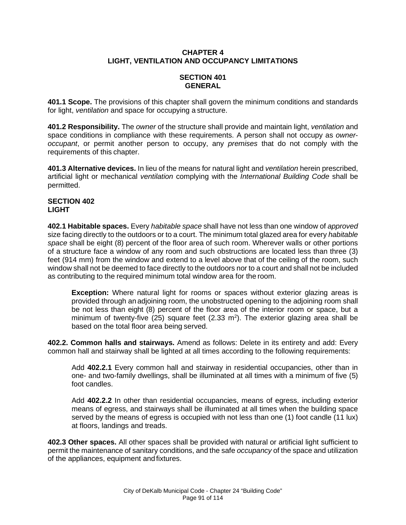## **CHAPTER 4 LIGHT, VENTILATION AND OCCUPANCY LIMITATIONS**

# **SECTION 401 GENERAL**

**401.1 Scope.** The provisions of this chapter shall govern the minimum conditions and standards for light, *ventilation* and space for occupying a structure.

**401.2 Responsibility.** The *owner* of the structure shall provide and maintain light, *ventilation* and space conditions in compliance with these requirements. A person shall not occupy as *owneroccupant*, or permit another person to occupy, any *premises* that do not comply with the requirements of this chapter.

**401.3 Alternative devices.** In lieu of the means for natural light and *ventilation* herein prescribed, artificial light or mechanical *ventilation* complying with the *International Building Code* shall be permitted.

#### **SECTION 402 LIGHT**

**402.1 Habitable spaces.** Every *habitable space* shall have not less than one window of *approved*  size facing directly to the outdoors or to a court. The minimum total glazed area for every *habitable space* shall be eight (8) percent of the floor area of such room. Wherever walls or other portions of a structure face a window of any room and such obstructions are located less than three (3) feet (914 mm) from the window and extend to a level above that of the ceiling of the room, such window shall not be deemed to face directly to the outdoors nor to a court and shall not be included as contributing to the required minimum total window area for the room.

**Exception:** Where natural light for rooms or spaces without exterior glazing areas is provided through an adjoining room, the unobstructed opening to the adjoining room shall be not less than eight (8) percent of the floor area of the interior room or space, but a minimum of twenty-five (25) square feet (2.33  $m^2$ ). The exterior glazing area shall be based on the total floor area being served.

**402.2. Common halls and stairways.** Amend as follows: Delete in its entirety and add: Every common hall and stairway shall be lighted at all times according to the following requirements:

Add **402.2.1** Every common hall and stairway in residential occupancies, other than in one- and two-family dwellings, shall be illuminated at all times with a minimum of five (5) foot candles.

Add **402.2.2** In other than residential occupancies, means of egress, including exterior means of egress, and stairways shall be illuminated at all times when the building space served by the means of egress is occupied with not less than one (1) foot candle (11 lux) at floors, landings and treads.

**402.3 Other spaces.** All other spaces shall be provided with natural or artificial light sufficient to permit the maintenance of sanitary conditions, and the safe *occupancy* of the space and utilization of the appliances, equipment and fixtures.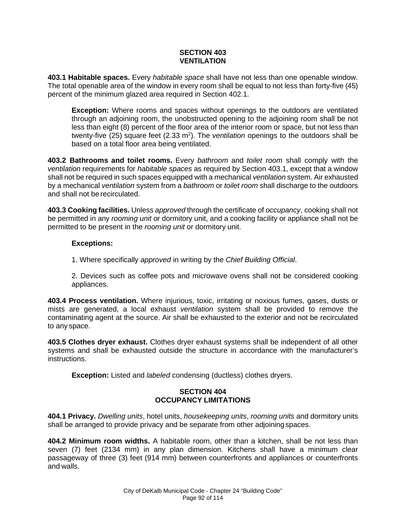## **SECTION 403 VENTILATION**

**403.1 Habitable spaces.** Every *habitable space* shall have not less than one openable window. The total openable area of the window in every room shall be equal to not less than forty-five (45) percent of the minimum glazed area required in Section 402.1.

**Exception:** Where rooms and spaces without openings to the outdoors are ventilated through an adjoining room, the unobstructed opening to the adjoining room shall be not less than eight (8) percent of the floor area of the interior room or space, but not less than twenty-five (25) square feet (2.33 m<sup>2</sup>). The *ventilation* openings to the outdoors shall be based on a total floor area being ventilated.

**403.2 Bathrooms and toilet rooms.** Every *bathroom* and *toilet room* shall comply with the *ventilation* requirements for *habitable spaces* as required by Section 403.1, except that a window shall not be required in such spaces equipped with a mechanical *ventilation* system. Air exhausted by a mechanical *ventilation* system from a *bathroom* or *toilet room* shall discharge to the outdoors and shall not be recirculated.

**403.3 Cooking facilities.** Unless *approved* through the certificate of *occupancy*, cooking shall not be permitted in any *rooming unit* or dormitory unit, and a cooking facility or appliance shall not be permitted to be present in the *rooming unit* or dormitory unit.

# **Exceptions:**

1. Where specifically *approved* in writing by the *Chief Building Official*.

2. Devices such as coffee pots and microwave ovens shall not be considered cooking appliances.

**403.4 Process ventilation.** Where injurious, toxic, irritating or noxious fumes, gases, dusts or mists are generated, a local exhaust *ventilation* system shall be provided to remove the contaminating agent at the source. Air shall be exhausted to the exterior and not be recirculated to any space.

**403.5 Clothes dryer exhaust.** Clothes dryer exhaust systems shall be independent of all other systems and shall be exhausted outside the structure in accordance with the manufacturer's instructions.

**Exception:** Listed and *labeled* condensing (ductless) clothes dryers.

# **SECTION 404 OCCUPANCY LIMITATIONS**

**404.1 Privacy.** *Dwelling units*, hotel units, *housekeeping units*, *rooming units* and dormitory units shall be arranged to provide privacy and be separate from other adjoining spaces.

**404.2 Minimum room widths.** A habitable room, other than a kitchen, shall be not less than seven (7) feet (2134 mm) in any plan dimension. Kitchens shall have a minimum clear passageway of three (3) feet (914 mm) between counterfronts and appliances or counterfronts and walls.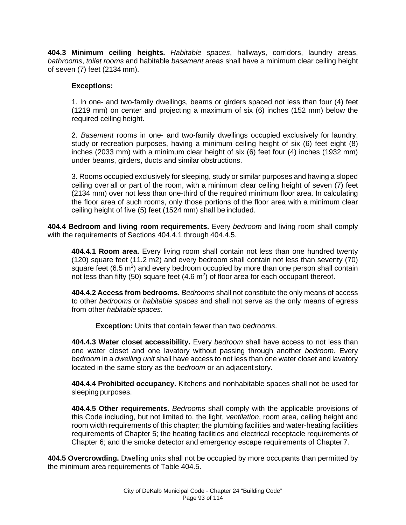**404.3 Minimum ceiling heights.** *Habitable spaces*, hallways, corridors, laundry areas, *bathrooms*, *toilet rooms* and habitable *basement* areas shall have a minimum clear ceiling height of seven (7) feet (2134 mm).

## **Exceptions:**

1. In one- and two-family dwellings, beams or girders spaced not less than four (4) feet (1219 mm) on center and projecting a maximum of six (6) inches (152 mm) below the required ceiling height.

2. *Basement* rooms in one- and two-family dwellings occupied exclusively for laundry, study or recreation purposes, having a minimum ceiling height of six (6) feet eight (8) inches (2033 mm) with a minimum clear height of six (6) feet four (4) inches (1932 mm) under beams, girders, ducts and similar obstructions.

3. Rooms occupied exclusively for sleeping, study or similar purposes and having a sloped ceiling over all or part of the room, with a minimum clear ceiling height of seven (7) feet (2134 mm) over not less than one-third of the required minimum floor area. In calculating the floor area of such rooms, only those portions of the floor area with a minimum clear ceiling height of five (5) feet (1524 mm) shall be included.

**404.4 Bedroom and living room requirements.** Every *bedroom* and living room shall comply with the requirements of Sections 404.4.1 through 404.4.5.

**404.4.1 Room area.** Every living room shall contain not less than one hundred twenty (120) square feet (11.2 m2) and every bedroom shall contain not less than seventy (70) square feet  $(6.5 \text{ m}^2)$  and every bedroom occupied by more than one person shall contain not less than fifty (50) square feet  $(4.6 \text{ m}^2)$  of floor area for each occupant thereof.

**404.4.2 Access from bedrooms.** *Bedrooms* shall not constitute the only means of access to other *bedrooms* or *habitable spaces* and shall not serve as the only means of egress from other *habitable spaces*.

**Exception:** Units that contain fewer than two *bedrooms*.

**404.4.3 Water closet accessibility.** Every *bedroom* shall have access to not less than one water closet and one lavatory without passing through another *bedroom*. Every *bedroom* in a *dwelling unit* shall have access to not less than one water closet and lavatory located in the same story as the *bedroom* or an adjacent story.

**404.4.4 Prohibited occupancy.** Kitchens and nonhabitable spaces shall not be used for sleeping purposes.

**404.4.5 Other requirements.** *Bedrooms* shall comply with the applicable provisions of this Code including, but not limited to, the light, *ventilation*, room area, ceiling height and room width requirements of this chapter; the plumbing facilities and water-heating facilities requirements of Chapter 5; the heating facilities and electrical receptacle requirements of Chapter 6; and the smoke detector and emergency escape requirements of Chapter7.

**404.5 Overcrowding.** Dwelling units shall not be occupied by more occupants than permitted by the minimum area requirements of Table 404.5.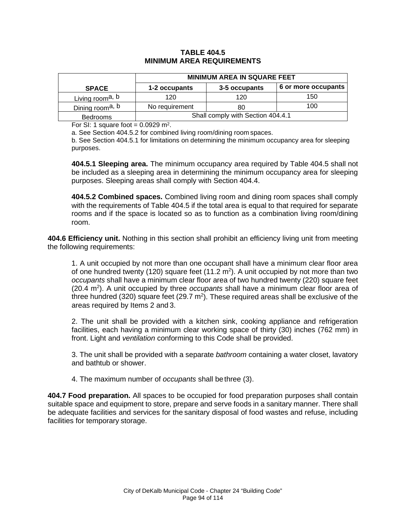### **TABLE 404.5 MINIMUM AREA REQUIREMENTS**

|                             | <b>MINIMUM AREA IN SQUARE FEET</b> |               |                     |
|-----------------------------|------------------------------------|---------------|---------------------|
| <b>SPACE</b>                | 1-2 occupants                      | 3-5 occupants | 6 or more occupants |
| Living room <sup>a, b</sup> | 120                                | 120           | 150                 |
| Dining room <sup>a, b</sup> | No requirement                     | 80            | 100                 |
| <b>Bedrooms</b>             | Shall comply with Section 404.4.1  |               |                     |

For SI: 1 square foot =  $0.0929$  m<sup>2</sup>.

a. See Section 404.5.2 for combined living room/dining room spaces.

b. See Section 404.5.1 for limitations on determining the minimum occupancy area for sleeping purposes.

**404.5.1 Sleeping area.** The minimum occupancy area required by Table 404.5 shall not be included as a sleeping area in determining the minimum occupancy area for sleeping purposes. Sleeping areas shall comply with Section 404.4.

**404.5.2 Combined spaces.** Combined living room and dining room spaces shall comply with the requirements of Table 404.5 if the total area is equal to that required for separate rooms and if the space is located so as to function as a combination living room/dining room.

**404.6 Efficiency unit.** Nothing in this section shall prohibit an efficiency living unit from meeting the following requirements:

1. A unit occupied by not more than one occupant shall have a minimum clear floor area of one hundred twenty (120) square feet (11.2  $m<sup>2</sup>$ ). A unit occupied by not more than two *occupants* shall have a minimum clear floor area of two hundred twenty (220) square feet (20.4 m<sup>2</sup>). A unit occupied by three *occupants* shall have a minimum clear floor area of three hundred (320) square feet (29.7  $m^2$ ). These required areas shall be exclusive of the areas required by Items 2 and 3.

2. The unit shall be provided with a kitchen sink, cooking appliance and refrigeration facilities, each having a minimum clear working space of thirty (30) inches (762 mm) in front. Light and *ventilation* conforming to this Code shall be provided.

3. The unit shall be provided with a separate *bathroom* containing a water closet, lavatory and bathtub or shower.

4. The maximum number of *occupants* shall be three (3).

**404.7 Food preparation.** All spaces to be occupied for food preparation purposes shall contain suitable space and equipment to store, prepare and serve foods in a sanitary manner. There shall be adequate facilities and services for the sanitary disposal of food wastes and refuse, including facilities for temporary storage.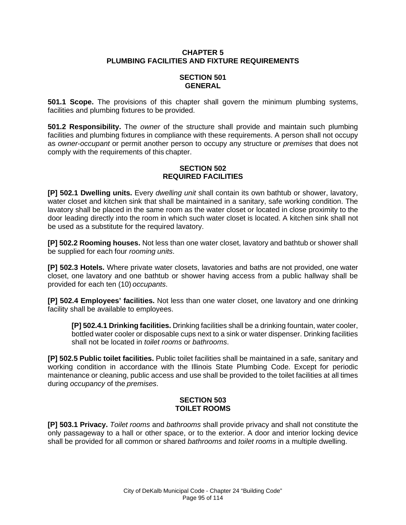## **CHAPTER 5 PLUMBING FACILITIES AND FIXTURE REQUIREMENTS**

## **SECTION 501 GENERAL**

**501.1 Scope.** The provisions of this chapter shall govern the minimum plumbing systems, facilities and plumbing fixtures to be provided.

**501.2 Responsibility.** The *owner* of the structure shall provide and maintain such plumbing facilities and plumbing fixtures in compliance with these requirements. A person shall not occupy as *owner*-*occupant* or permit another person to occupy any structure or *premises* that does not comply with the requirements of this chapter.

## **SECTION 502 REQUIRED FACILITIES**

**[P] 502.1 Dwelling units.** Every *dwelling unit* shall contain its own bathtub or shower, lavatory, water closet and kitchen sink that shall be maintained in a sanitary, safe working condition. The lavatory shall be placed in the same room as the water closet or located in close proximity to the door leading directly into the room in which such water closet is located. A kitchen sink shall not be used as a substitute for the required lavatory.

**[P] 502.2 Rooming houses.** Not less than one water closet, lavatory and bathtub or shower shall be supplied for each four *rooming units*.

**[P] 502.3 Hotels.** Where private water closets, lavatories and baths are not provided, one water closet, one lavatory and one bathtub or shower having access from a public hallway shall be provided for each ten (10) *occupants*.

**[P] 502.4 Employees' facilities.** Not less than one water closet, one lavatory and one drinking facility shall be available to employees.

**[P] 502.4.1 Drinking facilities.** Drinking facilities shall be a drinking fountain, water cooler, bottled water cooler or disposable cups next to a sink or water dispenser. Drinking facilities shall not be located in *toilet rooms* or *bathrooms*.

**[P] 502.5 Public toilet facilities.** Public toilet facilities shall be maintained in a safe, sanitary and working condition in accordance with the Illinois State Plumbing Code. Except for periodic maintenance or cleaning, public access and use shall be provided to the toilet facilities at all times during *occupancy* of the *premises*.

# **SECTION 503 TOILET ROOMS**

**[P] 503.1 Privacy.** *Toilet rooms* and *bathrooms* shall provide privacy and shall not constitute the only passageway to a hall or other space, or to the exterior. A door and interior locking device shall be provided for all common or shared *bathrooms* and *toilet rooms* in a multiple dwelling.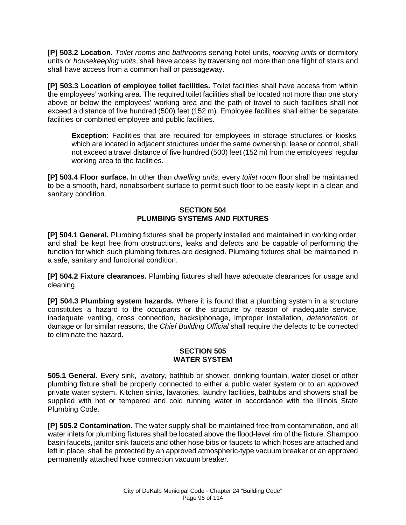**[P] 503.2 Location.** *Toilet rooms* and *bathrooms* serving hotel units, *rooming units* or dormitory units or *housekeeping units*, shall have access by traversing not more than one flight of stairs and shall have access from a common hall or passageway.

**[P] 503.3 Location of employee toilet facilities.** Toilet facilities shall have access from within the employees' working area. The required toilet facilities shall be located not more than one story above or below the employees' working area and the path of travel to such facilities shall not exceed a distance of five hundred (500) feet (152 m). Employee facilities shall either be separate facilities or combined employee and public facilities.

**Exception:** Facilities that are required for employees in storage structures or kiosks, which are located in adjacent structures under the same ownership, lease or control, shall not exceed a travel distance of five hundred (500) feet (152 m) from the employees' regular working area to the facilities.

**[P] 503.4 Floor surface.** In other than *dwelling units*, every *toilet room* floor shall be maintained to be a smooth, hard, nonabsorbent surface to permit such floor to be easily kept in a clean and sanitary condition.

## **SECTION 504 PLUMBING SYSTEMS AND FIXTURES**

**[P] 504.1 General.** Plumbing fixtures shall be properly installed and maintained in working order, and shall be kept free from obstructions, leaks and defects and be capable of performing the function for which such plumbing fixtures are designed. Plumbing fixtures shall be maintained in a safe, sanitary and functional condition.

**[P] 504.2 Fixture clearances.** Plumbing fixtures shall have adequate clearances for usage and cleaning.

**[P] 504.3 Plumbing system hazards.** Where it is found that a plumbing system in a structure constitutes a hazard to the *occupants* or the structure by reason of inadequate service, inadequate venting, cross connection, backsiphonage, improper installation, *deterioration* or damage or for similar reasons, the *Chief Building Official* shall require the defects to be corrected to eliminate the hazard.

### **SECTION 505 WATER SYSTEM**

**505.1 General.** Every sink, lavatory, bathtub or shower, drinking fountain, water closet or other plumbing fixture shall be properly connected to either a public water system or to an *approved*  private water system. Kitchen sinks, lavatories, laundry facilities, bathtubs and showers shall be supplied with hot or tempered and cold running water in accordance with the Illinois State Plumbing Code.

**[P] 505.2 Contamination.** The water supply shall be maintained free from contamination, and all water inlets for plumbing fixtures shall be located above the flood-level rim of the fixture. Shampoo basin faucets, janitor sink faucets and other hose bibs or faucets to which hoses are attached and left in place, shall be protected by an approved atmospheric-type vacuum breaker or an approved permanently attached hose connection vacuum breaker.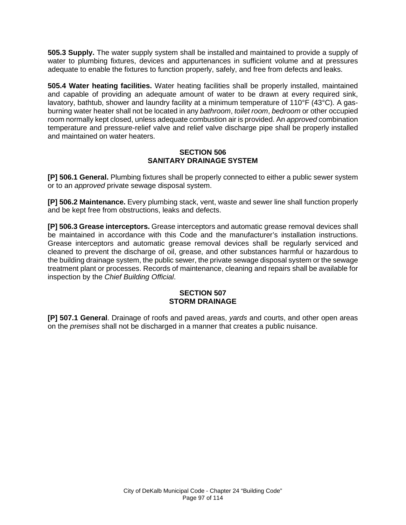**505.3 Supply.** The water supply system shall be installed and maintained to provide a supply of water to plumbing fixtures, devices and appurtenances in sufficient volume and at pressures adequate to enable the fixtures to function properly, safely, and free from defects and leaks.

**505.4 Water heating facilities.** Water heating facilities shall be properly installed, maintained and capable of providing an adequate amount of water to be drawn at every required sink, lavatory, bathtub, shower and laundry facility at a minimum temperature of 110°F (43°C). A gasburning water heater shall not be located in any *bathroom*, *toilet room*, *bedroom* or other occupied room normally kept closed, unless adequate combustion air is provided. An *approved* combination temperature and pressure-relief valve and relief valve discharge pipe shall be properly installed and maintained on water heaters.

### **SECTION 506 SANITARY DRAINAGE SYSTEM**

**[P] 506.1 General.** Plumbing fixtures shall be properly connected to either a public sewer system or to an *approved* private sewage disposal system.

**[P] 506.2 Maintenance.** Every plumbing stack, vent, waste and sewer line shall function properly and be kept free from obstructions, leaks and defects.

**[P] 506.3 Grease interceptors.** Grease interceptors and automatic grease removal devices shall be maintained in accordance with this Code and the manufacturer's installation instructions. Grease interceptors and automatic grease removal devices shall be regularly serviced and cleaned to prevent the discharge of oil, grease, and other substances harmful or hazardous to the building drainage system, the public sewer, the private sewage disposal system or the sewage treatment plant or processes. Records of maintenance, cleaning and repairs shall be available for inspection by the *Chief Building Official*.

### **SECTION 507 STORM DRAINAGE**

**[P] 507.1 General**. Drainage of roofs and paved areas, *yards* and courts, and other open areas on the *premises* shall not be discharged in a manner that creates a public nuisance.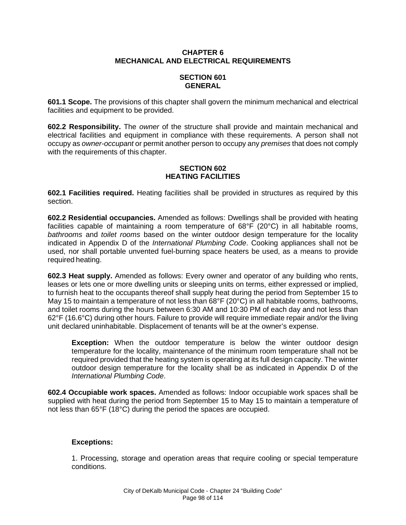### **CHAPTER 6 MECHANICAL AND ELECTRICAL REQUIREMENTS**

# **SECTION 601 GENERAL**

**601.1 Scope.** The provisions of this chapter shall govern the minimum mechanical and electrical facilities and equipment to be provided.

**602.2 Responsibility.** The *owner* of the structure shall provide and maintain mechanical and electrical facilities and equipment in compliance with these requirements. A person shall not occupy as *owner*-*occupant* or permit another person to occupy any *premises* that does not comply with the requirements of this chapter.

## **SECTION 602 HEATING FACILITIES**

**602.1 Facilities required.** Heating facilities shall be provided in structures as required by this section.

**602.2 Residential occupancies.** Amended as follows: Dwellings shall be provided with heating facilities capable of maintaining a room temperature of 68°F (20°C) in all habitable rooms, *bathrooms* and *toilet rooms* based on the winter outdoor design temperature for the locality indicated in Appendix D of the *International Plumbing Code*. Cooking appliances shall not be used, nor shall portable unvented fuel-burning space heaters be used, as a means to provide required heating.

**602.3 Heat supply.** Amended as follows: Every owner and operator of any building who rents, leases or lets one or more dwelling units or sleeping units on terms, either expressed or implied, to furnish heat to the occupants thereof shall supply heat during the period from September 15 to May 15 to maintain a temperature of not less than 68°F (20°C) in all habitable rooms, bathrooms, and toilet rooms during the hours between 6:30 AM and 10:30 PM of each day and not less than 62°F (16.6°C) during other hours. Failure to provide will require immediate repair and/or the living unit declared uninhabitable. Displacement of tenants will be at the owner's expense.

**Exception:** When the outdoor temperature is below the winter outdoor design temperature for the locality, maintenance of the minimum room temperature shall not be required provided that the heating system is operating at its full design capacity. The winter outdoor design temperature for the locality shall be as indicated in Appendix D of the *International Plumbing Code*.

**602.4 Occupiable work spaces.** Amended as follows: Indoor occupiable work spaces shall be supplied with heat during the period from September 15 to May 15 to maintain a temperature of not less than 65°F (18°C) during the period the spaces are occupied.

# **Exceptions:**

1. Processing, storage and operation areas that require cooling or special temperature conditions.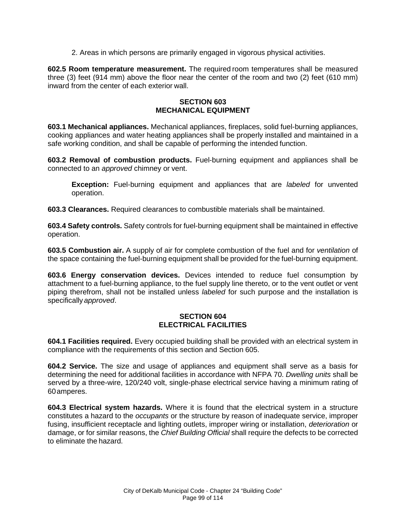2. Areas in which persons are primarily engaged in vigorous physical activities.

**602.5 Room temperature measurement.** The required room temperatures shall be measured three (3) feet (914 mm) above the floor near the center of the room and two (2) feet (610 mm) inward from the center of each exterior wall.

### **SECTION 603 MECHANICAL EQUIPMENT**

**603.1 Mechanical appliances.** Mechanical appliances, fireplaces, solid fuel-burning appliances, cooking appliances and water heating appliances shall be properly installed and maintained in a safe working condition, and shall be capable of performing the intended function.

**603.2 Removal of combustion products.** Fuel-burning equipment and appliances shall be connected to an *approved* chimney or vent.

**Exception:** Fuel-burning equipment and appliances that are *labeled* for unvented operation.

**603.3 Clearances.** Required clearances to combustible materials shall be maintained.

**603.4 Safety controls.** Safety controls for fuel-burning equipment shall be maintained in effective operation.

**603.5 Combustion air.** A supply of air for complete combustion of the fuel and for *ventilation* of the space containing the fuel-burning equipment shall be provided for the fuel-burning equipment.

**603.6 Energy conservation devices.** Devices intended to reduce fuel consumption by attachment to a fuel-burning appliance, to the fuel supply line thereto, or to the vent outlet or vent piping therefrom, shall not be installed unless *labeled* for such purpose and the installation is specifically *approved*.

### **SECTION 604 ELECTRICAL FACILITIES**

**604.1 Facilities required.** Every occupied building shall be provided with an electrical system in compliance with the requirements of this section and Section 605.

**604.2 Service.** The size and usage of appliances and equipment shall serve as a basis for determining the need for additional facilities in accordance with NFPA 70. *Dwelling units* shall be served by a three-wire, 120/240 volt, single-phase electrical service having a minimum rating of 60amperes.

**604.3 Electrical system hazards.** Where it is found that the electrical system in a structure constitutes a hazard to the *occupants* or the structure by reason of inadequate service, improper fusing, insufficient receptacle and lighting outlets, improper wiring or installation, *deterioration* or damage, or for similar reasons, the *Chief Building Official* shall require the defects to be corrected to eliminate the hazard.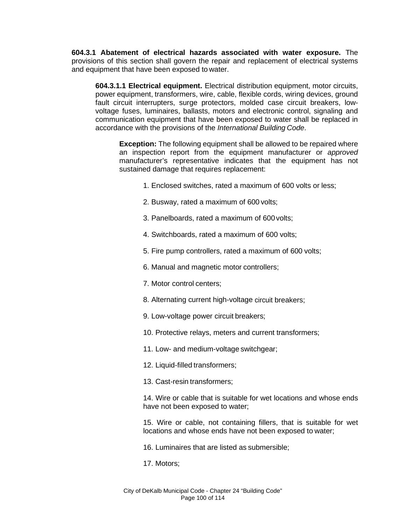**604.3.1 Abatement of electrical hazards associated with water exposure.** The provisions of this section shall govern the repair and replacement of electrical systems and equipment that have been exposed to water.

**604.3.1.1 Electrical equipment.** Electrical distribution equipment, motor circuits, power equipment, transformers, wire, cable, flexible cords, wiring devices, ground fault circuit interrupters, surge protectors, molded case circuit breakers, lowvoltage fuses, luminaires, ballasts, motors and electronic control, signaling and communication equipment that have been exposed to water shall be replaced in accordance with the provisions of the *International Building Code*.

**Exception:** The following equipment shall be allowed to be repaired where an inspection report from the equipment manufacturer or *approved*  manufacturer's representative indicates that the equipment has not sustained damage that requires replacement:

- 1. Enclosed switches, rated a maximum of 600 volts or less;
- 2. Busway, rated a maximum of 600 volts;
- 3. Panelboards, rated a maximum of 600volts;
- 4. Switchboards, rated a maximum of 600 volts;
- 5. Fire pump controllers, rated a maximum of 600 volts;
- 6. Manual and magnetic motor controllers;
- 7. Motor control centers;
- 8. Alternating current high-voltage circuit breakers;
- 9. Low-voltage power circuit breakers;
- 10. Protective relays, meters and current transformers;
- 11. Low- and medium-voltage switchgear;
- 12. Liquid-filled transformers;
- 13. Cast-resin transformers;

14. Wire or cable that is suitable for wet locations and whose ends have not been exposed to water;

15. Wire or cable, not containing fillers, that is suitable for wet locations and whose ends have not been exposed to water;

- 16. Luminaires that are listed as submersible;
- 17. Motors;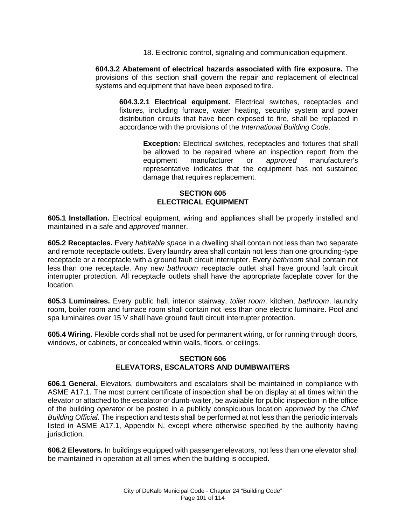18. Electronic control, signaling and communication equipment.

**604.3.2 Abatement of electrical hazards associated with fire exposure.** The provisions of this section shall govern the repair and replacement of electrical systems and equipment that have been exposed to fire.

**604.3.2.1 Electrical equipment.** Electrical switches, receptacles and fixtures, including furnace, water heating, security system and power distribution circuits that have been exposed to fire, shall be replaced in accordance with the provisions of the *International Building Code*.

**Exception:** Electrical switches, receptacles and fixtures that shall be allowed to be repaired where an inspection report from the equipment manufacturer or *approved* manufacturer's representative indicates that the equipment has not sustained damage that requires replacement.

## **SECTION 605 ELECTRICAL EQUIPMENT**

**605.1 Installation.** Electrical equipment, wiring and appliances shall be properly installed and maintained in a safe and *approved* manner.

**605.2 Receptacles.** Every *habitable space* in a dwelling shall contain not less than two separate and remote receptacle outlets. Every laundry area shall contain not less than one grounding-type receptacle or a receptacle with a ground fault circuit interrupter. Every *bathroom* shall contain not less than one receptacle. Any new *bathroom* receptacle outlet shall have ground fault circuit interrupter protection. All receptacle outlets shall have the appropriate faceplate cover for the location.

**605.3 Luminaires.** Every public hall, interior stairway, *toilet room*, kitchen, *bathroom*, laundry room, boiler room and furnace room shall contain not less than one electric luminaire. Pool and spa luminaires over 15 V shall have ground fault circuit interrupter protection.

**605.4 Wiring.** Flexible cords shall not be used for permanent wiring, or for running through doors, windows, or cabinets, or concealed within walls, floors, or ceilings.

### **SECTION 606 ELEVATORS, ESCALATORS AND DUMBWAITERS**

**606.1 General.** Elevators, dumbwaiters and escalators shall be maintained in compliance with ASME A17.1. The most current certificate of inspection shall be on display at all times within the elevator or attached to the escalator or dumb-waiter, be available for public inspection in the office of the building *operator* or be posted in a publicly conspicuous location *approved* by the *Chief Building Official*. The inspection and tests shall be performed at not less than the periodic intervals listed in ASME A17.1, Appendix N, except where otherwise specified by the authority having jurisdiction.

**606.2 Elevators.** In buildings equipped with passenger elevators, not less than one elevator shall be maintained in operation at all times when the building is occupied.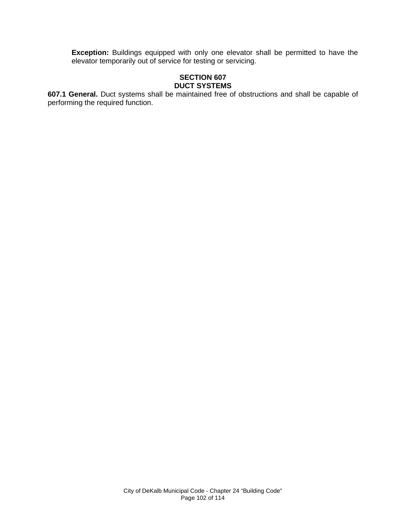**Exception:** Buildings equipped with only one elevator shall be permitted to have the elevator temporarily out of service for testing or servicing.

### **SECTION 607 DUCT SYSTEMS**

**607.1 General.** Duct systems shall be maintained free of obstructions and shall be capable of performing the required function.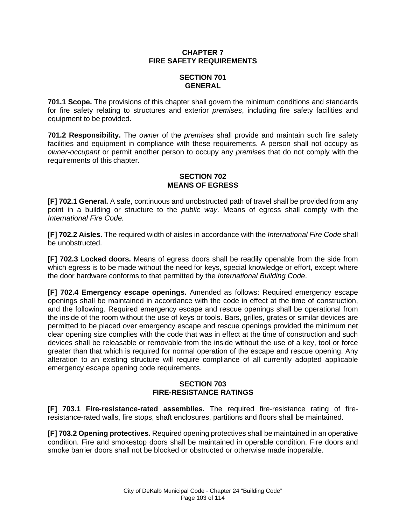## **CHAPTER 7 FIRE SAFETY REQUIREMENTS**

# **SECTION 701 GENERAL**

**701.1 Scope.** The provisions of this chapter shall govern the minimum conditions and standards for fire safety relating to structures and exterior *premises*, including fire safety facilities and equipment to be provided.

**701.2 Responsibility.** The *owner* of the *premises* shall provide and maintain such fire safety facilities and equipment in compliance with these requirements. A person shall not occupy as *owner*-*occupant* or permit another person to occupy any *premises* that do not comply with the requirements of this chapter.

# **SECTION 702 MEANS OF EGRESS**

**[F] 702.1 General.** A safe, continuous and unobstructed path of travel shall be provided from any point in a building or structure to the *public way*. Means of egress shall comply with the *International Fire Code.*

**[F] 702.2 Aisles.** The required width of aisles in accordance with the *International Fire Code* shall be unobstructed.

**[F] 702.3 Locked doors.** Means of egress doors shall be readily openable from the side from which egress is to be made without the need for keys, special knowledge or effort, except where the door hardware conforms to that permitted by the *International Building Code*.

**[F] 702.4 Emergency escape openings.** Amended as follows: Required emergency escape openings shall be maintained in accordance with the code in effect at the time of construction, and the following. Required emergency escape and rescue openings shall be operational from the inside of the room without the use of keys or tools. Bars, grilles, grates or similar devices are permitted to be placed over emergency escape and rescue openings provided the minimum net clear opening size complies with the code that was in effect at the time of construction and such devices shall be releasable or removable from the inside without the use of a key, tool or force greater than that which is required for normal operation of the escape and rescue opening. Any alteration to an existing structure will require compliance of all currently adopted applicable emergency escape opening code requirements.

# **SECTION 703 FIRE-RESISTANCE RATINGS**

**[F] 703.1 Fire-resistance-rated assemblies.** The required fire-resistance rating of fireresistance-rated walls, fire stops, shaft enclosures, partitions and floors shall be maintained.

**[F] 703.2 Opening protectives.** Required opening protectives shall be maintained in an operative condition. Fire and smokestop doors shall be maintained in operable condition. Fire doors and smoke barrier doors shall not be blocked or obstructed or otherwise made inoperable.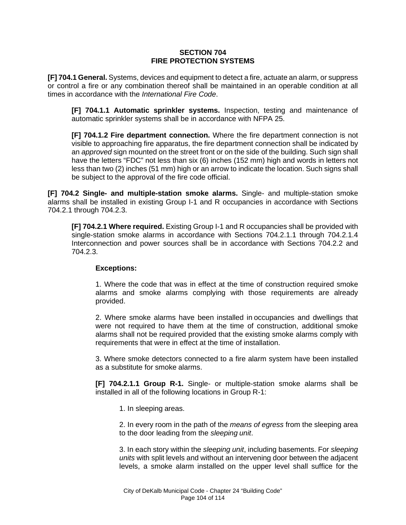#### **SECTION 704 FIRE PROTECTION SYSTEMS**

**[F] 704.1 General.** Systems, devices and equipment to detect a fire, actuate an alarm, or suppress or control a fire or any combination thereof shall be maintained in an operable condition at all times in accordance with the *International Fire Code*.

**[F] 704.1.1 Automatic sprinkler systems.** Inspection, testing and maintenance of automatic sprinkler systems shall be in accordance with NFPA 25.

**[F] 704.1.2 Fire department connection.** Where the fire department connection is not visible to approaching fire apparatus, the fire department connection shall be indicated by an *approved* sign mounted on the street front or on the side of the building. Such sign shall have the letters "FDC" not less than six (6) inches (152 mm) high and words in letters not less than two (2) inches (51 mm) high or an arrow to indicate the location. Such signs shall be subject to the approval of the fire code official.

**[F] 704.2 Single- and multiple-station smoke alarms.** Single- and multiple-station smoke alarms shall be installed in existing Group I-1 and R occupancies in accordance with Sections 704.2.1 through 704.2.3.

**[F] 704.2.1 Where required.** Existing Group I-1 and R occupancies shall be provided with single-station smoke alarms in accordance with Sections 704.2.1.1 through 704.2.1.4 Interconnection and power sources shall be in accordance with Sections 704.2.2 and 704.2.3.

#### **Exceptions:**

1. Where the code that was in effect at the time of construction required smoke alarms and smoke alarms complying with those requirements are already provided.

2. Where smoke alarms have been installed in occupancies and dwellings that were not required to have them at the time of construction, additional smoke alarms shall not be required provided that the existing smoke alarms comply with requirements that were in effect at the time of installation.

3. Where smoke detectors connected to a fire alarm system have been installed as a substitute for smoke alarms.

**[F] 704.2.1.1 Group R-1.** Single- or multiple-station smoke alarms shall be installed in all of the following locations in Group R-1:

1. In sleeping areas.

2. In every room in the path of the *means of egress* from the sleeping area to the door leading from the *sleeping unit*.

3. In each story within the *sleeping unit*, including basements. For *sleeping units* with split levels and without an intervening door between the adjacent levels, a smoke alarm installed on the upper level shall suffice for the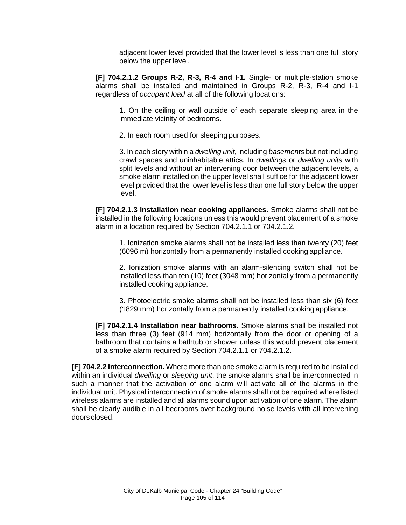adjacent lower level provided that the lower level is less than one full story below the upper level.

**[F] 704.2.1.2 Groups R-2, R-3, R-4 and I-1.** Single- or multiple-station smoke alarms shall be installed and maintained in Groups R-2, R-3, R-4 and I-1 regardless of *occupant load* at all of the following locations:

1. On the ceiling or wall outside of each separate sleeping area in the immediate vicinity of bedrooms.

2. In each room used for sleeping purposes.

3. In each story within a *dwelling unit*, including *basements* but not including crawl spaces and uninhabitable attics. In *dwellings* or *dwelling units* with split levels and without an intervening door between the adjacent levels, a smoke alarm installed on the upper level shall suffice for the adjacent lower level provided that the lower level is less than one full story below the upper level.

**[F] 704.2.1.3 Installation near cooking appliances.** Smoke alarms shall not be installed in the following locations unless this would prevent placement of a smoke alarm in a location required by Section 704.2.1.1 or 704.2.1.2.

1. Ionization smoke alarms shall not be installed less than twenty (20) feet (6096 m) horizontally from a permanently installed cooking appliance.

2. Ionization smoke alarms with an alarm-silencing switch shall not be installed less than ten (10) feet (3048 mm) horizontally from a permanently installed cooking appliance.

3. Photoelectric smoke alarms shall not be installed less than six (6) feet (1829 mm) horizontally from a permanently installed cooking appliance.

**[F] 704.2.1.4 Installation near bathrooms.** Smoke alarms shall be installed not less than three (3) feet (914 mm) horizontally from the door or opening of a bathroom that contains a bathtub or shower unless this would prevent placement of a smoke alarm required by Section 704.2.1.1 or 704.2.1.2.

**[F] 704.2.2 Interconnection.** Where more than one smoke alarm is required to be installed within an individual *dwelling* or *sleeping unit*, the smoke alarms shall be interconnected in such a manner that the activation of one alarm will activate all of the alarms in the individual unit. Physical interconnection of smoke alarms shall not be required where listed wireless alarms are installed and all alarms sound upon activation of one alarm. The alarm shall be clearly audible in all bedrooms over background noise levels with all intervening doors closed.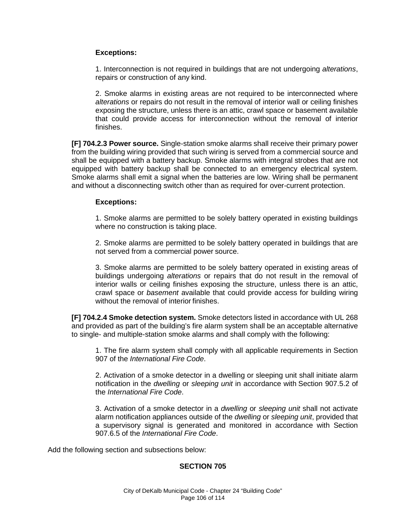## **Exceptions:**

1. Interconnection is not required in buildings that are not undergoing *alterations*, repairs or construction of any kind.

2. Smoke alarms in existing areas are not required to be interconnected where *alterations* or repairs do not result in the removal of interior wall or ceiling finishes exposing the structure, unless there is an attic, crawl space or basement available that could provide access for interconnection without the removal of interior finishes.

**[F] 704.2.3 Power source.** Single-station smoke alarms shall receive their primary power from the building wiring provided that such wiring is served from a commercial source and shall be equipped with a battery backup. Smoke alarms with integral strobes that are not equipped with battery backup shall be connected to an emergency electrical system. Smoke alarms shall emit a signal when the batteries are low. Wiring shall be permanent and without a disconnecting switch other than as required for over-current protection.

#### **Exceptions:**

1. Smoke alarms are permitted to be solely battery operated in existing buildings where no construction is taking place.

2. Smoke alarms are permitted to be solely battery operated in buildings that are not served from a commercial power source.

3. Smoke alarms are permitted to be solely battery operated in existing areas of buildings undergoing *alterations* or repairs that do not result in the removal of interior walls or ceiling finishes exposing the structure, unless there is an attic, crawl space or *basement* available that could provide access for building wiring without the removal of interior finishes.

**[F] 704.2.4 Smoke detection system.** Smoke detectors listed in accordance with UL 268 and provided as part of the building's fire alarm system shall be an acceptable alternative to single- and multiple-station smoke alarms and shall comply with the following:

1. The fire alarm system shall comply with all applicable requirements in Section 907 of the *International Fire Code*.

2. Activation of a smoke detector in a dwelling or sleeping unit shall initiate alarm notification in the *dwelling* or *sleeping unit* in accordance with Section 907.5.2 of the *International Fire Code*.

3. Activation of a smoke detector in a *dwelling* or *sleeping unit* shall not activate alarm notification appliances outside of the *dwelling* or *sleeping unit*, provided that a supervisory signal is generated and monitored in accordance with Section 907.6.5 of the *International Fire Code*.

Add the following section and subsections below:

# **SECTION 705**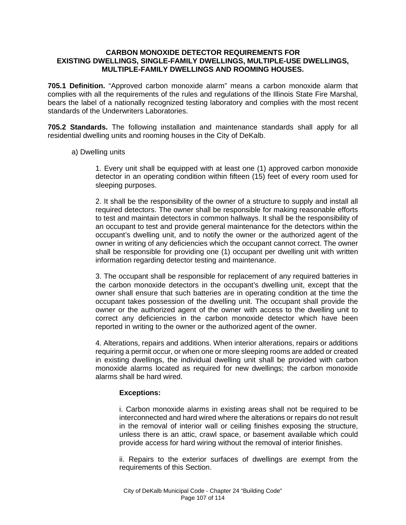#### **CARBON MONOXIDE DETECTOR REQUIREMENTS FOR EXISTING DWELLINGS, SINGLE-FAMILY DWELLINGS, MULTIPLE-USE DWELLINGS, MULTIPLE-FAMILY DWELLINGS AND ROOMING HOUSES.**

**705.1 Definition.** "Approved carbon monoxide alarm" means a carbon monoxide alarm that complies with all the requirements of the rules and regulations of the Illinois State Fire Marshal, bears the label of a nationally recognized testing laboratory and complies with the most recent standards of the Underwriters Laboratories.

**705.2 Standards.** The following installation and maintenance standards shall apply for all residential dwelling units and rooming houses in the City of DeKalb.

### a) Dwelling units

1. Every unit shall be equipped with at least one (1) approved carbon monoxide detector in an operating condition within fifteen (15) feet of every room used for sleeping purposes.

2. It shall be the responsibility of the owner of a structure to supply and install all required detectors. The owner shall be responsible for making reasonable efforts to test and maintain detectors in common hallways. It shall be the responsibility of an occupant to test and provide general maintenance for the detectors within the occupant's dwelling unit, and to notify the owner or the authorized agent of the owner in writing of any deficiencies which the occupant cannot correct. The owner shall be responsible for providing one (1) occupant per dwelling unit with written information regarding detector testing and maintenance.

3. The occupant shall be responsible for replacement of any required batteries in the carbon monoxide detectors in the occupant's dwelling unit, except that the owner shall ensure that such batteries are in operating condition at the time the occupant takes possession of the dwelling unit. The occupant shall provide the owner or the authorized agent of the owner with access to the dwelling unit to correct any deficiencies in the carbon monoxide detector which have been reported in writing to the owner or the authorized agent of the owner.

4. Alterations, repairs and additions. When interior alterations, repairs or additions requiring a permit occur, or when one or more sleeping rooms are added or created in existing dwellings, the individual dwelling unit shall be provided with carbon monoxide alarms located as required for new dwellings; the carbon monoxide alarms shall be hard wired.

# **Exceptions:**

i. Carbon monoxide alarms in existing areas shall not be required to be interconnected and hard wired where the alterations or repairs do not result in the removal of interior wall or ceiling finishes exposing the structure, unless there is an attic, crawl space, or basement available which could provide access for hard wiring without the removal of interior finishes.

ii. Repairs to the exterior surfaces of dwellings are exempt from the requirements of this Section.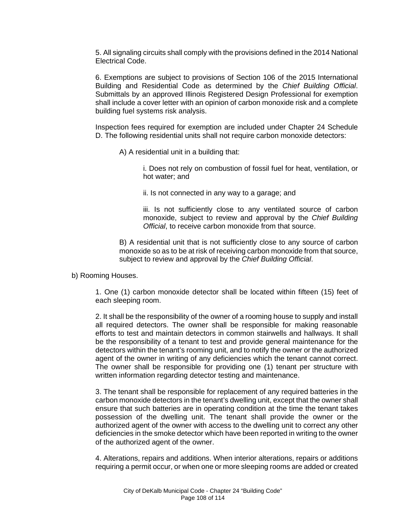5. All signaling circuits shall comply with the provisions defined in the 2014 National Electrical Code.

6. Exemptions are subject to provisions of Section 106 of the 2015 International Building and Residential Code as determined by the *Chief Building Official*. Submittals by an approved Illinois Registered Design Professional for exemption shall include a cover letter with an opinion of carbon monoxide risk and a complete building fuel systems risk analysis.

Inspection fees required for exemption are included under Chapter 24 Schedule D. The following residential units shall not require carbon monoxide detectors:

A) A residential unit in a building that:

i. Does not rely on combustion of fossil fuel for heat, ventilation, or hot water; and

ii. Is not connected in any way to a garage; and

iii. Is not sufficiently close to any ventilated source of carbon monoxide, subject to review and approval by the *Chief Building Official*, to receive carbon monoxide from that source.

B) A residential unit that is not sufficiently close to any source of carbon monoxide so as to be at risk of receiving carbon monoxide from that source, subject to review and approval by the *Chief Building Official*.

b) Rooming Houses.

1. One (1) carbon monoxide detector shall be located within fifteen (15) feet of each sleeping room.

2. It shall be the responsibility of the owner of a rooming house to supply and install all required detectors. The owner shall be responsible for making reasonable efforts to test and maintain detectors in common stairwells and hallways. It shall be the responsibility of a tenant to test and provide general maintenance for the detectors within the tenant's rooming unit, and to notify the owner or the authorized agent of the owner in writing of any deficiencies which the tenant cannot correct. The owner shall be responsible for providing one (1) tenant per structure with written information regarding detector testing and maintenance.

3. The tenant shall be responsible for replacement of any required batteries in the carbon monoxide detectors in the tenant's dwelling unit, except that the owner shall ensure that such batteries are in operating condition at the time the tenant takes possession of the dwelling unit. The tenant shall provide the owner or the authorized agent of the owner with access to the dwelling unit to correct any other deficiencies in the smoke detector which have been reported in writing to the owner of the authorized agent of the owner.

4. Alterations, repairs and additions. When interior alterations, repairs or additions requiring a permit occur, or when one or more sleeping rooms are added or created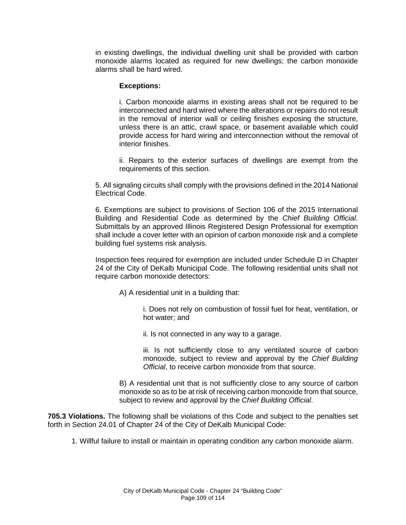in existing dwellings, the individual dwelling unit shall be provided with carbon monoxide alarms located as required for new dwellings; the carbon monoxide alarms shall be hard wired.

## **Exceptions:**

i. Carbon monoxide alarms in existing areas shall not be required to be interconnected and hard wired where the alterations or repairs do not result in the removal of interior wall or ceiling finishes exposing the structure, unless there is an attic, crawl space, or basement available which could provide access for hard wiring and interconnection without the removal of interior finishes.

ii. Repairs to the exterior surfaces of dwellings are exempt from the requirements of this section.

5. All signaling circuits shall comply with the provisions defined in the 2014 National Electrical Code.

6. Exemptions are subject to provisions of Section 106 of the 2015 International Building and Residential Code as determined by the *Chief Building Official*. Submittals by an approved Illinois Registered Design Professional for exemption shall include a cover letter with an opinion of carbon monoxide risk and a complete building fuel systems risk analysis.

Inspection fees required for exemption are included under Schedule D in Chapter 24 of the City of DeKalb Municipal Code. The following residential units shall not require carbon monoxide detectors:

A) A residential unit in a building that:

i. Does not rely on combustion of fossil fuel for heat, ventilation, or hot water; and

ii. Is not connected in any way to a garage.

iii. Is not sufficiently close to any ventilated source of carbon monoxide, subject to review and approval by the *Chief Building Official*, to receive carbon monoxide from that source.

B) A residential unit that is not sufficiently close to any source of carbon monoxide so as to be at risk of receiving carbon monoxide from that source, subject to review and approval by the *Chief Building Official*.

**705.3 Violations.** The following shall be violations of this Code and subject to the penalties set forth in Section 24.01 of Chapter 24 of the City of DeKalb Municipal Code:

1. Willful failure to install or maintain in operating condition any carbon monoxide alarm.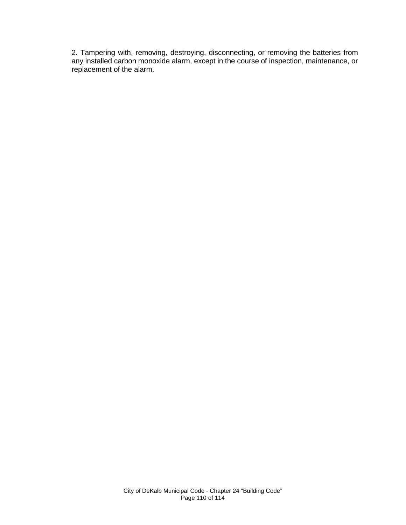2. Tampering with, removing, destroying, disconnecting, or removing the batteries from any installed carbon monoxide alarm, except in the course of inspection, maintenance, or replacement of the alarm.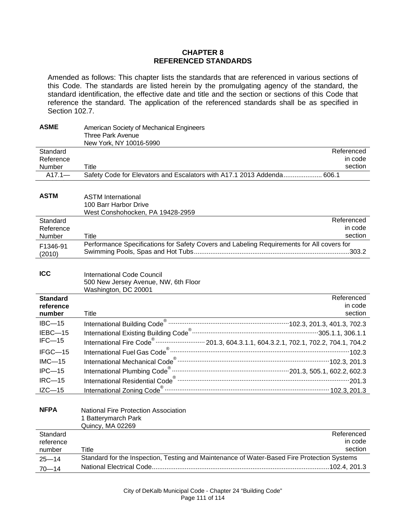## **CHAPTER 8 REFERENCED STANDARDS**

Amended as follows: This chapter lists the standards that are referenced in various sections of this Code. The standards are listed herein by the promulgating agency of the standard, the standard identification, the effective date and title and the section or sections of this Code that reference the standard. The application of the referenced standards shall be as specified in Section 102.7.

| <b>ASME</b>     | American Society of Mechanical Engineers                                                                               |
|-----------------|------------------------------------------------------------------------------------------------------------------------|
|                 | <b>Three Park Avenue</b><br>New York, NY 10016-5990                                                                    |
| Standard        | Referenced                                                                                                             |
| Reference       | in code                                                                                                                |
| Number          | section<br>Title                                                                                                       |
| $A17.1 -$       | Safety Code for Elevators and Escalators with A17.1 2013 Addenda 606.1                                                 |
|                 |                                                                                                                        |
| <b>ASTM</b>     | <b>ASTM International</b>                                                                                              |
|                 | 100 Barr Harbor Drive                                                                                                  |
|                 | West Conshohocken, PA 19428-2959                                                                                       |
| Standard        | Referenced                                                                                                             |
| Reference       | in code                                                                                                                |
| Number          | section<br>Title                                                                                                       |
| F1346-91        | Performance Specifications for Safety Covers and Labeling Requirements for All covers for                              |
| (2010)          |                                                                                                                        |
|                 |                                                                                                                        |
| <b>ICC</b>      | <b>International Code Council</b>                                                                                      |
|                 | 500 New Jersey Avenue, NW, 6th Floor                                                                                   |
|                 | Washington, DC 20001                                                                                                   |
| <b>Standard</b> | Referenced                                                                                                             |
| reference       | in code                                                                                                                |
| number          | section<br>Title                                                                                                       |
| $IBC-15$        |                                                                                                                        |
| IEBC-15         |                                                                                                                        |
| $IFC-15$        | International Fire Code <sup>®</sup> ························· 201.3, 604.3.1.1, 604.3.2.1, 702.1, 702.2, 704.1, 704.2 |
| IFGC-15         |                                                                                                                        |
| $IMC-15$        |                                                                                                                        |
| $IPC - 15$      |                                                                                                                        |
| $IRC-15$        |                                                                                                                        |
| $IZC-15$        |                                                                                                                        |
|                 |                                                                                                                        |
| <b>NFPA</b>     | <b>National Fire Protection Association</b>                                                                            |
|                 | 1 Batterymarch Park                                                                                                    |
|                 | Quincy, MA 02269                                                                                                       |
| Standard        | Referenced                                                                                                             |
| reference       | in code                                                                                                                |
| number          | section<br>Title                                                                                                       |
| $25 - 14$       | Standard for the Inspection, Testing and Maintenance of Water-Based Fire Protection Systems                            |
| $70 - 14$       |                                                                                                                        |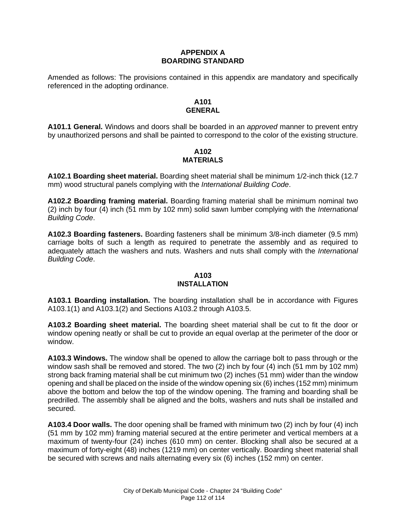# **APPENDIX A BOARDING STANDARD**

Amended as follows: The provisions contained in this appendix are mandatory and specifically referenced in the adopting ordinance.

# **A101 GENERAL**

**A101.1 General.** Windows and doors shall be boarded in an *approved* manner to prevent entry by unauthorized persons and shall be painted to correspond to the color of the existing structure.

## **A102 MATERIALS**

**A102.1 Boarding sheet material.** Boarding sheet material shall be minimum 1/2-inch thick (12.7 mm) wood structural panels complying with the *International Building Code*.

**A102.2 Boarding framing material.** Boarding framing material shall be minimum nominal two (2) inch by four (4) inch (51 mm by 102 mm) solid sawn lumber complying with the *International Building Code*.

**A102.3 Boarding fasteners.** Boarding fasteners shall be minimum 3/8-inch diameter (9.5 mm) carriage bolts of such a length as required to penetrate the assembly and as required to adequately attach the washers and nuts. Washers and nuts shall comply with the *International Building Code*.

#### **A103 INSTALLATION**

**A103.1 Boarding installation.** The boarding installation shall be in accordance with Figures A103.1(1) and A103.1(2) and Sections A103.2 through A103.5.

**A103.2 Boarding sheet material.** The boarding sheet material shall be cut to fit the door or window opening neatly or shall be cut to provide an equal overlap at the perimeter of the door or window.

**A103.3 Windows.** The window shall be opened to allow the carriage bolt to pass through or the window sash shall be removed and stored. The two (2) inch by four (4) inch (51 mm by 102 mm) strong back framing material shall be cut minimum two (2) inches (51 mm) wider than the window opening and shall be placed on the inside of the window opening six (6) inches (152 mm) minimum above the bottom and below the top of the window opening. The framing and boarding shall be predrilled. The assembly shall be aligned and the bolts, washers and nuts shall be installed and secured.

**A103.4 Door walls.** The door opening shall be framed with minimum two (2) inch by four (4) inch (51 mm by 102 mm) framing material secured at the entire perimeter and vertical members at a maximum of twenty-four (24) inches (610 mm) on center. Blocking shall also be secured at a maximum of forty-eight (48) inches (1219 mm) on center vertically. Boarding sheet material shall be secured with screws and nails alternating every six (6) inches (152 mm) on center.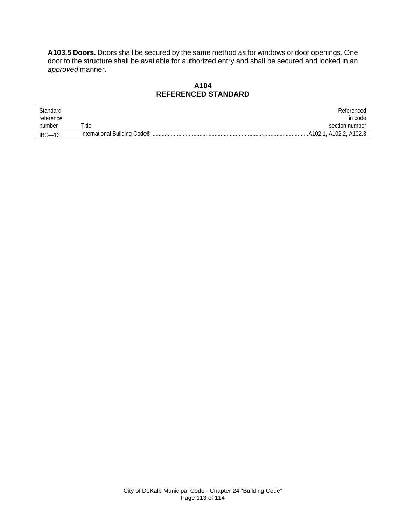**A103.5 Doors.** Doors shall be secured by the same method as for windows or door openings. One door to the structure shall be available for authorized entry and shall be secured and locked in an *approved* manner.

# **A104 REFERENCED STANDARD**

| Standard        |                                            | Referenced                 |
|-----------------|--------------------------------------------|----------------------------|
| reference       |                                            | in code                    |
| number          | Title                                      | section number             |
| $IBC-1^{\circ}$ | International Building Code <sup>®</sup> . | , A102.2, A102.3<br>A102.1 |